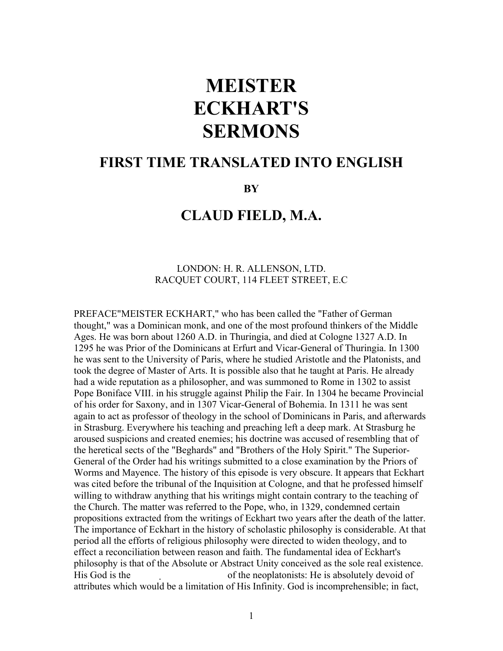# **MEISTER ECKHART'S SERMONS**

# **FIRST TIME TRANSLATED INTO ENGLISH**

**BY** 

# **CLAUD FIELD, M.A.**

# LONDON: H. R. ALLENSON, LTD. RACQUET COURT, 114 FLEET STREET, E.C

PREFACE"MEISTER ECKHART," who has been called the "Father of German thought," was a Dominican monk, and one of the most profound thinkers of the Middle Ages. He was born about 1260 A.D. in Thuringia, and died at Cologne 1327 A.D. In 1295 he was Prior of the Dominicans at Erfurt and Vicar-General of Thuringia. In 1300 he was sent to the University of Paris, where he studied Aristotle and the Platonists, and took the degree of Master of Arts. It is possible also that he taught at Paris. He already had a wide reputation as a philosopher, and was summoned to Rome in 1302 to assist Pope Boniface VIII. in his struggle against Philip the Fair. In 1304 he became Provincial of his order for Saxony, and in 1307 Vicar-General of Bohemia. In 1311 he was sent again to act as professor of theology in the school of Dominicans in Paris, and afterwards in Strasburg. Everywhere his teaching and preaching left a deep mark. At Strasburg he aroused suspicions and created enemies; his doctrine was accused of resembling that of the heretical sects of the "Beghards" and "Brothers of the Holy Spirit." The Superior-General of the Order had his writings submitted to a close examination by the Priors of Worms and Mayence. The history of this episode is very obscure. It appears that Eckhart was cited before the tribunal of the Inquisition at Cologne, and that he professed himself willing to withdraw anything that his writings might contain contrary to the teaching of the Church. The matter was referred to the Pope, who, in 1329, condemned certain propositions extracted from the writings of Eckhart two years after the death of the latter. The importance of Eckhart in the history of scholastic philosophy is considerable. At that period all the efforts of religious philosophy were directed to widen theology, and to effect a reconciliation between reason and faith. The fundamental idea of Eckhart's philosophy is that of the Absolute or Abstract Unity conceived as the sole real existence. His God is the  $\qquad \qquad$  of the neoplatonists: He is absolutely devoid of attributes which would be a limitation of His Infinity. God is incomprehensible; in fact,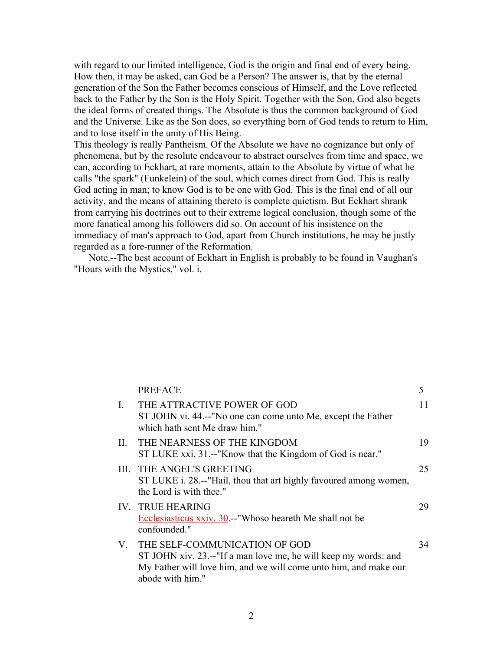with regard to our limited intelligence, God is the origin and final end of every being. How then, it may be asked, can God be a Person? The answer is, that by the eternal generation of the Son the Father becomes conscious of Himself, and the Love reflected back to the Father by the Son is the Holy Spirit. Together with the Son, God also begets the ideal forms of created things. The Absolute is thus the common background of God and the Universe. Like as the Son does, so everything born of God tends to return to Him, and to lose itself in the unity of His Being.

This theology is really Pantheism. Of the Absolute we have no cognizance but only of phenomena, but by the resolute endeavour to abstract ourselves from time and space, we can, according to Eckhart, at rare moments, attain to the Absolute by virtue of what he calls "the spark" (Funkelein) of the soul, which comes direct from God. This is really God acting in man; to know God is to be one with God. This is the final end of all our activity, and the means of attaining thereto is complete quietism. But Eckhart shrank from carrying his doctrines out to their extreme logical conclusion, though some of the more fanatical among his followers did so. On account of his insistence on the immediacy of man's approach to God, apart from Church institutions, he may be justly regarded as a fore-runner of the Reformation.

Note.--The best account of Eckhart in English is probably to be found in Vaughan's "Hours with the Mystics," vol. i.

|                | <b>PREFACE</b>                                                                                                                                                                           | 5  |
|----------------|------------------------------------------------------------------------------------------------------------------------------------------------------------------------------------------|----|
| $\mathbf{I}$ . | THE ATTRACTIVE POWER OF GOD<br>ST JOHN vi. 44.--"No one can come unto Me, except the Father<br>which hath sent Me draw him."                                                             |    |
| Н.             | THE NEARNESS OF THE KINGDOM<br>ST LUKE xxi. 31.--"Know that the Kingdom of God is near."                                                                                                 | 19 |
|                | III. THE ANGEL'S GREETING<br>ST LUKE i. 28.--"Hail, thou that art highly favoured among women,<br>the Lord is with thee."                                                                | 25 |
|                | IV. TRUE HEARING<br>Ecclesiasticus xxiv. $30$ .--"Whoso heareth Me shall not be<br>confounded."                                                                                          | 29 |
| V.             | THE SELF-COMMUNICATION OF GOD<br>ST JOHN xiv. 23.--"If a man love me, he will keep my words: and<br>My Father will love him, and we will come unto him, and make our<br>abode with him." | 34 |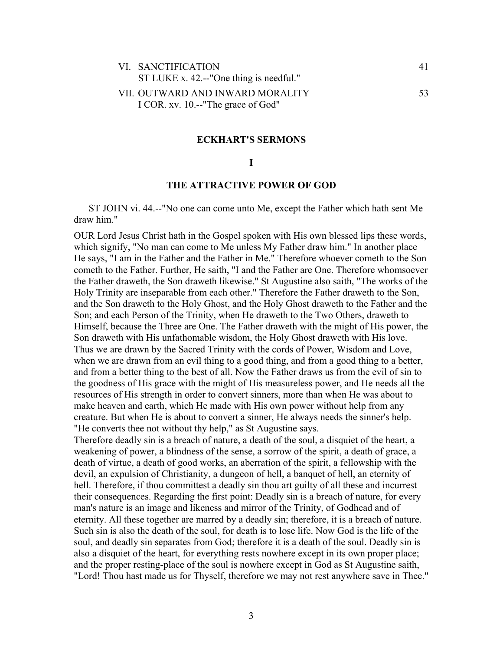| VI. SANCTIFICATION                         | 4 I  |
|--------------------------------------------|------|
| ST LUKE x. $42$ .--"One thing is needful." |      |
| VII. OUTWARD AND INWARD MORALITY           | -53. |
| I COR. xv. 10.--"The grace of God"         |      |

#### **ECKHART'S SERMONS**

# **I**

# **THE ATTRACTIVE POWER OF GOD**

ST JOHN vi. 44.--"No one can come unto Me, except the Father which hath sent Me draw him."

OUR Lord Jesus Christ hath in the Gospel spoken with His own blessed lips these words, which signify, "No man can come to Me unless My Father draw him." In another place He says, "I am in the Father and the Father in Me." Therefore whoever cometh to the Son cometh to the Father. Further, He saith, "I and the Father are One. Therefore whomsoever the Father draweth, the Son draweth likewise." St Augustine also saith, "The works of the Holy Trinity are inseparable from each other." Therefore the Father draweth to the Son, and the Son draweth to the Holy Ghost, and the Holy Ghost draweth to the Father and the Son; and each Person of the Trinity, when He draweth to the Two Others, draweth to Himself, because the Three are One. The Father draweth with the might of His power, the Son draweth with His unfathomable wisdom, the Holy Ghost draweth with His love. Thus we are drawn by the Sacred Trinity with the cords of Power, Wisdom and Love, when we are drawn from an evil thing to a good thing, and from a good thing to a better, and from a better thing to the best of all. Now the Father draws us from the evil of sin to the goodness of His grace with the might of His measureless power, and He needs all the resources of His strength in order to convert sinners, more than when He was about to make heaven and earth, which He made with His own power without help from any creature. But when He is about to convert a sinner, He always needs the sinner's help. "He converts thee not without thy help," as St Augustine says.

Therefore deadly sin is a breach of nature, a death of the soul, a disquiet of the heart, a weakening of power, a blindness of the sense, a sorrow of the spirit, a death of grace, a death of virtue, a death of good works, an aberration of the spirit, a fellowship with the devil, an expulsion of Christianity, a dungeon of hell, a banquet of hell, an eternity of hell. Therefore, if thou committest a deadly sin thou art guilty of all these and incurrest their consequences. Regarding the first point: Deadly sin is a breach of nature, for every man's nature is an image and likeness and mirror of the Trinity, of Godhead and of eternity. All these together are marred by a deadly sin; therefore, it is a breach of nature. Such sin is also the death of the soul, for death is to lose life. Now God is the life of the soul, and deadly sin separates from God; therefore it is a death of the soul. Deadly sin is also a disquiet of the heart, for everything rests nowhere except in its own proper place; and the proper resting-place of the soul is nowhere except in God as St Augustine saith, "Lord! Thou hast made us for Thyself, therefore we may not rest anywhere save in Thee."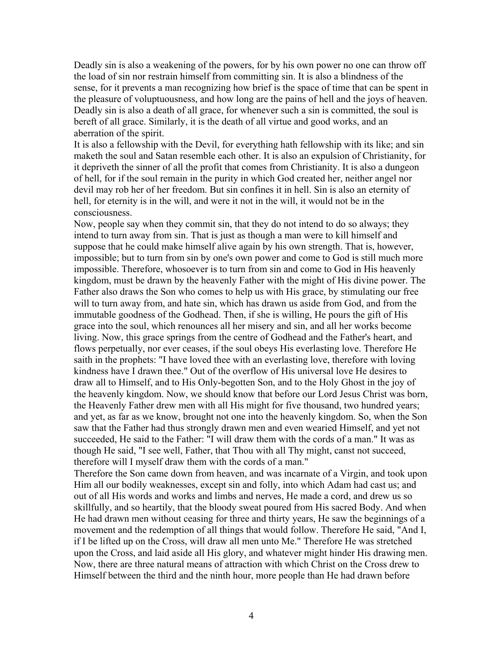Deadly sin is also a weakening of the powers, for by his own power no one can throw off the load of sin nor restrain himself from committing sin. It is also a blindness of the sense, for it prevents a man recognizing how brief is the space of time that can be spent in the pleasure of voluptuousness, and how long are the pains of hell and the joys of heaven. Deadly sin is also a death of all grace, for whenever such a sin is committed, the soul is bereft of all grace. Similarly, it is the death of all virtue and good works, and an aberration of the spirit.

It is also a fellowship with the Devil, for everything hath fellowship with its like; and sin maketh the soul and Satan resemble each other. It is also an expulsion of Christianity, for it depriveth the sinner of all the profit that comes from Christianity. It is also a dungeon of hell, for if the soul remain in the purity in which God created her, neither angel nor devil may rob her of her freedom. But sin confines it in hell. Sin is also an eternity of hell, for eternity is in the will, and were it not in the will, it would not be in the consciousness.

Now, people say when they commit sin, that they do not intend to do so always; they intend to turn away from sin. That is just as though a man were to kill himself and suppose that he could make himself alive again by his own strength. That is, however, impossible; but to turn from sin by one's own power and come to God is still much more impossible. Therefore, whosoever is to turn from sin and come to God in His heavenly kingdom, must be drawn by the heavenly Father with the might of His divine power. The Father also draws the Son who comes to help us with His grace, by stimulating our free will to turn away from, and hate sin, which has drawn us aside from God, and from the immutable goodness of the Godhead. Then, if she is willing, He pours the gift of His grace into the soul, which renounces all her misery and sin, and all her works become living. Now, this grace springs from the centre of Godhead and the Father's heart, and flows perpetually, nor ever ceases, if the soul obeys His everlasting love. Therefore He saith in the prophets: "I have loved thee with an everlasting love, therefore with loving kindness have I drawn thee." Out of the overflow of His universal love He desires to draw all to Himself, and to His Only-begotten Son, and to the Holy Ghost in the joy of the heavenly kingdom. Now, we should know that before our Lord Jesus Christ was born, the Heavenly Father drew men with all His might for five thousand, two hundred years; and yet, as far as we know, brought not one into the heavenly kingdom. So, when the Son saw that the Father had thus strongly drawn men and even wearied Himself, and yet not succeeded, He said to the Father: "I will draw them with the cords of a man." It was as though He said, "I see well, Father, that Thou with all Thy might, canst not succeed, therefore will I myself draw them with the cords of a man."

Therefore the Son came down from heaven, and was incarnate of a Virgin, and took upon Him all our bodily weaknesses, except sin and folly, into which Adam had cast us; and out of all His words and works and limbs and nerves, He made a cord, and drew us so skillfully, and so heartily, that the bloody sweat poured from His sacred Body. And when He had drawn men without ceasing for three and thirty years, He saw the beginnings of a movement and the redemption of all things that would follow. Therefore He said, "And I, if I be lifted up on the Cross, will draw all men unto Me." Therefore He was stretched upon the Cross, and laid aside all His glory, and whatever might hinder His drawing men. Now, there are three natural means of attraction with which Christ on the Cross drew to Himself between the third and the ninth hour, more people than He had drawn before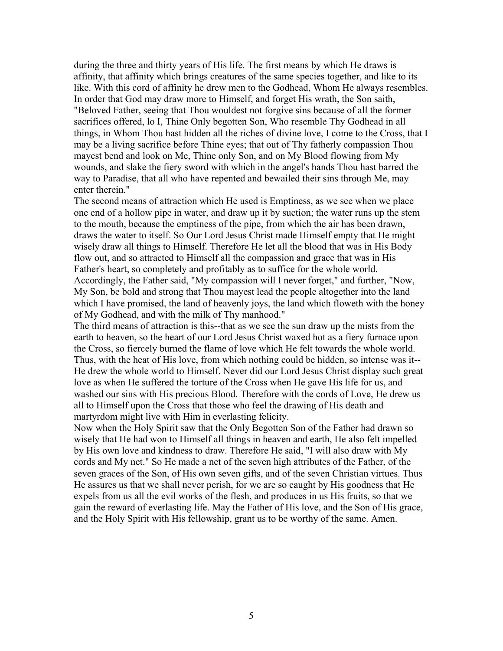during the three and thirty years of His life. The first means by which He draws is affinity, that affinity which brings creatures of the same species together, and like to its like. With this cord of affinity he drew men to the Godhead, Whom He always resembles. In order that God may draw more to Himself, and forget His wrath, the Son saith, "Beloved Father, seeing that Thou wouldest not forgive sins because of all the former sacrifices offered, lo I, Thine Only begotten Son, Who resemble Thy Godhead in all things, in Whom Thou hast hidden all the riches of divine love, I come to the Cross, that I may be a living sacrifice before Thine eyes; that out of Thy fatherly compassion Thou mayest bend and look on Me, Thine only Son, and on My Blood flowing from My wounds, and slake the fiery sword with which in the angel's hands Thou hast barred the way to Paradise, that all who have repented and bewailed their sins through Me, may enter therein."

The second means of attraction which He used is Emptiness, as we see when we place one end of a hollow pipe in water, and draw up it by suction; the water runs up the stem to the mouth, because the emptiness of the pipe, from which the air has been drawn, draws the water to itself. So Our Lord Jesus Christ made Himself empty that He might wisely draw all things to Himself. Therefore He let all the blood that was in His Body flow out, and so attracted to Himself all the compassion and grace that was in His Father's heart, so completely and profitably as to suffice for the whole world. Accordingly, the Father said, "My compassion will I never forget," and further, "Now, My Son, be bold and strong that Thou mayest lead the people altogether into the land which I have promised, the land of heavenly joys, the land which floweth with the honey of My Godhead, and with the milk of Thy manhood."

The third means of attraction is this--that as we see the sun draw up the mists from the earth to heaven, so the heart of our Lord Jesus Christ waxed hot as a fiery furnace upon the Cross, so fiercely burned the flame of love which He felt towards the whole world. Thus, with the heat of His love, from which nothing could be hidden, so intense was it-- He drew the whole world to Himself. Never did our Lord Jesus Christ display such great love as when He suffered the torture of the Cross when He gave His life for us, and washed our sins with His precious Blood. Therefore with the cords of Love, He drew us all to Himself upon the Cross that those who feel the drawing of His death and martyrdom might live with Him in everlasting felicity.

Now when the Holy Spirit saw that the Only Begotten Son of the Father had drawn so wisely that He had won to Himself all things in heaven and earth, He also felt impelled by His own love and kindness to draw. Therefore He said, "I will also draw with My cords and My net." So He made a net of the seven high attributes of the Father, of the seven graces of the Son, of His own seven gifts, and of the seven Christian virtues. Thus He assures us that we shall never perish, for we are so caught by His goodness that He expels from us all the evil works of the flesh, and produces in us His fruits, so that we gain the reward of everlasting life. May the Father of His love, and the Son of His grace, and the Holy Spirit with His fellowship, grant us to be worthy of the same. Amen.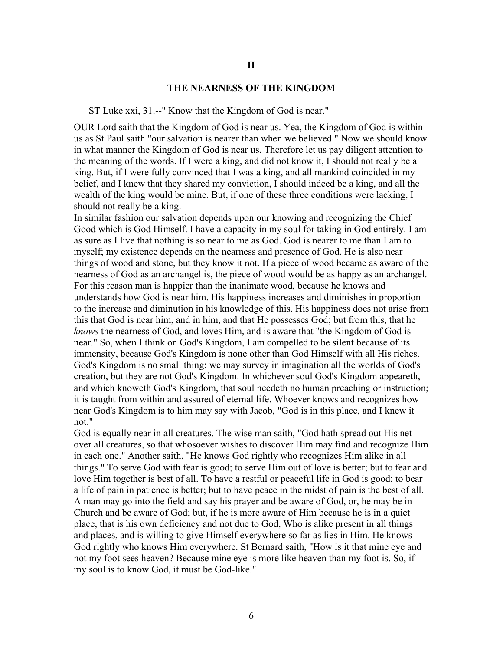# **THE NEARNESS OF THE KINGDOM**

#### ST Luke xxi, 31.--" Know that the Kingdom of God is near."

OUR Lord saith that the Kingdom of God is near us. Yea, the Kingdom of God is within us as St Paul saith "our salvation is nearer than when we believed." Now we should know in what manner the Kingdom of God is near us. Therefore let us pay diligent attention to the meaning of the words. If I were a king, and did not know it, I should not really be a king. But, if I were fully convinced that I was a king, and all mankind coincided in my belief, and I knew that they shared my conviction, I should indeed be a king, and all the wealth of the king would be mine. But, if one of these three conditions were lacking, I should not really be a king.

In similar fashion our salvation depends upon our knowing and recognizing the Chief Good which is God Himself. I have a capacity in my soul for taking in God entirely. I am as sure as I live that nothing is so near to me as God. God is nearer to me than I am to myself; my existence depends on the nearness and presence of God. He is also near things of wood and stone, but they know it not. If a piece of wood became as aware of the nearness of God as an archangel is, the piece of wood would be as happy as an archangel. For this reason man is happier than the inanimate wood, because he knows and understands how God is near him. His happiness increases and diminishes in proportion to the increase and diminution in his knowledge of this. His happiness does not arise from this that God is near him, and in him, and that He possesses God; but from this, that he *knows* the nearness of God, and loves Him, and is aware that "the Kingdom of God is near." So, when I think on God's Kingdom, I am compelled to be silent because of its immensity, because God's Kingdom is none other than God Himself with all His riches. God's Kingdom is no small thing: we may survey in imagination all the worlds of God's creation, but they are not God's Kingdom. In whichever soul God's Kingdom appeareth, and which knoweth God's Kingdom, that soul needeth no human preaching or instruction; it is taught from within and assured of eternal life. Whoever knows and recognizes how near God's Kingdom is to him may say with Jacob, "God is in this place, and I knew it not."

God is equally near in all creatures. The wise man saith, "God hath spread out His net over all creatures, so that whosoever wishes to discover Him may find and recognize Him in each one." Another saith, "He knows God rightly who recognizes Him alike in all things." To serve God with fear is good; to serve Him out of love is better; but to fear and love Him together is best of all. To have a restful or peaceful life in God is good; to bear a life of pain in patience is better; but to have peace in the midst of pain is the best of all. A man may go into the field and say his prayer and be aware of God, or, he may be in Church and be aware of God; but, if he is more aware of Him because he is in a quiet place, that is his own deficiency and not due to God, Who is alike present in all things and places, and is willing to give Himself everywhere so far as lies in Him. He knows God rightly who knows Him everywhere. St Bernard saith, "How is it that mine eye and not my foot sees heaven? Because mine eye is more like heaven than my foot is. So, if my soul is to know God, it must be God-like."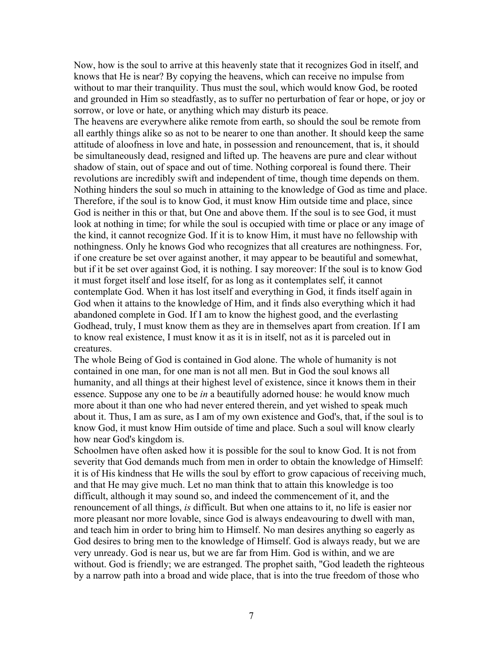Now, how is the soul to arrive at this heavenly state that it recognizes God in itself, and knows that He is near? By copying the heavens, which can receive no impulse from without to mar their tranquility. Thus must the soul, which would know God, be rooted and grounded in Him so steadfastly, as to suffer no perturbation of fear or hope, or joy or sorrow, or love or hate, or anything which may disturb its peace.

The heavens are everywhere alike remote from earth, so should the soul be remote from all earthly things alike so as not to be nearer to one than another. It should keep the same attitude of aloofness in love and hate, in possession and renouncement, that is, it should be simultaneously dead, resigned and lifted up. The heavens are pure and clear without shadow of stain, out of space and out of time. Nothing corporeal is found there. Their revolutions are incredibly swift and independent of time, though time depends on them. Nothing hinders the soul so much in attaining to the knowledge of God as time and place. Therefore, if the soul is to know God, it must know Him outside time and place, since God is neither in this or that, but One and above them. If the soul is to see God, it must look at nothing in time; for while the soul is occupied with time or place or any image of the kind, it cannot recognize God. If it is to know Him, it must have no fellowship with nothingness. Only he knows God who recognizes that all creatures are nothingness. For, if one creature be set over against another, it may appear to be beautiful and somewhat, but if it be set over against God, it is nothing. I say moreover: If the soul is to know God it must forget itself and lose itself, for as long as it contemplates self, it cannot contemplate God. When it has lost itself and everything in God, it finds itself again in God when it attains to the knowledge of Him, and it finds also everything which it had abandoned complete in God. If I am to know the highest good, and the everlasting Godhead, truly, I must know them as they are in themselves apart from creation. If I am to know real existence, I must know it as it is in itself, not as it is parceled out in creatures.

The whole Being of God is contained in God alone. The whole of humanity is not contained in one man, for one man is not all men. But in God the soul knows all humanity, and all things at their highest level of existence, since it knows them in their essence. Suppose any one to be *in* a beautifully adorned house: he would know much more about it than one who had never entered therein, and yet wished to speak much about it. Thus, I am as sure, as I am of my own existence and God's, that, if the soul is to know God, it must know Him outside of time and place. Such a soul will know clearly how near God's kingdom is.

Schoolmen have often asked how it is possible for the soul to know God. It is not from severity that God demands much from men in order to obtain the knowledge of Himself: it is of His kindness that He wills the soul by effort to grow capacious of receiving much, and that He may give much. Let no man think that to attain this knowledge is too difficult, although it may sound so, and indeed the commencement of it, and the renouncement of all things, *is* difficult. But when one attains to it, no life is easier nor more pleasant nor more lovable, since God is always endeavouring to dwell with man, and teach him in order to bring him to Himself. No man desires anything so eagerly as God desires to bring men to the knowledge of Himself. God is always ready, but we are very unready. God is near us, but we are far from Him. God is within, and we are without. God is friendly; we are estranged. The prophet saith, "God leadeth the righteous by a narrow path into a broad and wide place, that is into the true freedom of those who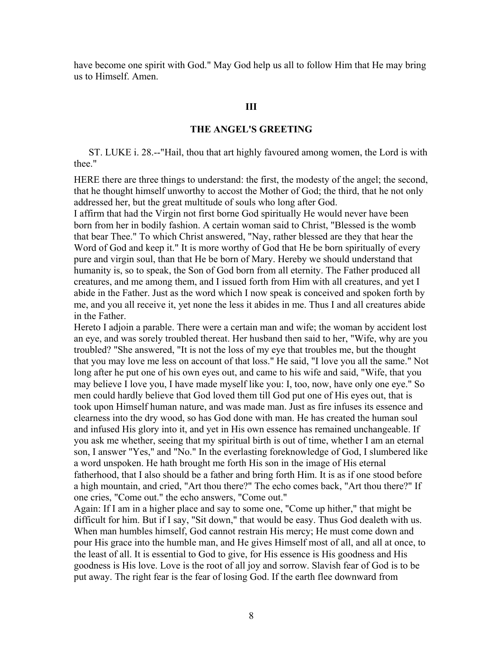have become one spirit with God." May God help us all to follow Him that He may bring us to Himself. Amen.

#### **III**

#### **THE ANGEL'S GREETING**

ST. LUKE i. 28.--"Hail, thou that art highly favoured among women, the Lord is with thee."

HERE there are three things to understand: the first, the modesty of the angel; the second, that he thought himself unworthy to accost the Mother of God; the third, that he not only addressed her, but the great multitude of souls who long after God.

I affirm that had the Virgin not first borne God spiritually He would never have been born from her in bodily fashion. A certain woman said to Christ, "Blessed is the womb that bear Thee." To which Christ answered, "Nay, rather blessed are they that hear the Word of God and keep it." It is more worthy of God that He be born spiritually of every pure and virgin soul, than that He be born of Mary. Hereby we should understand that humanity is, so to speak, the Son of God born from all eternity. The Father produced all creatures, and me among them, and I issued forth from Him with all creatures, and yet I abide in the Father. Just as the word which I now speak is conceived and spoken forth by me, and you all receive it, yet none the less it abides in me. Thus I and all creatures abide in the Father.

Hereto I adjoin a parable. There were a certain man and wife; the woman by accident lost an eye, and was sorely troubled thereat. Her husband then said to her, "Wife, why are you troubled? "She answered, "It is not the loss of my eye that troubles me, but the thought that you may love me less on account of that loss." He said, "I love you all the same." Not long after he put one of his own eyes out, and came to his wife and said, "Wife, that you may believe I love you, I have made myself like you: I, too, now, have only one eye." So men could hardly believe that God loved them till God put one of His eyes out, that is took upon Himself human nature, and was made man. Just as fire infuses its essence and clearness into the dry wood, so has God done with man. He has created the human soul and infused His glory into it, and yet in His own essence has remained unchangeable. If you ask me whether, seeing that my spiritual birth is out of time, whether I am an eternal son, I answer "Yes," and "No." In the everlasting foreknowledge of God, I slumbered like a word unspoken. He hath brought me forth His son in the image of His eternal fatherhood, that I also should be a father and bring forth Him. It is as if one stood before a high mountain, and cried, "Art thou there?" The echo comes back, "Art thou there?" If one cries, "Come out." the echo answers, "Come out."

Again: If I am in a higher place and say to some one, "Come up hither," that might be difficult for him. But if I say, "Sit down," that would be easy. Thus God dealeth with us. When man humbles himself, God cannot restrain His mercy; He must come down and pour His grace into the humble man, and He gives Himself most of all, and all at once, to the least of all. It is essential to God to give, for His essence is His goodness and His goodness is His love. Love is the root of all joy and sorrow. Slavish fear of God is to be put away. The right fear is the fear of losing God. If the earth flee downward from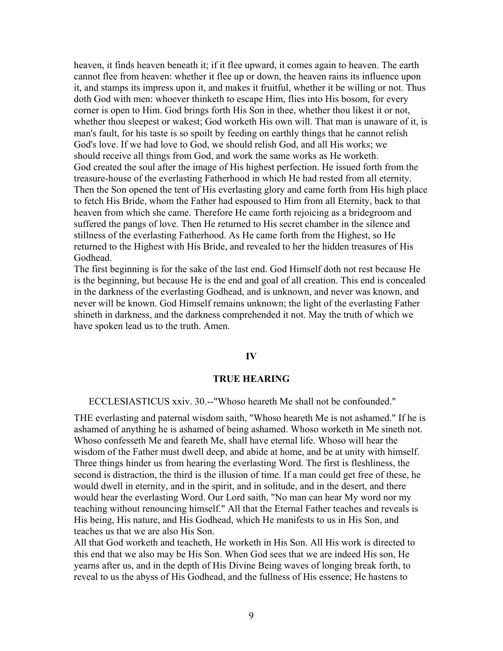heaven, it finds heaven beneath it; if it flee upward, it comes again to heaven. The earth cannot flee from heaven: whether it flee up or down, the heaven rains its influence upon it, and stamps its impress upon it, and makes it fruitful, whether it be willing or not. Thus doth God with men: whoever thinketh to escape Him, flies into His bosom, for every corner is open to Him. God brings forth His Son in thee, whether thou likest it or not, whether thou sleepest or wakest; God worketh His own will. That man is unaware of it, is man's fault, for his taste is so spoilt by feeding on earthly things that he cannot relish God's love. If we had love to God, we should relish God, and all His works; we should receive all things from God, and work the same works as He worketh. God created the soul after the image of His highest perfection. He issued forth from the treasure-house of the everlasting Fatherhood in which He had rested from all eternity. Then the Son opened the tent of His everlasting glory and came forth from His high place to fetch His Bride, whom the Father had espoused to Him from all Eternity, back to that heaven from which she came. Therefore He came forth rejoicing as a bridegroom and suffered the pangs of love. Then He returned to His secret chamber in the silence and stillness of the everlasting Fatherhood. As He came forth from the Highest, so He returned to the Highest with His Bride, and revealed to her the hidden treasures of His Godhead.

The first beginning is for the sake of the last end. God Himself doth not rest because He is the beginning, but because He is the end and goal of all creation. This end is concealed in the darkness of the everlasting Godhead, and is unknown, and never was known, and never will be known. God Himself remains unknown; the light of the everlasting Father shineth in darkness, and the darkness comprehended it not. May the truth of which we have spoken lead us to the truth. Amen.

#### **IV**

#### **TRUE HEARING**

#### ECCLESIASTICUS xxiv. 30.--"Whoso heareth Me shall not be confounded."

THE everlasting and paternal wisdom saith, "Whoso heareth Me is not ashamed." If he is ashamed of anything he is ashamed of being ashamed. Whoso worketh in Me sineth not. Whoso confesseth Me and feareth Me, shall have eternal life. Whoso will hear the wisdom of the Father must dwell deep, and abide at home, and be at unity with himself. Three things hinder us from hearing the everlasting Word. The first is fleshliness, the second is distraction, the third is the illusion of time. If a man could get free of these, he would dwell in eternity, and in the spirit, and in solitude, and in the desert, and there would hear the everlasting Word. Our Lord saith, "No man can hear My word nor my teaching without renouncing himself." All that the Eternal Father teaches and reveals is His being, His nature, and His Godhead, which He manifests to us in His Son, and teaches us that we are also His Son.

All that God worketh and teacheth, He worketh in His Son. All His work is directed to this end that we also may be His Son. When God sees that we are indeed His son, He yearns after us, and in the depth of His Divine Being waves of longing break forth, to reveal to us the abyss of His Godhead, and the fullness of His essence; He hastens to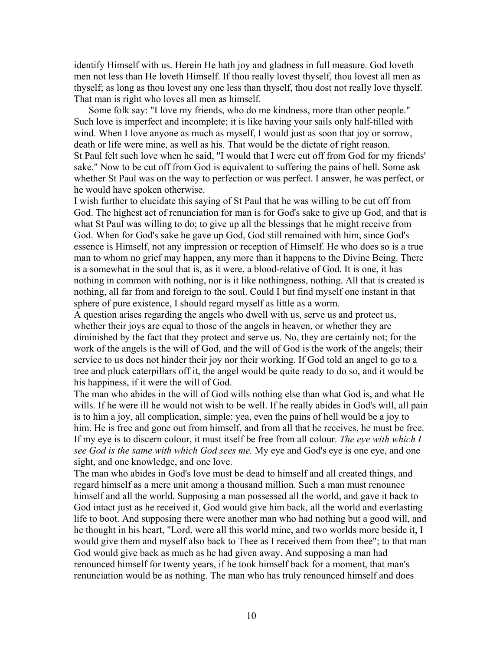identify Himself with us. Herein He hath joy and gladness in full measure. God loveth men not less than He loveth Himself. If thou really lovest thyself, thou lovest all men as thyself; as long as thou lovest any one less than thyself, thou dost not really love thyself. That man is right who loves all men as himself.

Some folk say: "I love my friends, who do me kindness, more than other people." Such love is imperfect and incomplete; it is like having your sails only half-tilled with wind. When I love anyone as much as myself, I would just as soon that joy or sorrow, death or life were mine, as well as his. That would be the dictate of right reason. St Paul felt such love when he said, "I would that I were cut off from God for my friends' sake." Now to be cut off from God is equivalent to suffering the pains of hell. Some ask whether St Paul was on the way to perfection or was perfect. I answer, he was perfect, or he would have spoken otherwise.

I wish further to elucidate this saying of St Paul that he was willing to be cut off from God. The highest act of renunciation for man is for God's sake to give up God, and that is what St Paul was willing to do; to give up all the blessings that he might receive from God. When for God's sake he gave up God, God still remained with him, since God's essence is Himself, not any impression or reception of Himself. He who does so is a true man to whom no grief may happen, any more than it happens to the Divine Being. There is a somewhat in the soul that is, as it were, a blood-relative of God. It is one, it has nothing in common with nothing, nor is it like nothingness, nothing. All that is created is nothing, all far from and foreign to the soul. Could I but find myself one instant in that sphere of pure existence, I should regard myself as little as a worm.

A question arises regarding the angels who dwell with us, serve us and protect us, whether their joys are equal to those of the angels in heaven, or whether they are diminished by the fact that they protect and serve us. No, they are certainly not; for the work of the angels is the will of God, and the will of God is the work of the angels; their service to us does not hinder their joy nor their working. If God told an angel to go to a tree and pluck caterpillars off it, the angel would be quite ready to do so, and it would be his happiness, if it were the will of God.

The man who abides in the will of God wills nothing else than what God is, and what He wills. If he were ill he would not wish to be well. If he really abides in God's will, all pain is to him a joy, all complication, simple: yea, even the pains of hell would be a joy to him. He is free and gone out from himself, and from all that he receives, he must be free. If my eye is to discern colour, it must itself be free from all colour. *The eye with which I see God is the same with which God sees me.* My eye and God's eye is one eye, and one sight, and one knowledge, and one love.

The man who abides in God's love must be dead to himself and all created things, and regard himself as a mere unit among a thousand million. Such a man must renounce himself and all the world. Supposing a man possessed all the world, and gave it back to God intact just as he received it, God would give him back, all the world and everlasting life to boot. And supposing there were another man who had nothing but a good will, and he thought in his heart, "Lord, were all this world mine, and two worlds more beside it, I would give them and myself also back to Thee as I received them from thee"; to that man God would give back as much as he had given away. And supposing a man had renounced himself for twenty years, if he took himself back for a moment, that man's renunciation would be as nothing. The man who has truly renounced himself and does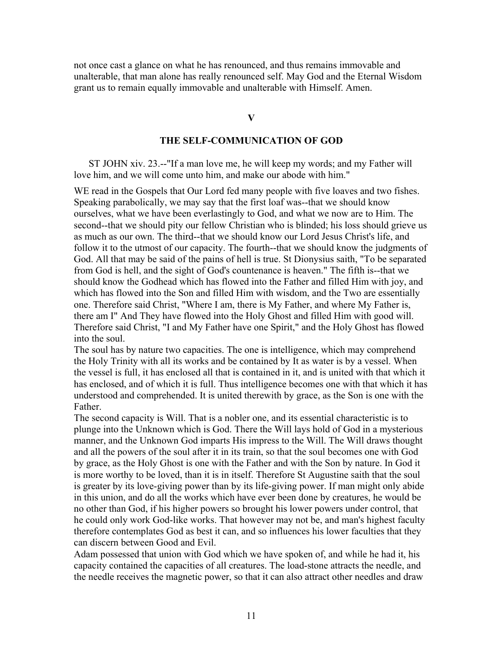not once cast a glance on what he has renounced, and thus remains immovable and unalterable, that man alone has really renounced self. May God and the Eternal Wisdom grant us to remain equally immovable and unalterable with Himself. Amen.

## **V**

# **THE SELF-COMMUNICATION OF GOD**

ST JOHN xiv. 23.--"If a man love me, he will keep my words; and my Father will love him, and we will come unto him, and make our abode with him."

WE read in the Gospels that Our Lord fed many people with five loaves and two fishes. Speaking parabolically, we may say that the first loaf was--that we should know ourselves, what we have been everlastingly to God, and what we now are to Him. The second--that we should pity our fellow Christian who is blinded; his loss should grieve us as much as our own. The third--that we should know our Lord Jesus Christ's life, and follow it to the utmost of our capacity. The fourth--that we should know the judgments of God. All that may be said of the pains of hell is true. St Dionysius saith, "To be separated from God is hell, and the sight of God's countenance is heaven." The fifth is--that we should know the Godhead which has flowed into the Father and filled Him with joy, and which has flowed into the Son and filled Him with wisdom, and the Two are essentially one. Therefore said Christ, "Where I am, there is My Father, and where My Father is, there am I" And They have flowed into the Holy Ghost and filled Him with good will. Therefore said Christ, "I and My Father have one Spirit," and the Holy Ghost has flowed into the soul.

The soul has by nature two capacities. The one is intelligence, which may comprehend the Holy Trinity with all its works and be contained by It as water is by a vessel. When the vessel is full, it has enclosed all that is contained in it, and is united with that which it has enclosed, and of which it is full. Thus intelligence becomes one with that which it has understood and comprehended. It is united therewith by grace, as the Son is one with the Father.

The second capacity is Will. That is a nobler one, and its essential characteristic is to plunge into the Unknown which is God. There the Will lays hold of God in a mysterious manner, and the Unknown God imparts His impress to the Will. The Will draws thought and all the powers of the soul after it in its train, so that the soul becomes one with God by grace, as the Holy Ghost is one with the Father and with the Son by nature. In God it is more worthy to be loved, than it is in itself. Therefore St Augustine saith that the soul is greater by its love-giving power than by its life-giving power. If man might only abide in this union, and do all the works which have ever been done by creatures, he would be no other than God, if his higher powers so brought his lower powers under control, that he could only work God-like works. That however may not be, and man's highest faculty therefore contemplates God as best it can, and so influences his lower faculties that they can discern between Good and Evil.

Adam possessed that union with God which we have spoken of, and while he had it, his capacity contained the capacities of all creatures. The load-stone attracts the needle, and the needle receives the magnetic power, so that it can also attract other needles and draw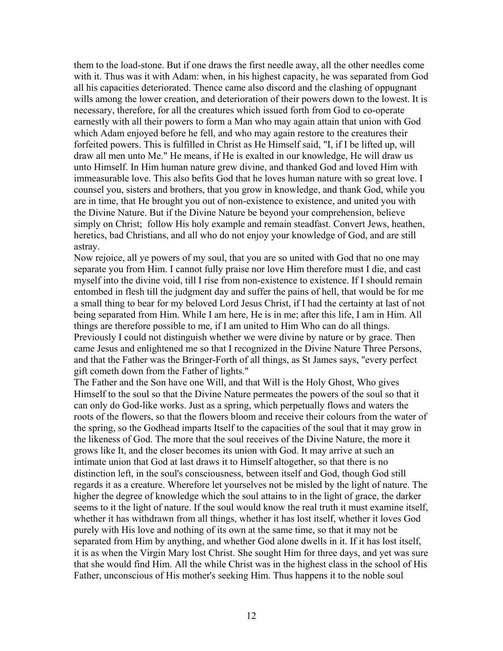them to the load-stone. But if one draws the first needle away, all the other needles come with it. Thus was it with Adam: when, in his highest capacity, he was separated from God all his capacities deteriorated. Thence came also discord and the clashing of oppugnant wills among the lower creation, and deterioration of their powers down to the lowest. It is necessary, therefore, for all the creatures which issued forth from God to co-operate earnestly with all their powers to form a Man who may again attain that union with God which Adam enjoyed before he fell, and who may again restore to the creatures their forfeited powers. This is fulfilled in Christ as He Himself said, "I, if I be lifted up, will draw all men unto Me." He means, if He is exalted in our knowledge, He will draw us unto Himself. In Him human nature grew divine, and thanked God and loved Him with immeasurable love. This also befits God that he loves human nature with so great love. I counsel you, sisters and brothers, that you grow in knowledge, and thank God, while you are in time, that He brought you out of non-existence to existence, and united you with the Divine Nature. But if the Divine Nature be beyond your comprehension, believe simply on Christ; follow His holy example and remain steadfast. Convert Jews, heathen, heretics, bad Christians, and all who do not enjoy your knowledge of God, and are still astray.

Now rejoice, all ye powers of my soul, that you are so united with God that no one may separate you from Him. I cannot fully praise nor love Him therefore must I die, and cast myself into the divine void, till I rise from non-existence to existence. If I should remain entombed in flesh till the judgment day and suffer the pains of hell, that would be for me a small thing to bear for my beloved Lord Jesus Christ, if I had the certainty at last of not being separated from Him. While I am here, He is in me; after this life, I am in Him. All things are therefore possible to me, if I am united to Him Who can do all things. Previously I could not distinguish whether we were divine by nature or by grace. Then came Jesus and enlightened me so that I recognized in the Divine Nature Three Persons, and that the Father was the Bringer-Forth of all things, as St James says, "every perfect gift cometh down from the Father of lights."

The Father and the Son have one Will, and that Will is the Holy Ghost, Who gives Himself to the soul so that the Divine Nature permeates the powers of the soul so that it can only do God-like works. Just as a spring, which perpetually flows and waters the roots of the flowers, so that the flowers bloom and receive their colours from the water of the spring, so the Godhead imparts Itself to the capacities of the soul that it may grow in the likeness of God. The more that the soul receives of the Divine Nature, the more it grows like It, and the closer becomes its union with God. It may arrive at such an intimate union that God at last draws it to Himself altogether, so that there is no distinction left, in the soul's consciousness, between itself and God, though God still regards it as a creature. Wherefore let yourselves not be misled by the light of nature. The higher the degree of knowledge which the soul attains to in the light of grace, the darker seems to it the light of nature. If the soul would know the real truth it must examine itself, whether it has withdrawn from all things, whether it has lost itself, whether it loves God purely with His love and nothing of its own at the same time, so that it may not be separated from Him by anything, and whether God alone dwells in it. If it has lost itself, it is as when the Virgin Mary lost Christ. She sought Him for three days, and yet was sure that she would find Him. All the while Christ was in the highest class in the school of His Father, unconscious of His mother's seeking Him. Thus happens it to the noble soul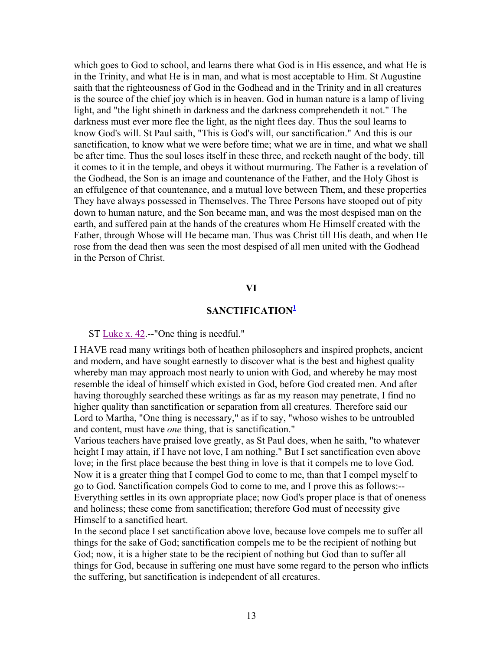which goes to God to school, and learns there what God is in His essence, and what He is in the Trinity, and what He is in man, and what is most acceptable to Him. St Augustine saith that the righteousness of God in the Godhead and in the Trinity and in all creatures is the source of the chief joy which is in heaven. God in human nature is a lamp of living light, and "the light shineth in darkness and the darkness comprehendeth it not." The darkness must ever more flee the light, as the night flees day. Thus the soul learns to know God's will. St Paul saith, "This is God's will, our sanctification." And this is our sanctification, to know what we were before time; what we are in time, and what we shall be after time. Thus the soul loses itself in these three, and recketh naught of the body, till it comes to it in the temple, and obeys it without murmuring. The Father is a revelation of the Godhead, the Son is an image and countenance of the Father, and the Holy Ghost is an effulgence of that countenance, and a mutual love between Them, and these properties They have always possessed in Themselves. The Three Persons have stooped out of pity down to human nature, and the Son became man, and was the most despised man on the earth, and suffered pain at the hands of the creatures whom He Himself created with the Father, through Whose will He became man. Thus was Christ till His death, and when He rose from the dead then was seen the most despised of all men united with the Godhead in the Person of Christ.

### **VI**

# **SANCTIFICATION[1](http://www.ccel.org/e/eckhart/sermons/htm/)**

ST Luke x. 42.--"One thing is needful."

I HAVE read many writings both of heathen philosophers and inspired prophets, ancient and modern, and have sought earnestly to discover what is the best and highest quality whereby man may approach most nearly to union with God, and whereby he may most resemble the ideal of himself which existed in God, before God created men. And after having thoroughly searched these writings as far as my reason may penetrate, I find no higher quality than sanctification or separation from all creatures. Therefore said our Lord to Martha, "One thing is necessary," as if to say, "whoso wishes to be untroubled and content, must have *one* thing, that is sanctification."

Various teachers have praised love greatly, as St Paul does, when he saith, "to whatever height I may attain, if I have not love, I am nothing." But I set sanctification even above love; in the first place because the best thing in love is that it compels me to love God. Now it is a greater thing that I compel God to come to me, than that I compel myself to go to God. Sanctification compels God to come to me, and I prove this as follows:-- Everything settles in its own appropriate place; now God's proper place is that of oneness and holiness; these come from sanctification; therefore God must of necessity give Himself to a sanctified heart.

In the second place I set sanctification above love, because love compels me to suffer all things for the sake of God; sanctification compels me to be the recipient of nothing but God; now, it is a higher state to be the recipient of nothing but God than to suffer all things for God, because in suffering one must have some regard to the person who inflicts the suffering, but sanctification is independent of all creatures.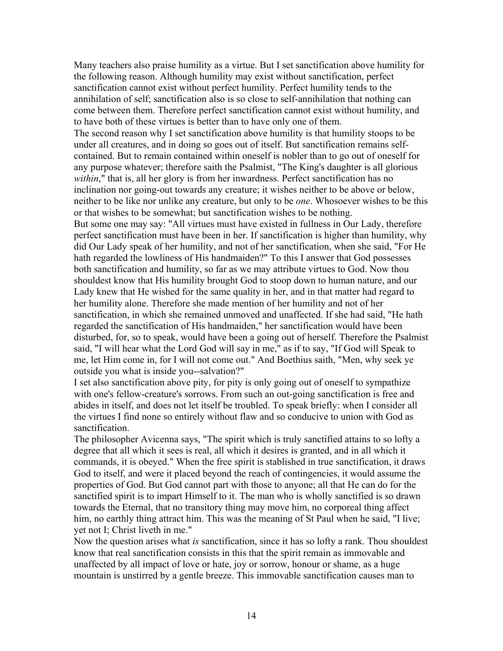Many teachers also praise humility as a virtue. But I set sanctification above humility for the following reason. Although humility may exist without sanctification, perfect sanctification cannot exist without perfect humility. Perfect humility tends to the annihilation of self; sanctification also is so close to self-annihilation that nothing can come between them. Therefore perfect sanctification cannot exist without humility, and to have both of these virtues is better than to have only one of them.

The second reason why I set sanctification above humility is that humility stoops to be under all creatures, and in doing so goes out of itself. But sanctification remains selfcontained. But to remain contained within oneself is nobler than to go out of oneself for any purpose whatever; therefore saith the Psalmist, "The King's daughter is all glorious *within*," that is, all her glory is from her inwardness. Perfect sanctification has no inclination nor going-out towards any creature; it wishes neither to be above or below, neither to be like nor unlike any creature, but only to be *one*. Whosoever wishes to be this or that wishes to be somewhat; but sanctification wishes to be nothing.

But some one may say: "All virtues must have existed in fullness in Our Lady, therefore perfect sanctification must have been in her. If sanctification is higher than humility, why did Our Lady speak of her humility, and not of her sanctification, when she said, "For He hath regarded the lowliness of His handmaiden?" To this I answer that God possesses both sanctification and humility, so far as we may attribute virtues to God. Now thou shouldest know that His humility brought God to stoop down to human nature, and our Lady knew that He wished for the same quality in her, and in that matter had regard to her humility alone. Therefore she made mention of her humility and not of her sanctification, in which she remained unmoved and unaffected. If she had said, "He hath regarded the sanctification of His handmaiden," her sanctification would have been disturbed, for, so to speak, would have been a going out of herself. Therefore the Psalmist said, "I will hear what the Lord God will say in me," as if to say, "If God will Speak to me, let Him come in, for I will not come out." And Boethius saith, "Men, why seek ye outside you what is inside you--salvation?"

I set also sanctification above pity, for pity is only going out of oneself to sympathize with one's fellow-creature's sorrows. From such an out-going sanctification is free and abides in itself, and does not let itself be troubled. To speak briefly: when I consider all the virtues I find none so entirely without flaw and so conducive to union with God as sanctification.

The philosopher Avicenna says, "The spirit which is truly sanctified attains to so lofty a degree that all which it sees is real, all which it desires is granted, and in all which it commands, it is obeyed." When the free spirit is stablished in true sanctification, it draws God to itself, and were it placed beyond the reach of contingencies, it would assume the properties of God. But God cannot part with those to anyone; all that He can do for the sanctified spirit is to impart Himself to it. The man who is wholly sanctified is so drawn towards the Eternal, that no transitory thing may move him, no corporeal thing affect him, no earthly thing attract him. This was the meaning of St Paul when he said, "I live; yet not I; Christ liveth in me."

Now the question arises what *is* sanctification, since it has so lofty a rank. Thou shouldest know that real sanctification consists in this that the spirit remain as immovable and unaffected by all impact of love or hate, joy or sorrow, honour or shame, as a huge mountain is unstirred by a gentle breeze. This immovable sanctification causes man to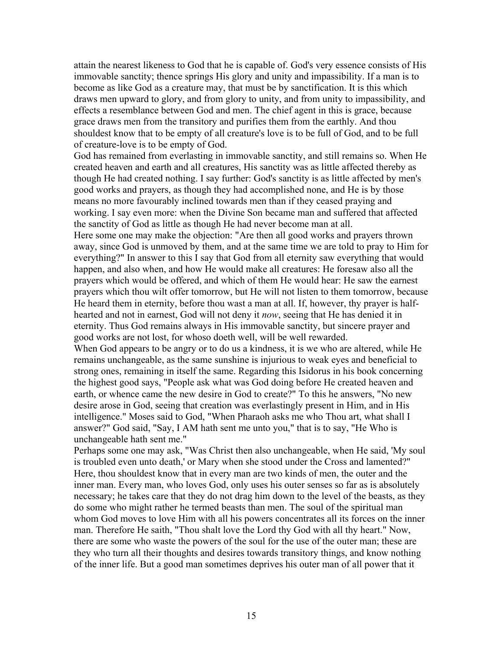attain the nearest likeness to God that he is capable of. God's very essence consists of His immovable sanctity; thence springs His glory and unity and impassibility. If a man is to become as like God as a creature may, that must be by sanctification. It is this which draws men upward to glory, and from glory to unity, and from unity to impassibility, and effects a resemblance between God and men. The chief agent in this is grace, because grace draws men from the transitory and purifies them from the earthly. And thou shouldest know that to be empty of all creature's love is to be full of God, and to be full of creature-love is to be empty of God.

God has remained from everlasting in immovable sanctity, and still remains so. When He created heaven and earth and all creatures, His sanctity was as little affected thereby as though He had created nothing. I say further: God's sanctity is as little affected by men's good works and prayers, as though they had accomplished none, and He is by those means no more favourably inclined towards men than if they ceased praying and working. I say even more: when the Divine Son became man and suffered that affected the sanctity of God as little as though He had never become man at all.

Here some one may make the objection: "Are then all good works and prayers thrown away, since God is unmoved by them, and at the same time we are told to pray to Him for everything?" In answer to this I say that God from all eternity saw everything that would happen, and also when, and how He would make all creatures: He foresaw also all the prayers which would be offered, and which of them He would hear: He saw the earnest prayers which thou wilt offer tomorrow, but He will not listen to them tomorrow, because He heard them in eternity, before thou wast a man at all. If, however, thy prayer is halfhearted and not in earnest, God will not deny it *now*, seeing that He has denied it in eternity. Thus God remains always in His immovable sanctity, but sincere prayer and good works are not lost, for whoso doeth well, will be well rewarded.

When God appears to be angry or to do us a kindness, it is we who are altered, while He remains unchangeable, as the same sunshine is injurious to weak eyes and beneficial to strong ones, remaining in itself the same. Regarding this Isidorus in his book concerning the highest good says, "People ask what was God doing before He created heaven and earth, or whence came the new desire in God to create?" To this he answers, "No new desire arose in God, seeing that creation was everlastingly present in Him, and in His intelligence." Moses said to God, "When Pharaoh asks me who Thou art, what shall I answer?" God said, "Say, I AM hath sent me unto you," that is to say, "He Who is unchangeable hath sent me."

Perhaps some one may ask, "Was Christ then also unchangeable, when He said, 'My soul is troubled even unto death,' or Mary when she stood under the Cross and lamented?" Here, thou shouldest know that in every man are two kinds of men, the outer and the inner man. Every man, who loves God, only uses his outer senses so far as is absolutely necessary; he takes care that they do not drag him down to the level of the beasts, as they do some who might rather he termed beasts than men. The soul of the spiritual man whom God moves to love Him with all his powers concentrates all its forces on the inner man. Therefore He saith, "Thou shalt love the Lord thy God with all thy heart." Now, there are some who waste the powers of the soul for the use of the outer man; these are they who turn all their thoughts and desires towards transitory things, and know nothing of the inner life. But a good man sometimes deprives his outer man of all power that it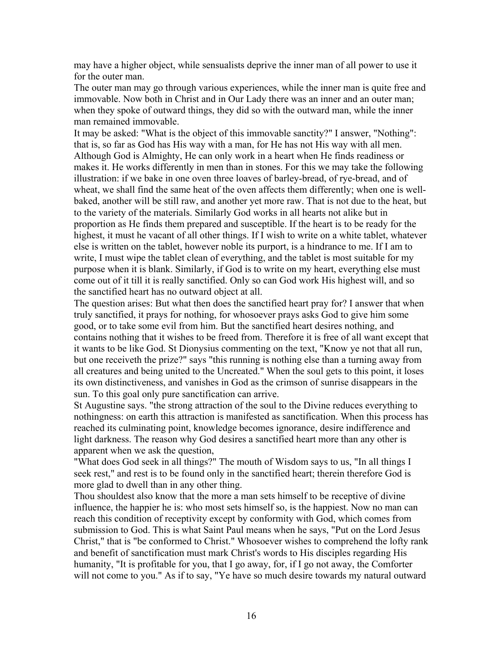may have a higher object, while sensualists deprive the inner man of all power to use it for the outer man.

The outer man may go through various experiences, while the inner man is quite free and immovable. Now both in Christ and in Our Lady there was an inner and an outer man; when they spoke of outward things, they did so with the outward man, while the inner man remained immovable.

It may be asked: "What is the object of this immovable sanctity?" I answer, "Nothing": that is, so far as God has His way with a man, for He has not His way with all men. Although God is Almighty, He can only work in a heart when He finds readiness or makes it. He works differently in men than in stones. For this we may take the following illustration: if we bake in one oven three loaves of barley-bread, of rye-bread, and of wheat, we shall find the same heat of the oven affects them differently; when one is wellbaked, another will be still raw, and another yet more raw. That is not due to the heat, but to the variety of the materials. Similarly God works in all hearts not alike but in proportion as He finds them prepared and susceptible. If the heart is to be ready for the highest, it must he vacant of all other things. If I wish to write on a white tablet, whatever else is written on the tablet, however noble its purport, is a hindrance to me. If I am to write, I must wipe the tablet clean of everything, and the tablet is most suitable for my purpose when it is blank. Similarly, if God is to write on my heart, everything else must come out of it till it is really sanctified. Only so can God work His highest will, and so the sanctified heart has no outward object at all.

The question arises: But what then does the sanctified heart pray for? I answer that when truly sanctified, it prays for nothing, for whosoever prays asks God to give him some good, or to take some evil from him. But the sanctified heart desires nothing, and contains nothing that it wishes to be freed from. Therefore it is free of all want except that it wants to be like God. St Dionysius commenting on the text, "Know ye not that all run, but one receiveth the prize?" says "this running is nothing else than a turning away from all creatures and being united to the Uncreated." When the soul gets to this point, it loses its own distinctiveness, and vanishes in God as the crimson of sunrise disappears in the sun. To this goal only pure sanctification can arrive.

St Augustine says. "the strong attraction of the soul to the Divine reduces everything to nothingness: on earth this attraction is manifested as sanctification. When this process has reached its culminating point, knowledge becomes ignorance, desire indifference and light darkness. The reason why God desires a sanctified heart more than any other is apparent when we ask the question,

"What does God seek in all things?" The mouth of Wisdom says to us, "In all things I seek rest," and rest is to be found only in the sanctified heart; therein therefore God is more glad to dwell than in any other thing.

Thou shouldest also know that the more a man sets himself to be receptive of divine influence, the happier he is: who most sets himself so, is the happiest. Now no man can reach this condition of receptivity except by conformity with God, which comes from submission to God. This is what Saint Paul means when he says, "Put on the Lord Jesus Christ," that is "be conformed to Christ." Whosoever wishes to comprehend the lofty rank and benefit of sanctification must mark Christ's words to His disciples regarding His humanity, "It is profitable for you, that I go away, for, if I go not away, the Comforter will not come to you." As if to say, "Ye have so much desire towards my natural outward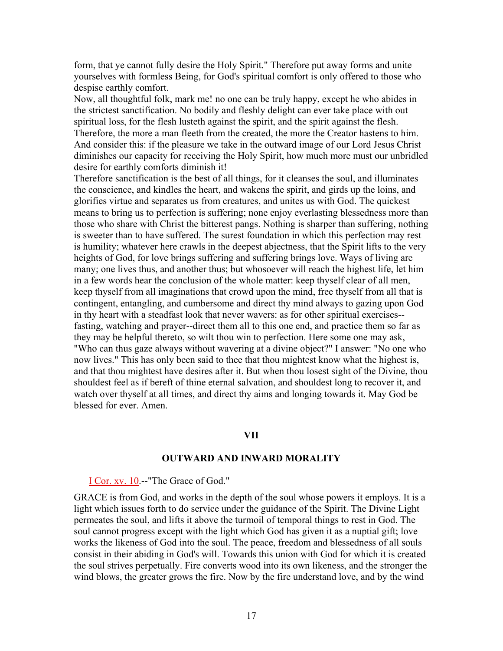form, that ye cannot fully desire the Holy Spirit." Therefore put away forms and unite yourselves with formless Being, for God's spiritual comfort is only offered to those who despise earthly comfort.

Now, all thoughtful folk, mark me! no one can be truly happy, except he who abides in the strictest sanctification. No bodily and fleshly delight can ever take place with out spiritual loss, for the flesh lusteth against the spirit, and the spirit against the flesh. Therefore, the more a man fleeth from the created, the more the Creator hastens to him. And consider this: if the pleasure we take in the outward image of our Lord Jesus Christ diminishes our capacity for receiving the Holy Spirit, how much more must our unbridled desire for earthly comforts diminish it!

Therefore sanctification is the best of all things, for it cleanses the soul, and illuminates the conscience, and kindles the heart, and wakens the spirit, and girds up the loins, and glorifies virtue and separates us from creatures, and unites us with God. The quickest means to bring us to perfection is suffering; none enjoy everlasting blessedness more than those who share with Christ the bitterest pangs. Nothing is sharper than suffering, nothing is sweeter than to have suffered. The surest foundation in which this perfection may rest is humility; whatever here crawls in the deepest abjectness, that the Spirit lifts to the very heights of God, for love brings suffering and suffering brings love. Ways of living are many; one lives thus, and another thus; but whosoever will reach the highest life, let him in a few words hear the conclusion of the whole matter: keep thyself clear of all men, keep thyself from all imaginations that crowd upon the mind, free thyself from all that is contingent, entangling, and cumbersome and direct thy mind always to gazing upon God in thy heart with a steadfast look that never wavers: as for other spiritual exercises- fasting, watching and prayer--direct them all to this one end, and practice them so far as they may be helpful thereto, so wilt thou win to perfection. Here some one may ask, "Who can thus gaze always without wavering at a divine object?" I answer: "No one who now lives." This has only been said to thee that thou mightest know what the highest is, and that thou mightest have desires after it. But when thou losest sight of the Divine, thou shouldest feel as if bereft of thine eternal salvation, and shouldest long to recover it, and watch over thyself at all times, and direct thy aims and longing towards it. May God be blessed for ever. Amen.

# **VII**

## **OUTWARD AND INWARD MORALITY**

# [I Cor. xv. 10](http://bible.gospelcom.net/bible?passage=1Cor+15:10,).--"The Grace of God."

GRACE is from God, and works in the depth of the soul whose powers it employs. It is a light which issues forth to do service under the guidance of the Spirit. The Divine Light permeates the soul, and lifts it above the turmoil of temporal things to rest in God. The soul cannot progress except with the light which God has given it as a nuptial gift; love works the likeness of God into the soul. The peace, freedom and blessedness of all souls consist in their abiding in God's will. Towards this union with God for which it is created the soul strives perpetually. Fire converts wood into its own likeness, and the stronger the wind blows, the greater grows the fire. Now by the fire understand love, and by the wind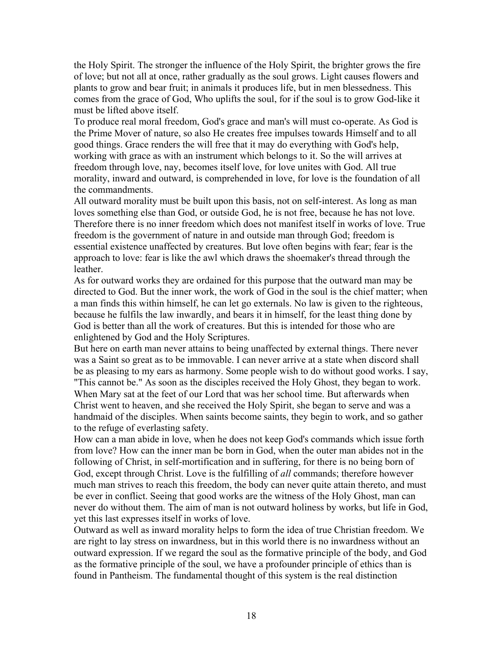the Holy Spirit. The stronger the influence of the Holy Spirit, the brighter grows the fire of love; but not all at once, rather gradually as the soul grows. Light causes flowers and plants to grow and bear fruit; in animals it produces life, but in men blessedness. This comes from the grace of God, Who uplifts the soul, for if the soul is to grow God-like it must be lifted above itself.

To produce real moral freedom, God's grace and man's will must co-operate. As God is the Prime Mover of nature, so also He creates free impulses towards Himself and to all good things. Grace renders the will free that it may do everything with God's help, working with grace as with an instrument which belongs to it. So the will arrives at freedom through love, nay, becomes itself love, for love unites with God. All true morality, inward and outward, is comprehended in love, for love is the foundation of all the commandments.

All outward morality must be built upon this basis, not on self-interest. As long as man loves something else than God, or outside God, he is not free, because he has not love. Therefore there is no inner freedom which does not manifest itself in works of love. True freedom is the government of nature in and outside man through God; freedom is essential existence unaffected by creatures. But love often begins with fear; fear is the approach to love: fear is like the awl which draws the shoemaker's thread through the **leather** 

As for outward works they are ordained for this purpose that the outward man may be directed to God. But the inner work, the work of God in the soul is the chief matter; when a man finds this within himself, he can let go externals. No law is given to the righteous, because he fulfils the law inwardly, and bears it in himself, for the least thing done by God is better than all the work of creatures. But this is intended for those who are enlightened by God and the Holy Scriptures.

But here on earth man never attains to being unaffected by external things. There never was a Saint so great as to be immovable. I can never arrive at a state when discord shall be as pleasing to my ears as harmony. Some people wish to do without good works. I say, "This cannot be." As soon as the disciples received the Holy Ghost, they began to work. When Mary sat at the feet of our Lord that was her school time. But afterwards when Christ went to heaven, and she received the Holy Spirit, she began to serve and was a handmaid of the disciples. When saints become saints, they begin to work, and so gather to the refuge of everlasting safety.

How can a man abide in love, when he does not keep God's commands which issue forth from love? How can the inner man be born in God, when the outer man abides not in the following of Christ, in self-mortification and in suffering, for there is no being born of God, except through Christ. Love is the fulfilling of *all* commands; therefore however much man strives to reach this freedom, the body can never quite attain thereto, and must be ever in conflict. Seeing that good works are the witness of the Holy Ghost, man can never do without them. The aim of man is not outward holiness by works, but life in God, yet this last expresses itself in works of love.

Outward as well as inward morality helps to form the idea of true Christian freedom. We are right to lay stress on inwardness, but in this world there is no inwardness without an outward expression. If we regard the soul as the formative principle of the body, and God as the formative principle of the soul, we have a profounder principle of ethics than is found in Pantheism. The fundamental thought of this system is the real distinction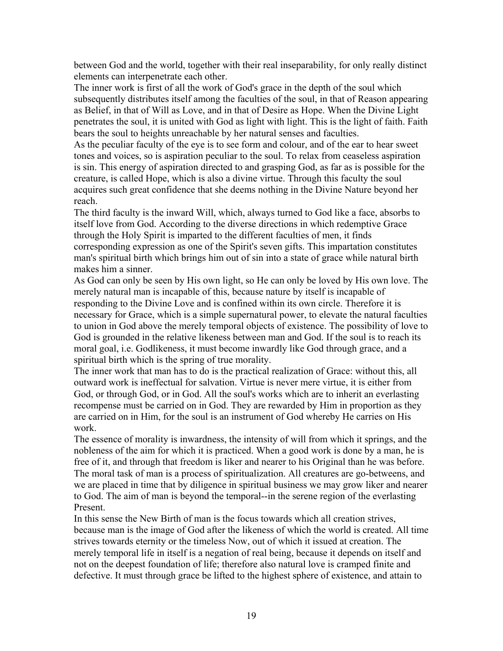between God and the world, together with their real inseparability, for only really distinct elements can interpenetrate each other.

The inner work is first of all the work of God's grace in the depth of the soul which subsequently distributes itself among the faculties of the soul, in that of Reason appearing as Belief, in that of Will as Love, and in that of Desire as Hope. When the Divine Light penetrates the soul, it is united with God as light with light. This is the light of faith. Faith bears the soul to heights unreachable by her natural senses and faculties.

As the peculiar faculty of the eye is to see form and colour, and of the ear to hear sweet tones and voices, so is aspiration peculiar to the soul. To relax from ceaseless aspiration is sin. This energy of aspiration directed to and grasping God, as far as is possible for the creature, is called Hope, which is also a divine virtue. Through this faculty the soul acquires such great confidence that she deems nothing in the Divine Nature beyond her reach.

The third faculty is the inward Will, which, always turned to God like a face, absorbs to itself love from God. According to the diverse directions in which redemptive Grace through the Holy Spirit is imparted to the different faculties of men, it finds corresponding expression as one of the Spirit's seven gifts. This impartation constitutes man's spiritual birth which brings him out of sin into a state of grace while natural birth makes him a sinner.

As God can only be seen by His own light, so He can only be loved by His own love. The merely natural man is incapable of this, because nature by itself is incapable of responding to the Divine Love and is confined within its own circle. Therefore it is necessary for Grace, which is a simple supernatural power, to elevate the natural faculties to union in God above the merely temporal objects of existence. The possibility of love to God is grounded in the relative likeness between man and God. If the soul is to reach its moral goal, i.e. Godlikeness, it must become inwardly like God through grace, and a spiritual birth which is the spring of true morality.

The inner work that man has to do is the practical realization of Grace: without this, all outward work is ineffectual for salvation. Virtue is never mere virtue, it is either from God, or through God, or in God. All the soul's works which are to inherit an everlasting recompense must be carried on in God. They are rewarded by Him in proportion as they are carried on in Him, for the soul is an instrument of God whereby He carries on His work.

The essence of morality is inwardness, the intensity of will from which it springs, and the nobleness of the aim for which it is practiced. When a good work is done by a man, he is free of it, and through that freedom is liker and nearer to his Original than he was before. The moral task of man is a process of spiritualization. All creatures are go-betweens, and we are placed in time that by diligence in spiritual business we may grow liker and nearer to God. The aim of man is beyond the temporal--in the serene region of the everlasting Present.

In this sense the New Birth of man is the focus towards which all creation strives, because man is the image of God after the likeness of which the world is created. All time strives towards eternity or the timeless Now, out of which it issued at creation. The merely temporal life in itself is a negation of real being, because it depends on itself and not on the deepest foundation of life; therefore also natural love is cramped finite and defective. It must through grace be lifted to the highest sphere of existence, and attain to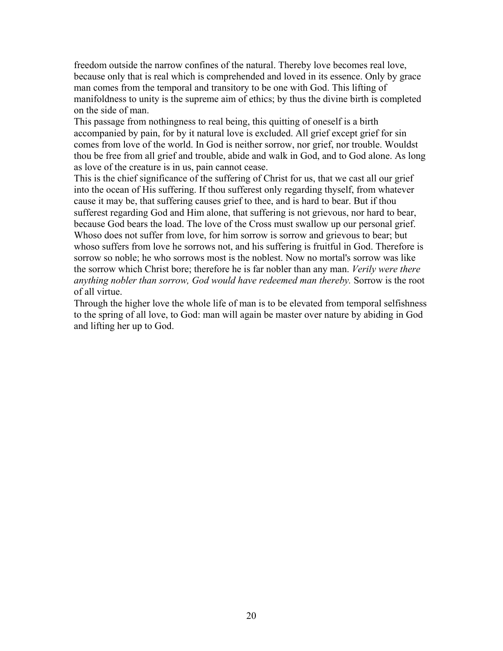freedom outside the narrow confines of the natural. Thereby love becomes real love, because only that is real which is comprehended and loved in its essence. Only by grace man comes from the temporal and transitory to be one with God. This lifting of manifoldness to unity is the supreme aim of ethics; by thus the divine birth is completed on the side of man.

This passage from nothingness to real being, this quitting of oneself is a birth accompanied by pain, for by it natural love is excluded. All grief except grief for sin comes from love of the world. In God is neither sorrow, nor grief, nor trouble. Wouldst thou be free from all grief and trouble, abide and walk in God, and to God alone. As long as love of the creature is in us, pain cannot cease.

This is the chief significance of the suffering of Christ for us, that we cast all our grief into the ocean of His suffering. If thou sufferest only regarding thyself, from whatever cause it may be, that suffering causes grief to thee, and is hard to bear. But if thou sufferest regarding God and Him alone, that suffering is not grievous, nor hard to bear, because God bears the load. The love of the Cross must swallow up our personal grief. Whoso does not suffer from love, for him sorrow is sorrow and grievous to bear; but whoso suffers from love he sorrows not, and his suffering is fruitful in God. Therefore is sorrow so noble; he who sorrows most is the noblest. Now no mortal's sorrow was like the sorrow which Christ bore; therefore he is far nobler than any man. *Verily were there anything nobler than sorrow, God would have redeemed man thereby.* Sorrow is the root of all virtue.

Through the higher love the whole life of man is to be elevated from temporal selfishness to the spring of all love, to God: man will again be master over nature by abiding in God and lifting her up to God.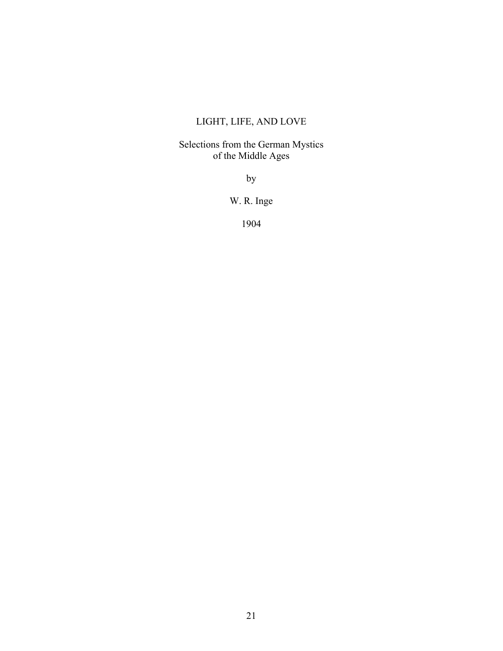# LIGHT, LIFE, AND LOVE

# Selections from the German Mystics of the Middle Ages

by

W. R. Inge

1904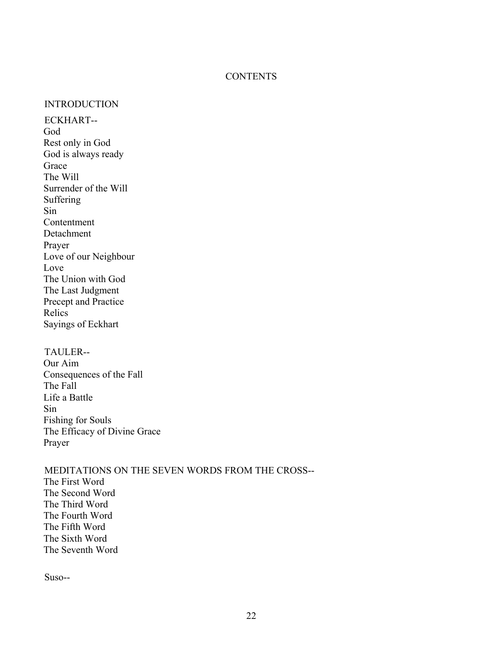# **CONTENTS**

# **INTRODUCTION**

ECKHART-- God Rest only in God God is always ready Grace The Will Surrender of the Will Suffering Sin Contentment Detachment Prayer Love of our Neighbour Love The Union with God The Last Judgment Precept and Practice Relics Sayings of Eckhart

TAULER--

Our Aim Consequences of the Fall The Fall Life a Battle Sin Fishing for Souls The Efficacy of Divine Grace Prayer

# MEDITATIONS ON THE SEVEN WORDS FROM THE CROSS--

The First Word The Second Word The Third Word The Fourth Word The Fifth Word The Sixth Word The Seventh Word

Suso--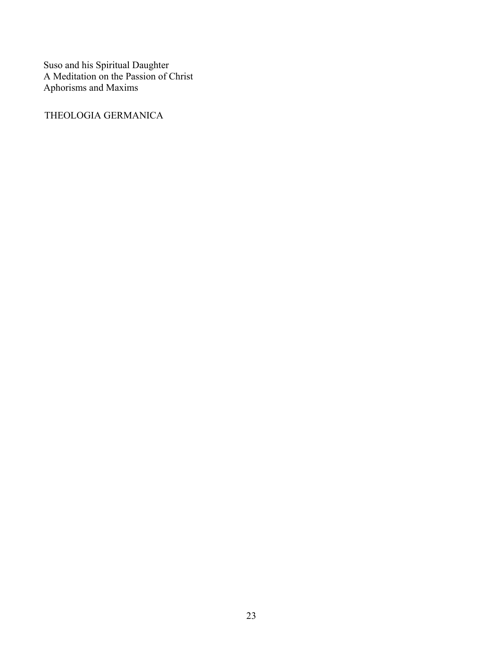Suso and his Spiritual Daughter A Meditation on the Passion of Christ Aphorisms and Maxims

THEOLOGIA GERMANICA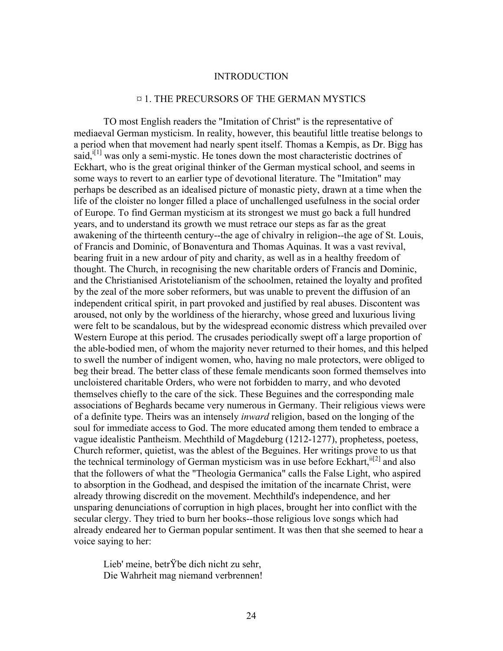# INTRODUCTION

# ¤ 1. THE PRECURSORS OF THE GERMAN MYSTICS

TO most English readers the "Imitation of Christ" is the representative of mediaeval German mysticism. In reality, however, this beautiful little treatise belongs to a period when that movement had nearly spent itself. Thomas a Kempis, as Dr. Bigg has said, $i<sup>[1]</sup>$  was only a semi-mystic. He tones down the most characteristic doctrines of Eckhart, who is the great original thinker of the German mystical school, and seems in some ways to revert to an earlier type of devotional literature. The "Imitation" may perhaps be described as an idealised picture of monastic piety, drawn at a time when the life of the cloister no longer filled a place of unchallenged usefulness in the social order of Europe. To find German mysticism at its strongest we must go back a full hundred years, and to understand its growth we must retrace our steps as far as the great awakening of the thirteenth century--the age of chivalry in religion--the age of St. Louis, of Francis and Dominic, of Bonaventura and Thomas Aquinas. It was a vast revival, bearing fruit in a new ardour of pity and charity, as well as in a healthy freedom of thought. The Church, in recognising the new charitable orders of Francis and Dominic, and the Christianised Aristotelianism of the schoolmen, retained the loyalty and profited by the zeal of the more sober reformers, but was unable to prevent the diffusion of an independent critical spirit, in part provoked and justified by real abuses. Discontent was aroused, not only by the worldiness of the hierarchy, whose greed and luxurious living were felt to be scandalous, but by the widespread economic distress which prevailed over Western Europe at this period. The crusades periodically swept off a large proportion of the able-bodied men, of whom the majority never returned to their homes, and this helped to swell the number of indigent women, who, having no male protectors, were obliged to beg their bread. The better class of these female mendicants soon formed themselves into uncloistered charitable Orders, who were not forbidden to marry, and who devoted themselves chiefly to the care of the sick. These Beguines and the corresponding male associations of Beghards became very numerous in Germany. Their religious views were of a definite type. Theirs was an intensely *inward* religion, based on the longing of the soul for immediate access to God. The more educated among them tended to embrace a vague idealistic Pantheism. Mechthild of Magdeburg (1212-1277), prophetess, poetess, Church reformer, quietist, was the ablest of the Beguines. Her writings prove to us that the technical terminology of German mysticism was in use before Eckhart,  $\mathbb{I}^{2}$  and also that the followers of what the "Theologia Germanica" calls the False Light, who aspired to absorption in the Godhead, and despised the imitation of the incarnate Christ, were already throwing discredit on the movement. Mechthild's independence, and her unsparing denunciations of corruption in high places, brought her into conflict with the secular clergy. They tried to burn her books--those religious love songs which had already endeared her to German popular sentiment. It was then that she seemed to hear a voice saying to her:

Lieb' meine, betrŸbe dich nicht zu sehr, Die Wahrheit mag niemand verbrennen!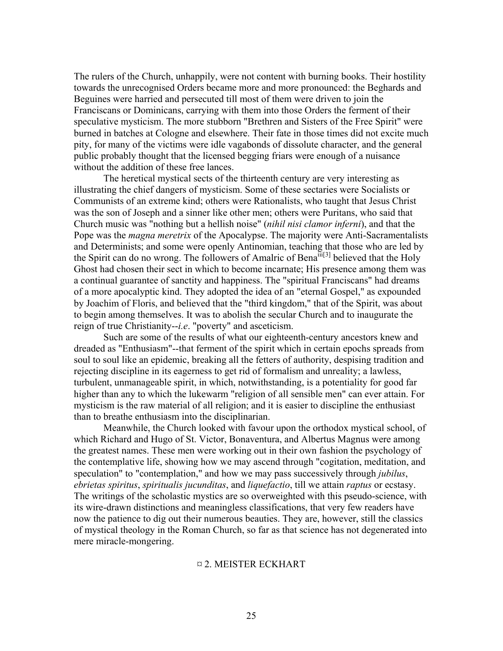The rulers of the Church, unhappily, were not content with burning books. Their hostility towards the unrecognised Orders became more and more pronounced: the Beghards and Beguines were harried and persecuted till most of them were driven to join the Franciscans or Dominicans, carrying with them into those Orders the ferment of their speculative mysticism. The more stubborn "Brethren and Sisters of the Free Spirit" were burned in batches at Cologne and elsewhere. Their fate in those times did not excite much pity, for many of the victims were idle vagabonds of dissolute character, and the general public probably thought that the licensed begging friars were enough of a nuisance without the addition of these free lances.

The heretical mystical sects of the thirteenth century are very interesting as illustrating the chief dangers of mysticism. Some of these sectaries were Socialists or Communists of an extreme kind; others were Rationalists, who taught that Jesus Christ was the son of Joseph and a sinner like other men; others were Puritans, who said that Church music was "nothing but a hellish noise" (*nihil nisi clamor inferni*), and that the Pope was the *magna meretrix* of the Apocalypse. The majority were Anti-Sacramentalists and Determinists; and some were openly Antinomian, teaching that those who are led by the Spirit can do no wrong. The followers of Amalric of Bena<sup>iii[3]</sup> believed that the Holy Ghost had chosen their sect in which to become incarnate; His presence among them was a continual guarantee of sanctity and happiness. The "spiritual Franciscans" had dreams of a more apocalyptic kind. They adopted the idea of an "eternal Gospel," as expounded by Joachim of Floris, and believed that the "third kingdom," that of the Spirit, was about to begin among themselves. It was to abolish the secular Church and to inaugurate the reign of true Christianity--*i.e*. "poverty" and asceticism.

Such are some of the results of what our eighteenth-century ancestors knew and dreaded as "Enthusiasm"--that ferment of the spirit which in certain epochs spreads from soul to soul like an epidemic, breaking all the fetters of authority, despising tradition and rejecting discipline in its eagerness to get rid of formalism and unreality; a lawless, turbulent, unmanageable spirit, in which, notwithstanding, is a potentiality for good far higher than any to which the lukewarm "religion of all sensible men" can ever attain. For mysticism is the raw material of all religion; and it is easier to discipline the enthusiast than to breathe enthusiasm into the disciplinarian.

Meanwhile, the Church looked with favour upon the orthodox mystical school, of which Richard and Hugo of St. Victor, Bonaventura, and Albertus Magnus were among the greatest names. These men were working out in their own fashion the psychology of the contemplative life, showing how we may ascend through "cogitation, meditation, and speculation" to "contemplation," and how we may pass successively through *jubilus*, *ebrietas spiritus*, *spiritualis jucunditas*, and *liquefactio*, till we attain *raptus* or ecstasy. The writings of the scholastic mystics are so overweighted with this pseudo-science, with its wire-drawn distinctions and meaningless classifications, that very few readers have now the patience to dig out their numerous beauties. They are, however, still the classics of mystical theology in the Roman Church, so far as that science has not degenerated into mere miracle-mongering.

#### ¤ 2. MEISTER ECKHART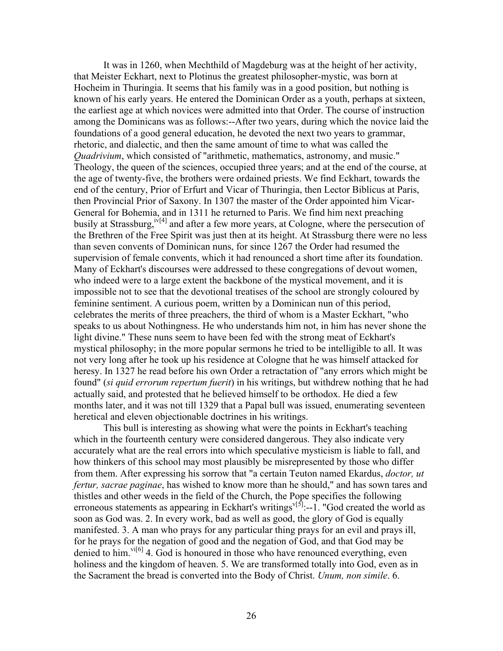It was in 1260, when Mechthild of Magdeburg was at the height of her activity, that Meister Eckhart, next to Plotinus the greatest philosopher-mystic, was born at Hocheim in Thuringia. It seems that his family was in a good position, but nothing is known of his early years. He entered the Dominican Order as a youth, perhaps at sixteen, the earliest age at which novices were admitted into that Order. The course of instruction among the Dominicans was as follows:--After two years, during which the novice laid the foundations of a good general education, he devoted the next two years to grammar, rhetoric, and dialectic, and then the same amount of time to what was called the *Quadrivium*, which consisted of "arithmetic, mathematics, astronomy, and music." Theology, the queen of the sciences, occupied three years; and at the end of the course, at the age of twenty-five, the brothers were ordained priests. We find Eckhart, towards the end of the century, Prior of Erfurt and Vicar of Thuringia, then Lector Biblicus at Paris, then Provincial Prior of Saxony. In 1307 the master of the Order appointed him Vicar-General for Bohemia, and in 1311 he returned to Paris. We find him next preaching busily at Strassburg,  $\frac{W[4]}{W[4]}$  and after a few more years, at Cologne, where the persecution of the Brethren of the Free Spirit was just then at its height. At Strassburg there were no less than seven convents of Dominican nuns, for since 1267 the Order had resumed the supervision of female convents, which it had renounced a short time after its foundation. Many of Eckhart's discourses were addressed to these congregations of devout women, who indeed were to a large extent the backbone of the mystical movement, and it is impossible not to see that the devotional treatises of the school are strongly coloured by feminine sentiment. A curious poem, written by a Dominican nun of this period, celebrates the merits of three preachers, the third of whom is a Master Eckhart, "who speaks to us about Nothingness. He who understands him not, in him has never shone the light divine." These nuns seem to have been fed with the strong meat of Eckhart's mystical philosophy; in the more popular sermons he tried to be intelligible to all. It was not very long after he took up his residence at Cologne that he was himself attacked for heresy. In 1327 he read before his own Order a retractation of "any errors which might be found" (*si quid errorum repertum fuerit*) in his writings, but withdrew nothing that he had actually said, and protested that he believed himself to be orthodox. He died a few months later, and it was not till 1329 that a Papal bull was issued, enumerating seventeen heretical and eleven objectionable doctrines in his writings.

This bull is interesting as showing what were the points in Eckhart's teaching which in the fourteenth century were considered dangerous. They also indicate very accurately what are the real errors into which speculative mysticism is liable to fall, and how thinkers of this school may most plausibly be misrepresented by those who differ from them. After expressing his sorrow that "a certain Teuton named Ekardus, *doctor, ut fertur, sacrae paginae*, has wished to know more than he should," and has sown tares and thistles and other weeds in the field of the Church, the Pope specifies the following erroneous statements as appearing in Eckhart's writings<sup>v[5]</sup>: $-1$ . "God created the world as soon as God was. 2. In every work, bad as well as good, the glory of God is equally manifested. 3. A man who prays for any particular thing prays for an evil and prays ill, for he prays for the negation of good and the negation of God, and that God may be denied to him.  $\frac{v_i[6]}{4}$ . God is honoured in those who have renounced everything, even holiness and the kingdom of heaven. 5. We are transformed totally into God, even as in the Sacrament the bread is converted into the Body of Christ. *Unum, non simile*. 6.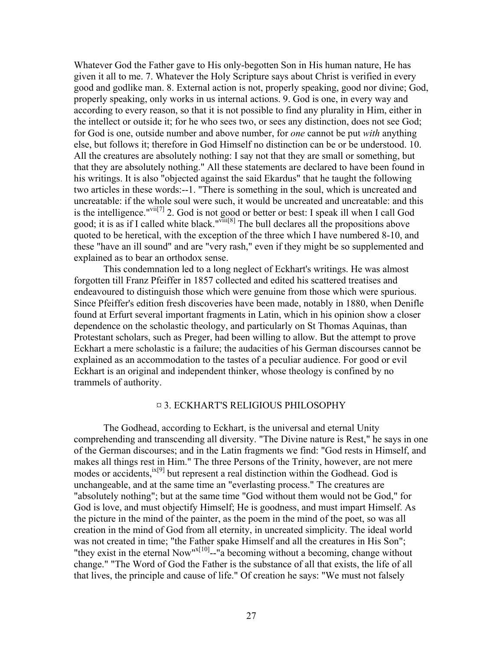Whatever God the Father gave to His only-begotten Son in His human nature, He has given it all to me. 7. Whatever the Holy Scripture says about Christ is verified in every good and godlike man. 8. External action is not, properly speaking, good nor divine; God, properly speaking, only works in us internal actions. 9. God is one, in every way and according to every reason, so that it is not possible to find any plurality in Him, either in the intellect or outside it; for he who sees two, or sees any distinction, does not see God; for God is one, outside number and above number, for *one* cannot be put *with* anything else, but follows it; therefore in God Himself no distinction can be or be understood. 10. All the creatures are absolutely nothing: I say not that they are small or something, but that they are absolutely nothing." All these statements are declared to have been found in his writings. It is also "objected against the said Ekardus" that he taught the following two articles in these words:--1. "There is something in the soul, which is uncreated and uncreatable: if the whole soul were such, it would be uncreated and uncreatable: and this is the intelligence." $\frac{1}{2}$ . God is not good or better or best: I speak ill when I call God good; it is as if I called white black." $\vec{v}$ <sup>1</sup> The bull declares all the propositions above quoted to be heretical, with the exception of the three which I have numbered 8-10, and these "have an ill sound" and are "very rash," even if they might be so supplemented and explained as to bear an orthodox sense.

This condemnation led to a long neglect of Eckhart's writings. He was almost forgotten till Franz Pfeiffer in 1857 collected and edited his scattered treatises and endeavoured to distinguish those which were genuine from those which were spurious. Since Pfeiffer's edition fresh discoveries have been made, notably in 1880, when Denifle found at Erfurt several important fragments in Latin, which in his opinion show a closer dependence on the scholastic theology, and particularly on St Thomas Aquinas, than Protestant scholars, such as Preger, had been willing to allow. But the attempt to prove Eckhart a mere scholastic is a failure; the audacities of his German discourses cannot be explained as an accommodation to the tastes of a peculiar audience. For good or evil Eckhart is an original and independent thinker, whose theology is confined by no trammels of authority.

### ¤ 3. ECKHART'S RELIGIOUS PHILOSOPHY

The Godhead, according to Eckhart, is the universal and eternal Unity comprehending and transcending all diversity. "The Divine nature is Rest," he says in one of the German discourses; and in the Latin fragments we find: "God rests in Himself, and makes all things rest in Him." The three Persons of the Trinity, however, are not mere modes or accidents, <sup>[ix\[](#page-91-7)9]</sup> but represent a real distinction within the Godhead. God is unchangeable, and at the same time an "everlasting process." The creatures are "absolutely nothing"; but at the same time "God without them would not be God," for God is love, and must objectify Himself; He is goodness, and must impart Himself. As the picture in the mind of the painter, as the poem in the mind of the poet, so was all creation in the mind of God from all eternity, in uncreated simplicity. The ideal world was not created in time; "the Father spake Himself and all the creatures in His Son"; "they exist in the eternal Now" $x^{[10]}$ --"a becoming without a becoming, change without change." "The Word of God the Father is the substance of all that exists, the life of all that lives, the principle and cause of life." Of creation he says: "We must not falsely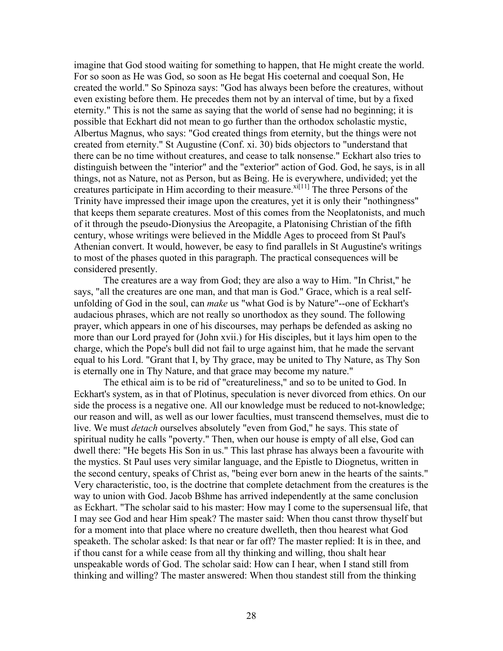imagine that God stood waiting for something to happen, that He might create the world. For so soon as He was God, so soon as He begat His coeternal and coequal Son, He created the world." So Spinoza says: "God has always been before the creatures, without even existing before them. He precedes them not by an interval of time, but by a fixed eternity." This is not the same as saying that the world of sense had no beginning; it is possible that Eckhart did not mean to go further than the orthodox scholastic mystic, Albertus Magnus, who says: "God created things from eternity, but the things were not created from eternity." St Augustine (Conf. xi. 30) bids objectors to "understand that there can be no time without creatures, and cease to talk nonsense." Eckhart also tries to distinguish between the "interior" and the "exterior" action of God. God, he says, is in all things, not as Nature, not as Person, but as Being. He is everywhere, undivided; yet the creatures participate in Him according to their measure.<sup>xi[11]</sup> The three Persons of the Trinity have impressed their image upon the creatures, yet it is only their "nothingness" that keeps them separate creatures. Most of this comes from the Neoplatonists, and much of it through the pseudo-Dionysius the Areopagite, a Platonising Christian of the fifth century, whose writings were believed in the Middle Ages to proceed from St Paul's Athenian convert. It would, however, be easy to find parallels in St Augustine's writings to most of the phases quoted in this paragraph. The practical consequences will be considered presently.

The creatures are a way from God; they are also a way to Him. "In Christ," he says, "all the creatures are one man, and that man is God." Grace, which is a real selfunfolding of God in the soul, can *make* us "what God is by Nature"--one of Eckhart's audacious phrases, which are not really so unorthodox as they sound. The following prayer, which appears in one of his discourses, may perhaps be defended as asking no more than our Lord prayed for (John xvii.) for His disciples, but it lays him open to the charge, which the Pope's bull did not fail to urge against him, that he made the servant equal to his Lord. "Grant that I, by Thy grace, may be united to Thy Nature, as Thy Son is eternally one in Thy Nature, and that grace may become my nature."

The ethical aim is to be rid of "creatureliness," and so to be united to God. In Eckhart's system, as in that of Plotinus, speculation is never divorced from ethics. On our side the process is a negative one. All our knowledge must be reduced to not-knowledge; our reason and will, as well as our lower faculties, must transcend themselves, must die to live. We must *detach* ourselves absolutely "even from God," he says. This state of spiritual nudity he calls "poverty." Then, when our house is empty of all else, God can dwell there: "He begets His Son in us." This last phrase has always been a favourite with the mystics. St Paul uses very similar language, and the Epistle to Diognetus, written in the second century, speaks of Christ as, "being ever born anew in the hearts of the saints." Very characteristic, too, is the doctrine that complete detachment from the creatures is the way to union with God. Jacob Bšhme has arrived independently at the same conclusion as Eckhart. "The scholar said to his master: How may I come to the supersensual life, that I may see God and hear Him speak? The master said: When thou canst throw thyself but for a moment into that place where no creature dwelleth, then thou hearest what God speaketh. The scholar asked: Is that near or far off? The master replied: It is in thee, and if thou canst for a while cease from all thy thinking and willing, thou shalt hear unspeakable words of God. The scholar said: How can I hear, when I stand still from thinking and willing? The master answered: When thou standest still from the thinking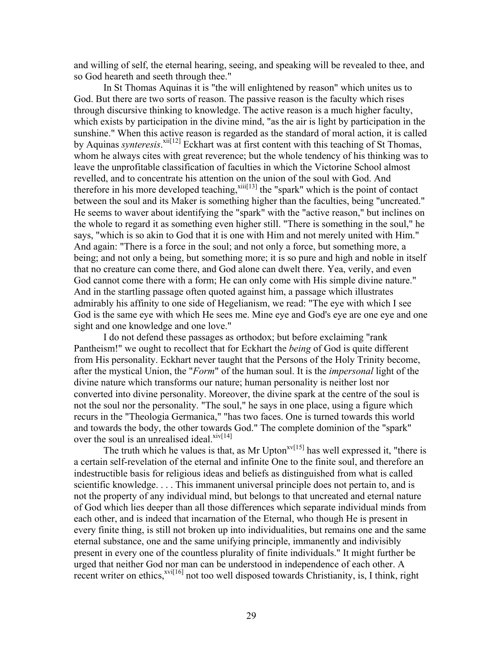and willing of self, the eternal hearing, seeing, and speaking will be revealed to thee, and so God heareth and seeth through thee."

In St Thomas Aquinas it is "the will enlightened by reason" which unites us to God. But there are two sorts of reason. The passive reason is the faculty which rises through discursive thinking to knowledge. The active reason is a much higher faculty, which exists by participation in the divine mind, "as the air is light by participation in the sunshine." When this active reason is regarded as the standard of moral action, it is called by Aquinas *synteresis*.<sup>[xii\[](#page-91-9)12]</sup> Eckhart was at first content with this teaching of St Thomas, whom he always cites with great reverence; but the whole tendency of his thinking was to leave the unprofitable classification of faculties in which the Victorine School almost revelled, and to concentrate his attention on the union of the soul with God. And therefore in his more developed teaching, $x^{\text{iiif}[13]}$  the "spark" which is the point of contact between the soul and its Maker is something higher than the faculties, being "uncreated." He seems to waver about identifying the "spark" with the "active reason," but inclines on the whole to regard it as something even higher still. "There is something in the soul," he says, "which is so akin to God that it is one with Him and not merely united with Him." And again: "There is a force in the soul; and not only a force, but something more, a being; and not only a being, but something more; it is so pure and high and noble in itself that no creature can come there, and God alone can dwelt there. Yea, verily, and even God cannot come there with a form; He can only come with His simple divine nature." And in the startling passage often quoted against him, a passage which illustrates admirably his affinity to one side of Hegelianism, we read: "The eye with which I see God is the same eye with which He sees me. Mine eye and God's eye are one eye and one sight and one knowledge and one love."

I do not defend these passages as orthodox; but before exclaiming "rank Pantheism!" we ought to recollect that for Eckhart the *being* of God is quite different from His personality. Eckhart never taught that the Persons of the Holy Trinity become, after the mystical Union, the "*Form*" of the human soul. It is the *impersonal* light of the divine nature which transforms our nature; human personality is neither lost nor converted into divine personality. Moreover, the divine spark at the centre of the soul is not the soul nor the personality. "The soul," he says in one place, using a figure which recurs in the "Theologia Germanica," "has two faces. One is turned towards this world and towards the body, the other towards God." The complete dominion of the "spark" over the soul is an unrealised ideal. $x$ iv[14]

The truth which he values is that, as Mr Upton<sup> $xv[15]$ </sup> has well expressed it, "there is a certain self-revelation of the eternal and infinite One to the finite soul, and therefore an indestructible basis for religious ideas and beliefs as distinguished from what is called scientific knowledge. . . . This immanent universal principle does not pertain to, and is not the property of any individual mind, but belongs to that uncreated and eternal nature of God which lies deeper than all those differences which separate individual minds from each other, and is indeed that incarnation of the Eternal, who though He is present in every finite thing, is still not broken up into individualities, but remains one and the same eternal substance, one and the same unifying principle, immanently and indivisibly present in every one of the countless plurality of finite individuals." It might further be urged that neither God nor man can be understood in independence of each other. A recent writer on ethics,<sup>xvi[16]</sup> not too well disposed towards Christianity, is, I think, right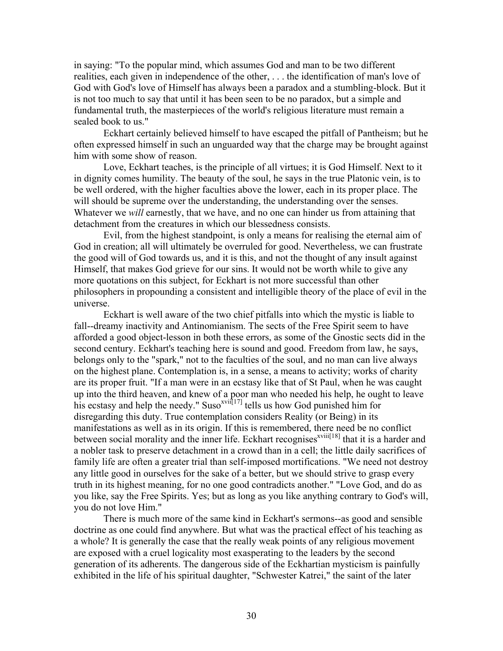in saying: "To the popular mind, which assumes God and man to be two different realities, each given in independence of the other, . . . the identification of man's love of God with God's love of Himself has always been a paradox and a stumbling-block. But it is not too much to say that until it has been seen to be no paradox, but a simple and fundamental truth, the masterpieces of the world's religious literature must remain a sealed book to us."

Eckhart certainly believed himself to have escaped the pitfall of Pantheism; but he often expressed himself in such an unguarded way that the charge may be brought against him with some show of reason.

Love, Eckhart teaches, is the principle of all virtues; it is God Himself. Next to it in dignity comes humility. The beauty of the soul, he says in the true Platonic vein, is to be well ordered, with the higher faculties above the lower, each in its proper place. The will should be supreme over the understanding, the understanding over the senses. Whatever we *will* earnestly, that we have, and no one can hinder us from attaining that detachment from the creatures in which our blessedness consists.

Evil, from the highest standpoint, is only a means for realising the eternal aim of God in creation; all will ultimately be overruled for good. Nevertheless, we can frustrate the good will of God towards us, and it is this, and not the thought of any insult against Himself, that makes God grieve for our sins. It would not be worth while to give any more quotations on this subject, for Eckhart is not more successful than other philosophers in propounding a consistent and intelligible theory of the place of evil in the universe.

Eckhart is well aware of the two chief pitfalls into which the mystic is liable to fall--dreamy inactivity and Antinomianism. The sects of the Free Spirit seem to have afforded a good object-lesson in both these errors, as some of the Gnostic sects did in the second century. Eckhart's teaching here is sound and good. Freedom from law, he says, belongs only to the "spark," not to the faculties of the soul, and no man can live always on the highest plane. Contemplation is, in a sense, a means to activity; works of charity are its proper fruit. "If a man were in an ecstasy like that of St Paul, when he was caught up into the third heaven, and knew of a poor man who needed his help, he ought to leave his ecstasy and help the needy." Suso  $\frac{x}{17}$  tells us how God punished him for disregarding this duty. True contemplation considers Reality (or Being) in its manifestations as well as in its origin. If this is remembered, there need be no conflict between social morality and the inner life. Eckhart recognises<sup>[xviii\[](#page-91-10)18]</sup> that it is a harder and a nobler task to preserve detachment in a crowd than in a cell; the little daily sacrifices of family life are often a greater trial than self-imposed mortifications. "We need not destroy any little good in ourselves for the sake of a better, but we should strive to grasp every truth in its highest meaning, for no one good contradicts another." "Love God, and do as you like, say the Free Spirits. Yes; but as long as you like anything contrary to God's will, you do not love Him."

There is much more of the same kind in Eckhart's sermons--as good and sensible doctrine as one could find anywhere. But what was the practical effect of his teaching as a whole? It is generally the case that the really weak points of any religious movement are exposed with a cruel logicality most exasperating to the leaders by the second generation of its adherents. The dangerous side of the Eckhartian mysticism is painfully exhibited in the life of his spiritual daughter, "Schwester Katrei," the saint of the later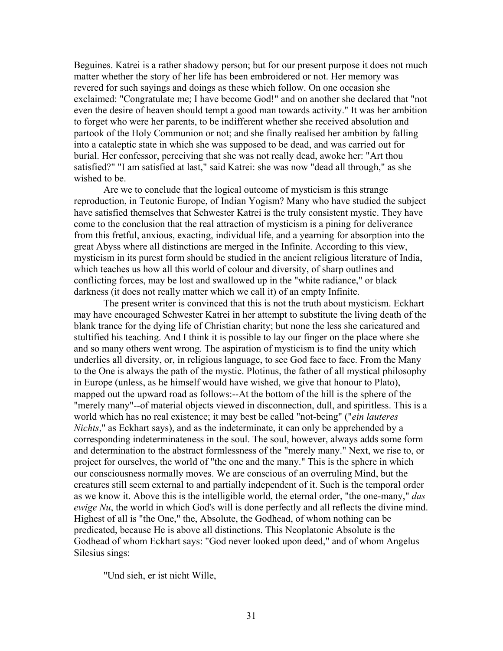Beguines. Katrei is a rather shadowy person; but for our present purpose it does not much matter whether the story of her life has been embroidered or not. Her memory was revered for such sayings and doings as these which follow. On one occasion she exclaimed: "Congratulate me; I have become God!" and on another she declared that "not even the desire of heaven should tempt a good man towards activity." It was her ambition to forget who were her parents, to be indifferent whether she received absolution and partook of the Holy Communion or not; and she finally realised her ambition by falling into a cataleptic state in which she was supposed to be dead, and was carried out for burial. Her confessor, perceiving that she was not really dead, awoke her: "Art thou satisfied?" "I am satisfied at last," said Katrei: she was now "dead all through," as she wished to be.

Are we to conclude that the logical outcome of mysticism is this strange reproduction, in Teutonic Europe, of Indian Yogism? Many who have studied the subject have satisfied themselves that Schwester Katrei is the truly consistent mystic. They have come to the conclusion that the real attraction of mysticism is a pining for deliverance from this fretful, anxious, exacting, individual life, and a yearning for absorption into the great Abyss where all distinctions are merged in the Infinite. According to this view, mysticism in its purest form should be studied in the ancient religious literature of India, which teaches us how all this world of colour and diversity, of sharp outlines and conflicting forces, may be lost and swallowed up in the "white radiance," or black darkness (it does not really matter which we call it) of an empty Infinite.

The present writer is convinced that this is not the truth about mysticism. Eckhart may have encouraged Schwester Katrei in her attempt to substitute the living death of the blank trance for the dying life of Christian charity; but none the less she caricatured and stultified his teaching. And I think it is possible to lay our finger on the place where she and so many others went wrong. The aspiration of mysticism is to find the unity which underlies all diversity, or, in religious language, to see God face to face. From the Many to the One is always the path of the mystic. Plotinus, the father of all mystical philosophy in Europe (unless, as he himself would have wished, we give that honour to Plato), mapped out the upward road as follows:--At the bottom of the hill is the sphere of the "merely many"--of material objects viewed in disconnection, dull, and spiritless. This is a world which has no real existence; it may best be called "not-being" ("*ein lauteres Nichts*," as Eckhart says), and as the indeterminate, it can only be apprehended by a corresponding indeterminateness in the soul. The soul, however, always adds some form and determination to the abstract formlessness of the "merely many." Next, we rise to, or project for ourselves, the world of "the one and the many." This is the sphere in which our consciousness normally moves. We are conscious of an overruling Mind, but the creatures still seem external to and partially independent of it. Such is the temporal order as we know it. Above this is the intelligible world, the eternal order, "the one-many," *das ewige Nu*, the world in which God's will is done perfectly and all reflects the divine mind. Highest of all is "the One," the, Absolute, the Godhead, of whom nothing can be predicated, because He is above all distinctions. This Neoplatonic Absolute is the Godhead of whom Eckhart says: "God never looked upon deed," and of whom Angelus Silesius sings:

"Und sieh, er ist nicht Wille,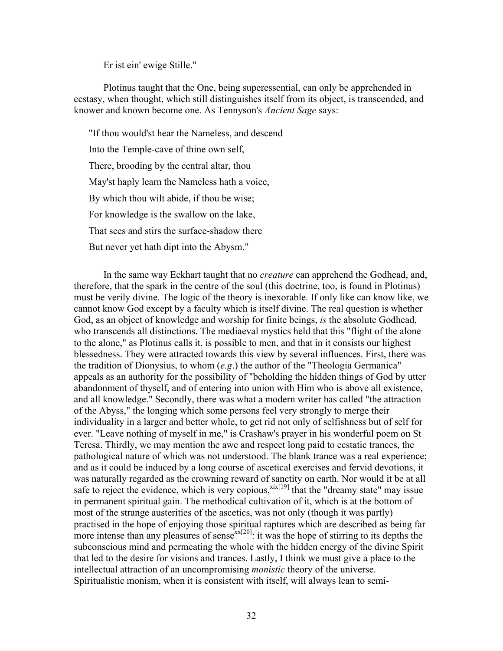Er ist ein' ewige Stille."

Plotinus taught that the One, being superessential, can only be apprehended in ecstasy, when thought, which still distinguishes itself from its object, is transcended, and knower and known become one. As Tennyson's *Ancient Sage* says:

"If thou would'st hear the Nameless, and descend Into the Temple-cave of thine own self, There, brooding by the central altar, thou May'st haply learn the Nameless hath a voice, By which thou wilt abide, if thou be wise; For knowledge is the swallow on the lake, That sees and stirs the surface-shadow there But never yet hath dipt into the Abysm."

In the same way Eckhart taught that no *creature* can apprehend the Godhead, and, therefore, that the spark in the centre of the soul (this doctrine, too, is found in Plotinus) must be verily divine. The logic of the theory is inexorable. If only like can know like, we cannot know God except by a faculty which is itself divine. The real question is whether God, as an object of knowledge and worship for finite beings, *is* the absolute Godhead, who transcends all distinctions. The mediaeval mystics held that this "flight of the alone to the alone," as Plotinus calls it, is possible to men, and that in it consists our highest blessedness. They were attracted towards this view by several influences. First, there was the tradition of Dionysius, to whom (*e.g*.) the author of the "Theologia Germanica" appeals as an authority for the possibility of "beholding the hidden things of God by utter abandonment of thyself, and of entering into union with Him who is above all existence, and all knowledge." Secondly, there was what a modern writer has called "the attraction of the Abyss," the longing which some persons feel very strongly to merge their individuality in a larger and better whole, to get rid not only of selfishness but of self for ever. "Leave nothing of myself in me," is Crashaw's prayer in his wonderful poem on St Teresa. Thirdly, we may mention the awe and respect long paid to ecstatic trances, the pathological nature of which was not understood. The blank trance was a real experience; and as it could be induced by a long course of ascetical exercises and fervid devotions, it was naturally regarded as the crowning reward of sanctity on earth. Nor would it be at all safe to reject the evidence, which is very copious, $x$ ix $[19]$  that the "dreamy state" may issue in permanent spiritual gain. The methodical cultivation of it, which is at the bottom of most of the strange austerities of the ascetics, was not only (though it was partly) practised in the hope of enjoying those spiritual raptures which are described as being far more intense than any pleasures of sense<sup>xx[20]</sup>: it was the hope of stirring to its depths the subconscious mind and permeating the whole with the hidden energy of the divine Spirit that led to the desire for visions and trances. Lastly, I think we must give a place to the intellectual attraction of an uncompromising *monistic* theory of the universe. Spiritualistic monism, when it is consistent with itself, will always lean to semi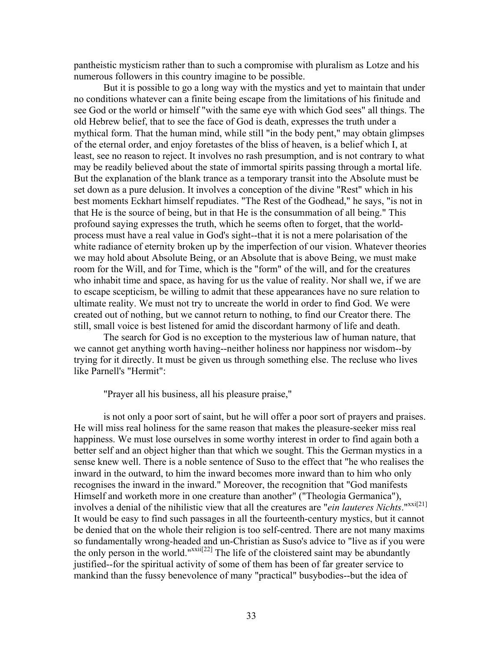pantheistic mysticism rather than to such a compromise with pluralism as Lotze and his numerous followers in this country imagine to be possible.

But it is possible to go a long way with the mystics and yet to maintain that under no conditions whatever can a finite being escape from the limitations of his finitude and see God or the world or himself "with the same eye with which God sees" all things. The old Hebrew belief, that to see the face of God is death, expresses the truth under a mythical form. That the human mind, while still "in the body pent," may obtain glimpses of the eternal order, and enjoy foretastes of the bliss of heaven, is a belief which I, at least, see no reason to reject. It involves no rash presumption, and is not contrary to what may be readily believed about the state of immortal spirits passing through a mortal life. But the explanation of the blank trance as a temporary transit into the Absolute must be set down as a pure delusion. It involves a conception of the divine "Rest" which in his best moments Eckhart himself repudiates. "The Rest of the Godhead," he says, "is not in that He is the source of being, but in that He is the consummation of all being." This profound saying expresses the truth, which he seems often to forget, that the worldprocess must have a real value in God's sight--that it is not a mere polarisation of the white radiance of eternity broken up by the imperfection of our vision. Whatever theories we may hold about Absolute Being, or an Absolute that is above Being, we must make room for the Will, and for Time, which is the "form" of the will, and for the creatures who inhabit time and space, as having for us the value of reality. Nor shall we, if we are to escape scepticism, be willing to admit that these appearances have no sure relation to ultimate reality. We must not try to uncreate the world in order to find God. We were created out of nothing, but we cannot return to nothing, to find our Creator there. The still, small voice is best listened for amid the discordant harmony of life and death.

The search for God is no exception to the mysterious law of human nature, that we cannot get anything worth having--neither holiness nor happiness nor wisdom--by trying for it directly. It must be given us through something else. The recluse who lives like Parnell's "Hermit":

"Prayer all his business, all his pleasure praise,"

is not only a poor sort of saint, but he will offer a poor sort of prayers and praises. He will miss real holiness for the same reason that makes the pleasure-seeker miss real happiness. We must lose ourselves in some worthy interest in order to find again both a better self and an object higher than that which we sought. This the German mystics in a sense knew well. There is a noble sentence of Suso to the effect that "he who realises the inward in the outward, to him the inward becomes more inward than to him who only recognises the inward in the inward." Moreover, the recognition that "God manifests Himself and worketh more in one creature than another" ("Theologia Germanica"), involves a denial of the nihilistic view that all the creatures are "*ein lauteres Nichts*."<sup>[xxi\[](#page-91-4)21]</sup> It would be easy to find such passages in all the fourteenth-century mystics, but it cannot be denied that on the whole their religion is too self-centred. There are not many maxims so fundamentally wrong-headed and un-Christian as Suso's advice to "live as if you were the only person in the world." $x^{\text{xxii}[22]}$  $x^{\text{xxii}[22]}$  $x^{\text{xxii}[22]}$  The life of the cloistered saint may be abundantly justified--for the spiritual activity of some of them has been of far greater service to mankind than the fussy benevolence of many "practical" busybodies--but the idea of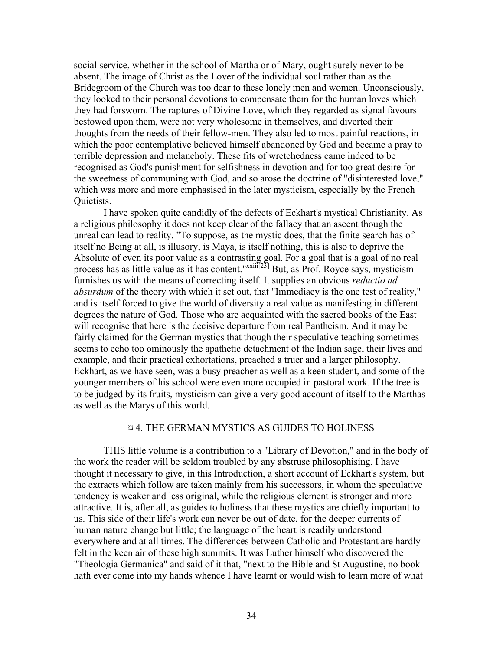social service, whether in the school of Martha or of Mary, ought surely never to be absent. The image of Christ as the Lover of the individual soul rather than as the Bridegroom of the Church was too dear to these lonely men and women. Unconsciously, they looked to their personal devotions to compensate them for the human loves which they had forsworn. The raptures of Divine Love, which they regarded as signal favours bestowed upon them, were not very wholesome in themselves, and diverted their thoughts from the needs of their fellow-men. They also led to most painful reactions, in which the poor contemplative believed himself abandoned by God and became a pray to terrible depression and melancholy. These fits of wretchedness came indeed to be recognised as God's punishment for selfishness in devotion and for too great desire for the sweetness of communing with God, and so arose the doctrine of "disinterested love," which was more and more emphasised in the later mysticism, especially by the French Quietists.

I have spoken quite candidly of the defects of Eckhart's mystical Christianity. As a religious philosophy it does not keep clear of the fallacy that an ascent though the unreal can lead to reality. "To suppose, as the mystic does, that the finite search has of itself no Being at all, is illusory, is Maya, is itself nothing, this is also to deprive the Absolute of even its poor value as a contrasting goal. For a goal that is a goal of no real process has as little value as it has content." $x^{\text{xxiii}[23]}$  $x^{\text{xxiii}[23]}$  $x^{\text{xxiii}[23]}$  But, as Prof. Royce says, mysticism furnishes us with the means of correcting itself. It supplies an obvious *reductio ad absurdum* of the theory with which it set out, that "Immediacy is the one test of reality," and is itself forced to give the world of diversity a real value as manifesting in different degrees the nature of God. Those who are acquainted with the sacred books of the East will recognise that here is the decisive departure from real Pantheism. And it may be fairly claimed for the German mystics that though their speculative teaching sometimes seems to echo too ominously the apathetic detachment of the Indian sage, their lives and example, and their practical exhortations, preached a truer and a larger philosophy. Eckhart, as we have seen, was a busy preacher as well as a keen student, and some of the younger members of his school were even more occupied in pastoral work. If the tree is to be judged by its fruits, mysticism can give a very good account of itself to the Marthas as well as the Marys of this world.

#### ¤ 4. THE GERMAN MYSTICS AS GUIDES TO HOLINESS

THIS little volume is a contribution to a "Library of Devotion," and in the body of the work the reader will be seldom troubled by any abstruse philosophising. I have thought it necessary to give, in this Introduction, a short account of Eckhart's system, but the extracts which follow are taken mainly from his successors, in whom the speculative tendency is weaker and less original, while the religious element is stronger and more attractive. It is, after all, as guides to holiness that these mystics are chiefly important to us. This side of their life's work can never be out of date, for the deeper currents of human nature change but little; the language of the heart is readily understood everywhere and at all times. The differences between Catholic and Protestant are hardly felt in the keen air of these high summits. It was Luther himself who discovered the "Theologia Germanica" and said of it that, "next to the Bible and St Augustine, no book hath ever come into my hands whence I have learnt or would wish to learn more of what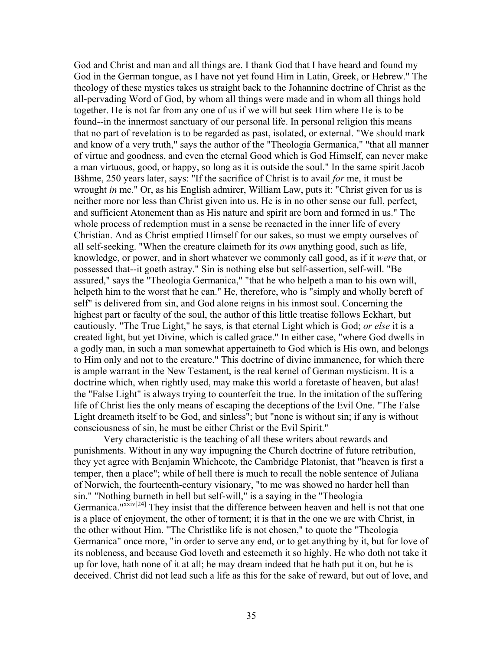God and Christ and man and all things are. I thank God that I have heard and found my God in the German tongue, as I have not yet found Him in Latin, Greek, or Hebrew." The theology of these mystics takes us straight back to the Johannine doctrine of Christ as the all-pervading Word of God, by whom all things were made and in whom all things hold together. He is not far from any one of us if we will but seek Him where He is to be found--in the innermost sanctuary of our personal life. In personal religion this means that no part of revelation is to be regarded as past, isolated, or external. "We should mark and know of a very truth," says the author of the "Theologia Germanica," "that all manner of virtue and goodness, and even the eternal Good which is God Himself, can never make a man virtuous, good, or happy, so long as it is outside the soul." In the same spirit Jacob Bšhme, 250 years later, says: "If the sacrifice of Christ is to avail *for* me, it must be wrought *in* me." Or, as his English admirer, William Law, puts it: "Christ given for us is neither more nor less than Christ given into us. He is in no other sense our full, perfect, and sufficient Atonement than as His nature and spirit are born and formed in us." The whole process of redemption must in a sense be reenacted in the inner life of every Christian. And as Christ emptied Himself for our sakes, so must we empty ourselves of all self-seeking. "When the creature claimeth for its *own* anything good, such as life, knowledge, or power, and in short whatever we commonly call good, as if it *were* that, or possessed that--it goeth astray." Sin is nothing else but self-assertion, self-will. "Be assured," says the "Theologia Germanica," "that he who helpeth a man to his own will, helpeth him to the worst that he can." He, therefore, who is "simply and wholly bereft of self" is delivered from sin, and God alone reigns in his inmost soul. Concerning the highest part or faculty of the soul, the author of this little treatise follows Eckhart, but cautiously. "The True Light," he says, is that eternal Light which is God; *or else* it is a created light, but yet Divine, which is called grace." In either case, "where God dwells in a godly man, in such a man somewhat appertaineth to God which is His own, and belongs to Him only and not to the creature." This doctrine of divine immanence, for which there is ample warrant in the New Testament, is the real kernel of German mysticism. It is a doctrine which, when rightly used, may make this world a foretaste of heaven, but alas! the "False Light" is always trying to counterfeit the true. In the imitation of the suffering life of Christ lies the only means of escaping the deceptions of the Evil One. "The False Light dreameth itself to be God, and sinless"; but "none is without sin; if any is without consciousness of sin, he must be either Christ or the Evil Spirit."

Very characteristic is the teaching of all these writers about rewards and punishments. Without in any way impugning the Church doctrine of future retribution, they yet agree with Benjamin Whichcote, the Cambridge Platonist, that "heaven is first a temper, then a place"; while of hell there is much to recall the noble sentence of Juliana of Norwich, the fourteenth-century visionary, "to me was showed no harder hell than sin." "Nothing burneth in hell but self-will," is a saying in the "Theologia Germanica."<sup>[xxiv\[](#page-91-4)24]</sup> They insist that the difference between heaven and hell is not that one is a place of enjoyment, the other of torment; it is that in the one we are with Christ, in the other without Him. "The Christlike life is not chosen," to quote the "Theologia Germanica" once more, "in order to serve any end, or to get anything by it, but for love of its nobleness, and because God loveth and esteemeth it so highly. He who doth not take it up for love, hath none of it at all; he may dream indeed that he hath put it on, but he is deceived. Christ did not lead such a life as this for the sake of reward, but out of love, and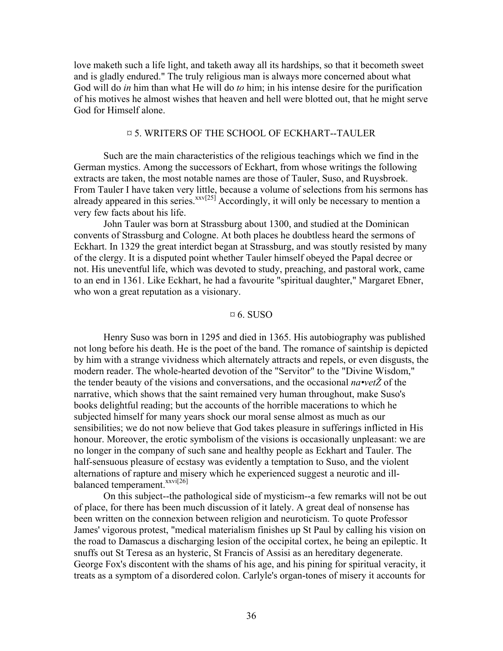love maketh such a life light, and taketh away all its hardships, so that it becometh sweet and is gladly endured." The truly religious man is always more concerned about what God will do *in* him than what He will do *to* him; in his intense desire for the purification of his motives he almost wishes that heaven and hell were blotted out, that he might serve God for Himself alone.

#### ¤ 5. WRITERS OF THE SCHOOL OF ECKHART--TAULER

Such are the main characteristics of the religious teachings which we find in the German mystics. Among the successors of Eckhart, from whose writings the following extracts are taken, the most notable names are those of Tauler, Suso, and Ruysbroek. From Tauler I have taken very little, because a volume of selections from his sermons has already appeared in this series. $x^{x}$ <sup>[25]</sup> Accordingly, it will only be necessary to mention a very few facts about his life.

John Tauler was born at Strassburg about 1300, and studied at the Dominican convents of Strassburg and Cologne. At both places he doubtless heard the sermons of Eckhart. In 1329 the great interdict began at Strassburg, and was stoutly resisted by many of the clergy. It is a disputed point whether Tauler himself obeyed the Papal decree or not. His uneventful life, which was devoted to study, preaching, and pastoral work, came to an end in 1361. Like Eckhart, he had a favourite "spiritual daughter," Margaret Ebner, who won a great reputation as a visionary.

#### $\alpha$  6. SUSO

Henry Suso was born in 1295 and died in 1365. His autobiography was published not long before his death. He is the poet of the band. The romance of saintship is depicted by him with a strange vividness which alternately attracts and repels, or even disgusts, the modern reader. The whole-hearted devotion of the "Servitor" to the "Divine Wisdom," the tender beauty of the visions and conversations, and the occasional *na•vetŽ* of the narrative, which shows that the saint remained very human throughout, make Suso's books delightful reading; but the accounts of the horrible macerations to which he subjected himself for many years shock our moral sense almost as much as our sensibilities; we do not now believe that God takes pleasure in sufferings inflicted in His honour. Moreover, the erotic symbolism of the visions is occasionally unpleasant: we are no longer in the company of such sane and healthy people as Eckhart and Tauler. The half-sensuous pleasure of ecstasy was evidently a temptation to Suso, and the violent alternations of rapture and misery which he experienced suggest a neurotic and illbalanced temperament.<sup>[xxvi](#page-91-18)[26]</sup>

On this subject--the pathological side of mysticism--a few remarks will not be out of place, for there has been much discussion of it lately. A great deal of nonsense has been written on the connexion between religion and neuroticism. To quote Professor James' vigorous protest, "medical materialism finishes up St Paul by calling his vision on the road to Damascus a discharging lesion of the occipital cortex, he being an epileptic. It snuffs out St Teresa as an hysteric, St Francis of Assisi as an hereditary degenerate. George Fox's discontent with the shams of his age, and his pining for spiritual veracity, it treats as a symptom of a disordered colon. Carlyle's organ-tones of misery it accounts for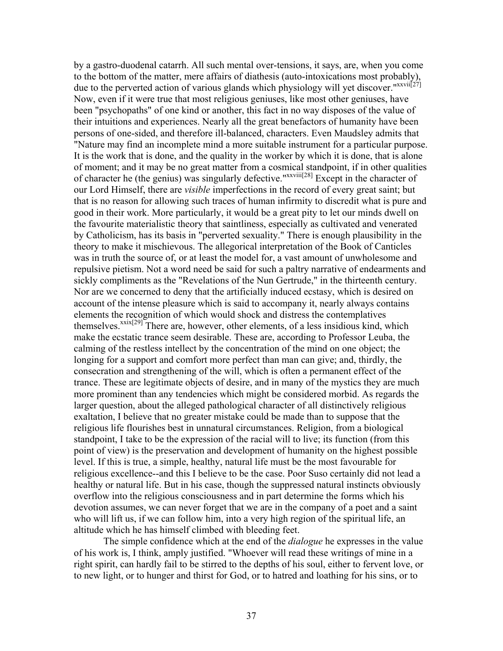by a gastro-duodenal catarrh. All such mental over-tensions, it says, are, when you come to the bottom of the matter, mere affairs of diathesis (auto-intoxications most probably), due to the perverted action of various glands which physiology will yet discover."[xxvii](#page-91-0)[27] Now, even if it were true that most religious geniuses, like most other geniuses, have been "psychopaths" of one kind or another, this fact in no way disposes of the value of their intuitions and experiences. Nearly all the great benefactors of humanity have been persons of one-sided, and therefore ill-balanced, characters. Even Maudsley admits that "Nature may find an incomplete mind a more suitable instrument for a particular purpose. It is the work that is done, and the quality in the worker by which it is done, that is alone of moment; and it may be no great matter from a cosmical standpoint, if in other qualities of character he (the genius) was singularly defective."[xxviii](#page-91-1)[28] Except in the character of our Lord Himself, there are *visible* imperfections in the record of every great saint; but that is no reason for allowing such traces of human infirmity to discredit what is pure and good in their work. More particularly, it would be a great pity to let our minds dwell on the favourite materialistic theory that saintliness, especially as cultivated and venerated by Catholicism, has its basis in "perverted sexuality." There is enough plausibility in the theory to make it mischievous. The allegorical interpretation of the Book of Canticles was in truth the source of, or at least the model for, a vast amount of unwholesome and repulsive pietism. Not a word need be said for such a paltry narrative of endearments and sickly compliments as the "Revelations of the Nun Gertrude," in the thirteenth century. Nor are we concerned to deny that the artificially induced ecstasy, which is desired on account of the intense pleasure which is said to accompany it, nearly always contains elements the recognition of which would shock and distress the contemplatives themselves. $x$ xix $[29]$  There are, however, other elements, of a less insidious kind, which make the ecstatic trance seem desirable. These are, according to Professor Leuba, the calming of the restless intellect by the concentration of the mind on one object; the longing for a support and comfort more perfect than man can give; and, thirdly, the consecration and strengthening of the will, which is often a permanent effect of the trance. These are legitimate objects of desire, and in many of the mystics they are much more prominent than any tendencies which might be considered morbid. As regards the larger question, about the alleged pathological character of all distinctively religious exaltation, I believe that no greater mistake could be made than to suppose that the religious life flourishes best in unnatural circumstances. Religion, from a biological standpoint, I take to be the expression of the racial will to live; its function (from this point of view) is the preservation and development of humanity on the highest possible level. If this is true, a simple, healthy, natural life must be the most favourable for religious excellence--and this I believe to be the case. Poor Suso certainly did not lead a healthy or natural life. But in his case, though the suppressed natural instincts obviously overflow into the religious consciousness and in part determine the forms which his devotion assumes, we can never forget that we are in the company of a poet and a saint who will lift us, if we can follow him, into a very high region of the spiritual life, an altitude which he has himself climbed with bleeding feet.

The simple confidence which at the end of the *dialogue* he expresses in the value of his work is, I think, amply justified. "Whoever will read these writings of mine in a right spirit, can hardly fail to be stirred to the depths of his soul, either to fervent love, or to new light, or to hunger and thirst for God, or to hatred and loathing for his sins, or to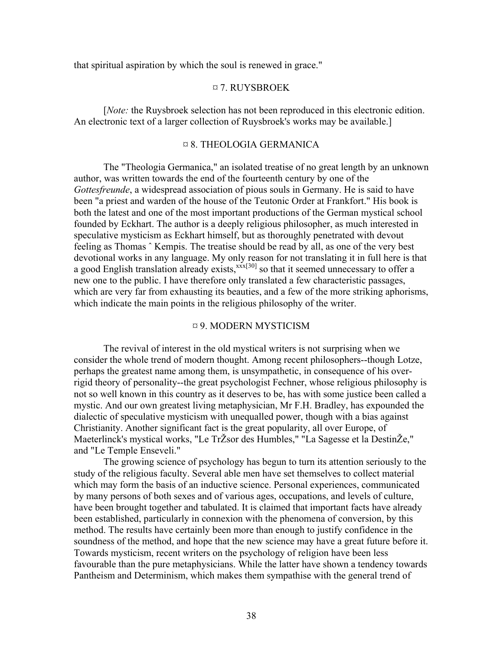that spiritual aspiration by which the soul is renewed in grace."

# ¤ 7. RUYSBROEK

[*Note:* the Ruysbroek selection has not been reproduced in this electronic edition. An electronic text of a larger collection of Ruysbroek's works may be available.]

# ¤ 8. THEOLOGIA GERMANICA

The "Theologia Germanica," an isolated treatise of no great length by an unknown author, was written towards the end of the fourteenth century by one of the *Gottesfreunde*, a widespread association of pious souls in Germany. He is said to have been "a priest and warden of the house of the Teutonic Order at Frankfort." His book is both the latest and one of the most important productions of the German mystical school founded by Eckhart. The author is a deeply religious philosopher, as much interested in speculative mysticism as Eckhart himself, but as thoroughly penetrated with devout feeling as Thomas ˆ Kempis. The treatise should be read by all, as one of the very best devotional works in any language. My only reason for not translating it in full here is that a good English translation already exists, $x^{\text{xxx}[30]}$  so that it seemed unnecessary to offer a new one to the public. I have therefore only translated a few characteristic passages, which are very far from exhausting its beauties, and a few of the more striking aphorisms, which indicate the main points in the religious philosophy of the writer.

# ¤ 9. MODERN MYSTICISM

The revival of interest in the old mystical writers is not surprising when we consider the whole trend of modern thought. Among recent philosophers--though Lotze, perhaps the greatest name among them, is unsympathetic, in consequence of his overrigid theory of personality--the great psychologist Fechner, whose religious philosophy is not so well known in this country as it deserves to be, has with some justice been called a mystic. And our own greatest living metaphysician, Mr F.H. Bradley, has expounded the dialectic of speculative mysticism with unequalled power, though with a bias against Christianity. Another significant fact is the great popularity, all over Europe, of Maeterlinck's mystical works, "Le TrŽsor des Humbles," "La Sagesse et la DestinŽe," and "Le Temple Enseveli."

The growing science of psychology has begun to turn its attention seriously to the study of the religious faculty. Several able men have set themselves to collect material which may form the basis of an inductive science. Personal experiences, communicated by many persons of both sexes and of various ages, occupations, and levels of culture, have been brought together and tabulated. It is claimed that important facts have already been established, particularly in connexion with the phenomena of conversion, by this method. The results have certainly been more than enough to justify confidence in the soundness of the method, and hope that the new science may have a great future before it. Towards mysticism, recent writers on the psychology of religion have been less favourable than the pure metaphysicians. While the latter have shown a tendency towards Pantheism and Determinism, which makes them sympathise with the general trend of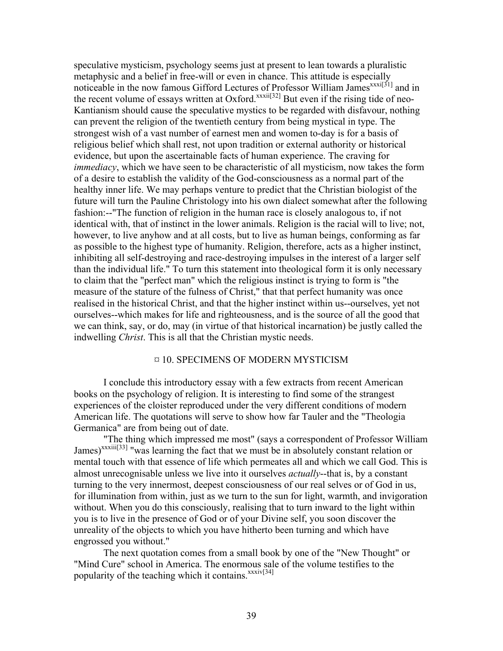speculative mysticism, psychology seems just at present to lean towards a pluralistic metaphysic and a belief in free-will or even in chance. This attitude is especially noticeable in the now famous Gifford Lectures of Professor William James<sup>[xxxi](#page-91-0)[31</sup>] and in the recent volume of essays written at Oxford.<sup>[xxxii](#page-91-4)[32]</sup> But even if the rising tide of neo-Kantianism should cause the speculative mystics to be regarded with disfavour, nothing can prevent the religion of the twentieth century from being mystical in type. The strongest wish of a vast number of earnest men and women to-day is for a basis of religious belief which shall rest, not upon tradition or external authority or historical evidence, but upon the ascertainable facts of human experience. The craving for *immediacy*, which we have seen to be characteristic of all mysticism, now takes the form of a desire to establish the validity of the God-consciousness as a normal part of the healthy inner life. We may perhaps venture to predict that the Christian biologist of the future will turn the Pauline Christology into his own dialect somewhat after the following fashion:--"The function of religion in the human race is closely analogous to, if not identical with, that of instinct in the lower animals. Religion is the racial will to live; not, however, to live anyhow and at all costs, but to live as human beings, conforming as far as possible to the highest type of humanity. Religion, therefore, acts as a higher instinct, inhibiting all self-destroying and race-destroying impulses in the interest of a larger self than the individual life." To turn this statement into theological form it is only necessary to claim that the "perfect man" which the religious instinct is trying to form is "the measure of the stature of the fulness of Christ," that that perfect humanity was once realised in the historical Christ, and that the higher instinct within us--ourselves, yet not ourselves--which makes for life and righteousness, and is the source of all the good that we can think, say, or do, may (in virtue of that historical incarnation) be justly called the indwelling *Christ*. This is all that the Christian mystic needs.

# ¤ 10. SPECIMENS OF MODERN MYSTICISM

I conclude this introductory essay with a few extracts from recent American books on the psychology of religion. It is interesting to find some of the strangest experiences of the cloister reproduced under the very different conditions of modern American life. The quotations will serve to show how far Tauler and the "Theologia Germanica" are from being out of date.

"The thing which impressed me most" (says a correspondent of Professor William James)<sup>[xxxiii](#page-91-5)[33]</sup> "was learning the fact that we must be in absolutely constant relation or mental touch with that essence of life which permeates all and which we call God. This is almost unrecognisable unless we live into it ourselves *actually*--that is, by a constant turning to the very innermost, deepest consciousness of our real selves or of God in us, for illumination from within, just as we turn to the sun for light, warmth, and invigoration without. When you do this consciously, realising that to turn inward to the light within you is to live in the presence of God or of your Divine self, you soon discover the unreality of the objects to which you have hitherto been turning and which have engrossed you without."

The next quotation comes from a small book by one of the "New Thought" or "Mind Cure" school in America. The enormous sale of the volume testifies to the popularity of the teaching which it contains.<sup>xxxiv[34]</sup>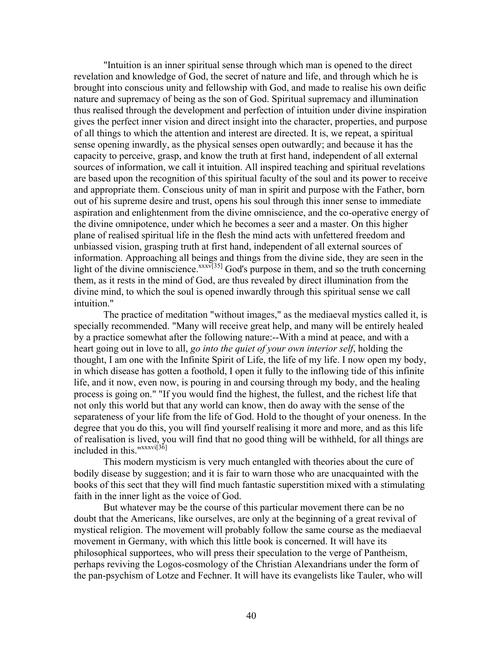"Intuition is an inner spiritual sense through which man is opened to the direct revelation and knowledge of God, the secret of nature and life, and through which he is brought into conscious unity and fellowship with God, and made to realise his own deific nature and supremacy of being as the son of God. Spiritual supremacy and illumination thus realised through the development and perfection of intuition under divine inspiration gives the perfect inner vision and direct insight into the character, properties, and purpose of all things to which the attention and interest are directed. It is, we repeat, a spiritual sense opening inwardly, as the physical senses open outwardly; and because it has the capacity to perceive, grasp, and know the truth at first hand, independent of all external sources of information, we call it intuition. All inspired teaching and spiritual revelations are based upon the recognition of this spiritual faculty of the soul and its power to receive and appropriate them. Conscious unity of man in spirit and purpose with the Father, born out of his supreme desire and trust, opens his soul through this inner sense to immediate aspiration and enlightenment from the divine omniscience, and the co-operative energy of the divine omnipotence, under which he becomes a seer and a master. On this higher plane of realised spiritual life in the flesh the mind acts with unfettered freedom and unbiassed vision, grasping truth at first hand, independent of all external sources of information. Approaching all beings and things from the divine side, they are seen in the light of the divine omniscience. $\frac{x x x v[35]}{1}$  God's purpose in them, and so the truth concerning them, as it rests in the mind of God, are thus revealed by direct illumination from the divine mind, to which the soul is opened inwardly through this spiritual sense we call intuition."

The practice of meditation "without images," as the mediaeval mystics called it, is specially recommended. "Many will receive great help, and many will be entirely healed by a practice somewhat after the following nature:--With a mind at peace, and with a heart going out in love to all, *go into the quiet of your own interior self*, holding the thought, I am one with the Infinite Spirit of Life, the life of my life. I now open my body, in which disease has gotten a foothold, I open it fully to the inflowing tide of this infinite life, and it now, even now, is pouring in and coursing through my body, and the healing process is going on." "If you would find the highest, the fullest, and the richest life that not only this world but that any world can know, then do away with the sense of the separateness of your life from the life of God. Hold to the thought of your oneness. In the degree that you do this, you will find yourself realising it more and more, and as this life of realisation is lived, you will find that no good thing will be withheld, for all things are included in this."[xxxvi](#page-91-5)[36]

This modern mysticism is very much entangled with theories about the cure of bodily disease by suggestion; and it is fair to warn those who are unacquainted with the books of this sect that they will find much fantastic superstition mixed with a stimulating faith in the inner light as the voice of God.

But whatever may be the course of this particular movement there can be no doubt that the Americans, like ourselves, are only at the beginning of a great revival of mystical religion. The movement will probably follow the same course as the mediaeval movement in Germany, with which this little book is concerned. It will have its philosophical supportees, who will press their speculation to the verge of Pantheism, perhaps reviving the Logos-cosmology of the Christian Alexandrians under the form of the pan-psychism of Lotze and Fechner. It will have its evangelists like Tauler, who will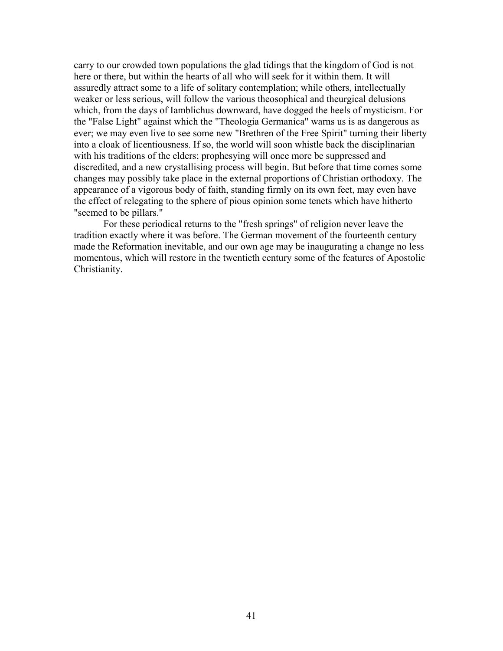carry to our crowded town populations the glad tidings that the kingdom of God is not here or there, but within the hearts of all who will seek for it within them. It will assuredly attract some to a life of solitary contemplation; while others, intellectually weaker or less serious, will follow the various theosophical and theurgical delusions which, from the days of Iamblichus downward, have dogged the heels of mysticism. For the "False Light" against which the "Theologia Germanica" warns us is as dangerous as ever; we may even live to see some new "Brethren of the Free Spirit" turning their liberty into a cloak of licentiousness. If so, the world will soon whistle back the disciplinarian with his traditions of the elders; prophesying will once more be suppressed and discredited, and a new crystallising process will begin. But before that time comes some changes may possibly take place in the external proportions of Christian orthodoxy. The appearance of a vigorous body of faith, standing firmly on its own feet, may even have the effect of relegating to the sphere of pious opinion some tenets which have hitherto "seemed to be pillars."

For these periodical returns to the "fresh springs" of religion never leave the tradition exactly where it was before. The German movement of the fourteenth century made the Reformation inevitable, and our own age may be inaugurating a change no less momentous, which will restore in the twentieth century some of the features of Apostolic Christianity.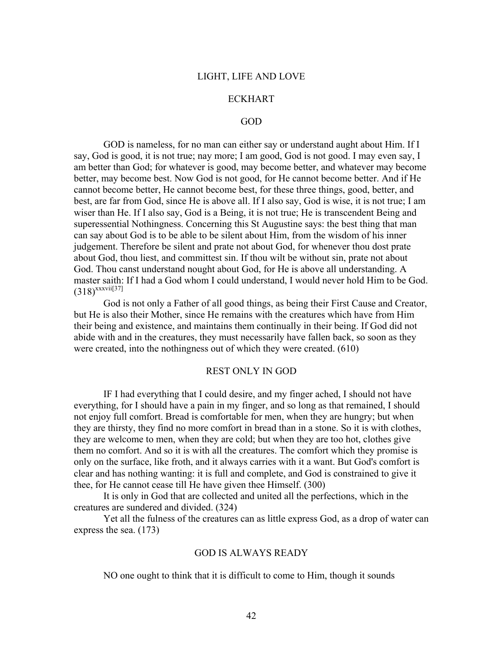# LIGHT, LIFE AND LOVE

# ECKHART

# GOD

GOD is nameless, for no man can either say or understand aught about Him. If I say, God is good, it is not true; nay more; I am good, God is not good. I may even say, I am better than God; for whatever is good, may become better, and whatever may become better, may become best. Now God is not good, for He cannot become better. And if He cannot become better, He cannot become best, for these three things, good, better, and best, are far from God, since He is above all. If I also say, God is wise, it is not true; I am wiser than He. If I also say, God is a Being, it is not true; He is transcendent Being and superessential Nothingness. Concerning this St Augustine says: the best thing that man can say about God is to be able to be silent about Him, from the wisdom of his inner judgement. Therefore be silent and prate not about God, for whenever thou dost prate about God, thou liest, and committest sin. If thou wilt be without sin, prate not about God. Thou canst understand nought about God, for He is above all understanding. A master saith: If I had a God whom I could understand, I would never hold Him to be God.  $(318)^{\text{xxxvii}[37]}$ 

God is not only a Father of all good things, as being their First Cause and Creator, but He is also their Mother, since He remains with the creatures which have from Him their being and existence, and maintains them continually in their being. If God did not abide with and in the creatures, they must necessarily have fallen back, so soon as they were created, into the nothingness out of which they were created. (610)

## REST ONLY IN GOD

IF I had everything that I could desire, and my finger ached, I should not have everything, for I should have a pain in my finger, and so long as that remained, I should not enjoy full comfort. Bread is comfortable for men, when they are hungry; but when they are thirsty, they find no more comfort in bread than in a stone. So it is with clothes, they are welcome to men, when they are cold; but when they are too hot, clothes give them no comfort. And so it is with all the creatures. The comfort which they promise is only on the surface, like froth, and it always carries with it a want. But God's comfort is clear and has nothing wanting: it is full and complete, and God is constrained to give it thee, for He cannot cease till He have given thee Himself. (300)

It is only in God that are collected and united all the perfections, which in the creatures are sundered and divided. (324)

Yet all the fulness of the creatures can as little express God, as a drop of water can express the sea. (173)

# GOD IS ALWAYS READY

NO one ought to think that it is difficult to come to Him, though it sounds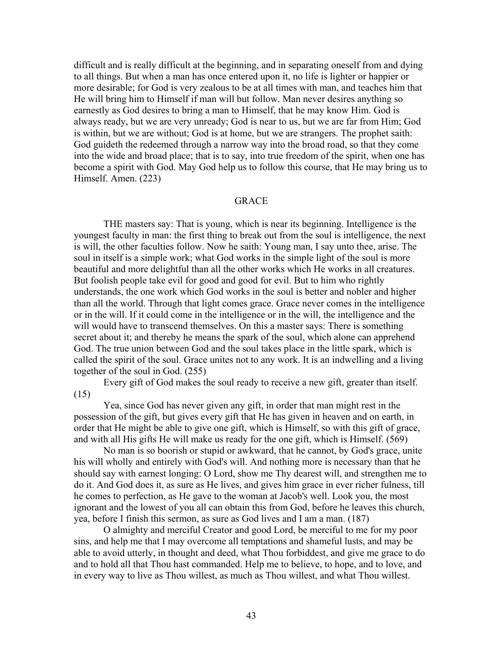difficult and is really difficult at the beginning, and in separating oneself from and dying to all things. But when a man has once entered upon it, no life is lighter or happier or more desirable; for God is very zealous to be at all times with man, and teaches him that He will bring him to Himself if man will but follow. Man never desires anything so earnestly as God desires to bring a man to Himself, that he may know Him. God is always ready, but we are very unready; God is near to us, but we are far from Him; God is within, but we are without; God is at home, but we are strangers. The prophet saith: God guideth the redeemed through a narrow way into the broad road, so that they come into the wide and broad place; that is to say, into true freedom of the spirit, when one has become a spirit with God. May God help us to follow this course, that He may bring us to Himself. Amen. (223)

## GRACE

THE masters say: That is young, which is near its beginning. Intelligence is the youngest faculty in man: the first thing to break out from the soul is intelligence, the next is will, the other faculties follow. Now he saith: Young man, I say unto thee, arise. The soul in itself is a simple work; what God works in the simple light of the soul is more beautiful and more delightful than all the other works which He works in all creatures. But foolish people take evil for good and good for evil. But to him who rightly understands, the one work which God works in the soul is better and nobler and higher than all the world. Through that light comes grace. Grace never comes in the intelligence or in the will. If it could come in the intelligence or in the will, the intelligence and the will would have to transcend themselves. On this a master says: There is something secret about it; and thereby he means the spark of the soul, which alone can apprehend God. The true union between God and the soul takes place in the little spark, which is called the spirit of the soul. Grace unites not to any work. It is an indwelling and a living together of the soul in God. (255)

Every gift of God makes the soul ready to receive a new gift, greater than itself. (15)

Yea, since God has never given any gift, in order that man might rest in the possession of the gift, but gives every gift that He has given in heaven and on earth, in order that He might be able to give one gift, which is Himself, so with this gift of grace, and with all His gifts He will make us ready for the one gift, which is Himself. (569)

No man is so boorish or stupid or awkward, that he cannot, by God's grace, unite his will wholly and entirely with God's will. And nothing more is necessary than that he should say with earnest longing: O Lord, show me Thy dearest will, and strengthen me to do it. And God does it, as sure as He lives, and gives him grace in ever richer fulness, till he comes to perfection, as He gave to the woman at Jacob's well. Look you, the most ignorant and the lowest of you all can obtain this from God, before he leaves this church, yea, before I finish this sermon, as sure as God lives and I am a man. (187)

O almighty and merciful Creator and good Lord, be merciful to me for my poor sins, and help me that I may overcome all temptations and shameful lusts, and may be able to avoid utterly, in thought and deed, what Thou forbiddest, and give me grace to do and to hold all that Thou hast commanded. Help me to believe, to hope, and to love, and in every way to live as Thou willest, as much as Thou willest, and what Thou willest.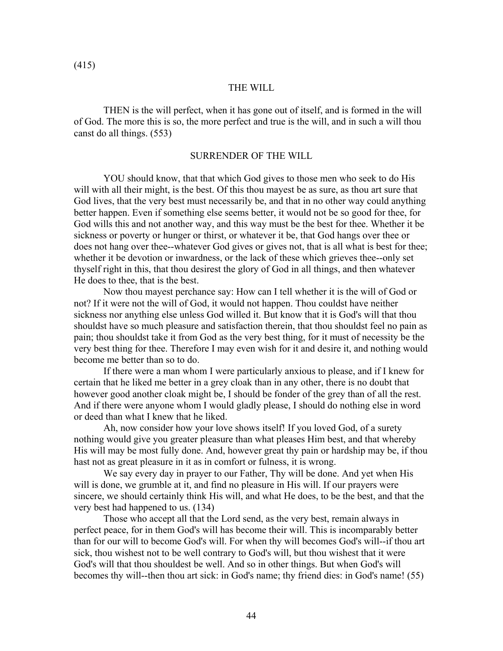## THE WILL

THEN is the will perfect, when it has gone out of itself, and is formed in the will of God. The more this is so, the more perfect and true is the will, and in such a will thou canst do all things. (553)

# SURRENDER OF THE WILL

YOU should know, that that which God gives to those men who seek to do His will with all their might, is the best. Of this thou mayest be as sure, as thou art sure that God lives, that the very best must necessarily be, and that in no other way could anything better happen. Even if something else seems better, it would not be so good for thee, for God wills this and not another way, and this way must be the best for thee. Whether it be sickness or poverty or hunger or thirst, or whatever it be, that God hangs over thee or does not hang over thee--whatever God gives or gives not, that is all what is best for thee; whether it be devotion or inwardness, or the lack of these which grieves thee--only set thyself right in this, that thou desirest the glory of God in all things, and then whatever He does to thee, that is the best.

Now thou mayest perchance say: How can I tell whether it is the will of God or not? If it were not the will of God, it would not happen. Thou couldst have neither sickness nor anything else unless God willed it. But know that it is God's will that thou shouldst have so much pleasure and satisfaction therein, that thou shouldst feel no pain as pain; thou shouldst take it from God as the very best thing, for it must of necessity be the very best thing for thee. Therefore I may even wish for it and desire it, and nothing would become me better than so to do.

If there were a man whom I were particularly anxious to please, and if I knew for certain that he liked me better in a grey cloak than in any other, there is no doubt that however good another cloak might be, I should be fonder of the grey than of all the rest. And if there were anyone whom I would gladly please, I should do nothing else in word or deed than what I knew that he liked.

Ah, now consider how your love shows itself! If you loved God, of a surety nothing would give you greater pleasure than what pleases Him best, and that whereby His will may be most fully done. And, however great thy pain or hardship may be, if thou hast not as great pleasure in it as in comfort or fulness, it is wrong.

We say every day in prayer to our Father, Thy will be done. And yet when His will is done, we grumble at it, and find no pleasure in His will. If our prayers were sincere, we should certainly think His will, and what He does, to be the best, and that the very best had happened to us. (134)

Those who accept all that the Lord send, as the very best, remain always in perfect peace, for in them God's will has become their will. This is incomparably better than for our will to become God's will. For when thy will becomes God's will--if thou art sick, thou wishest not to be well contrary to God's will, but thou wishest that it were God's will that thou shouldest be well. And so in other things. But when God's will becomes thy will--then thou art sick: in God's name; thy friend dies: in God's name! (55)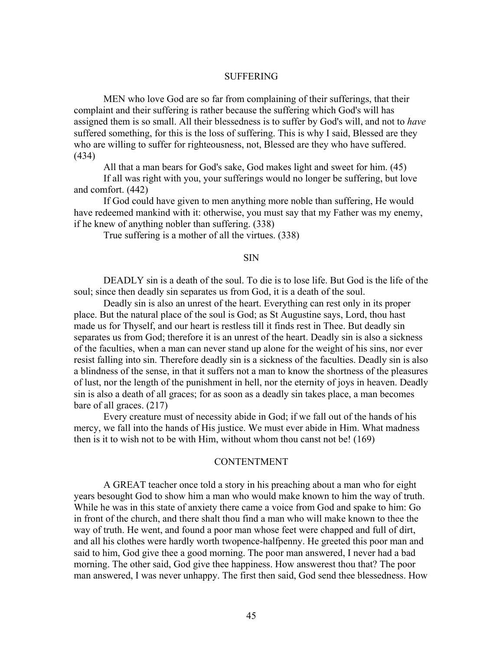## SUFFERING

MEN who love God are so far from complaining of their sufferings, that their complaint and their suffering is rather because the suffering which God's will has assigned them is so small. All their blessedness is to suffer by God's will, and not to *have* suffered something, for this is the loss of suffering. This is why I said, Blessed are they who are willing to suffer for righteousness, not, Blessed are they who have suffered. (434)

All that a man bears for God's sake, God makes light and sweet for him. (45)

If all was right with you, your sufferings would no longer be suffering, but love and comfort. (442)

If God could have given to men anything more noble than suffering, He would have redeemed mankind with it: otherwise, you must say that my Father was my enemy, if he knew of anything nobler than suffering. (338)

True suffering is a mother of all the virtues. (338)

# SIN

DEADLY sin is a death of the soul. To die is to lose life. But God is the life of the soul; since then deadly sin separates us from God, it is a death of the soul.

Deadly sin is also an unrest of the heart. Everything can rest only in its proper place. But the natural place of the soul is God; as St Augustine says, Lord, thou hast made us for Thyself, and our heart is restless till it finds rest in Thee. But deadly sin separates us from God; therefore it is an unrest of the heart. Deadly sin is also a sickness of the faculties, when a man can never stand up alone for the weight of his sins, nor ever resist falling into sin. Therefore deadly sin is a sickness of the faculties. Deadly sin is also a blindness of the sense, in that it suffers not a man to know the shortness of the pleasures of lust, nor the length of the punishment in hell, nor the eternity of joys in heaven. Deadly sin is also a death of all graces; for as soon as a deadly sin takes place, a man becomes bare of all graces. (217)

Every creature must of necessity abide in God; if we fall out of the hands of his mercy, we fall into the hands of His justice. We must ever abide in Him. What madness then is it to wish not to be with Him, without whom thou canst not be! (169)

## CONTENTMENT

A GREAT teacher once told a story in his preaching about a man who for eight years besought God to show him a man who would make known to him the way of truth. While he was in this state of anxiety there came a voice from God and spake to him: Go in front of the church, and there shalt thou find a man who will make known to thee the way of truth. He went, and found a poor man whose feet were chapped and full of dirt, and all his clothes were hardly worth twopence-halfpenny. He greeted this poor man and said to him, God give thee a good morning. The poor man answered, I never had a bad morning. The other said, God give thee happiness. How answerest thou that? The poor man answered, I was never unhappy. The first then said, God send thee blessedness. How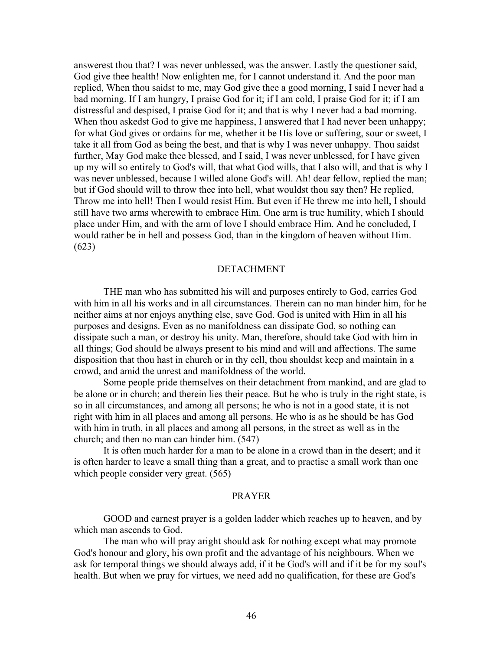answerest thou that? I was never unblessed, was the answer. Lastly the questioner said, God give thee health! Now enlighten me, for I cannot understand it. And the poor man replied, When thou saidst to me, may God give thee a good morning, I said I never had a bad morning. If I am hungry, I praise God for it; if I am cold, I praise God for it; if I am distressful and despised, I praise God for it; and that is why I never had a bad morning. When thou askedst God to give me happiness, I answered that I had never been unhappy; for what God gives or ordains for me, whether it be His love or suffering, sour or sweet, I take it all from God as being the best, and that is why I was never unhappy. Thou saidst further, May God make thee blessed, and I said, I was never unblessed, for I have given up my will so entirely to God's will, that what God wills, that I also will, and that is why I was never unblessed, because I willed alone God's will. Ah! dear fellow, replied the man; but if God should will to throw thee into hell, what wouldst thou say then? He replied, Throw me into hell! Then I would resist Him. But even if He threw me into hell, I should still have two arms wherewith to embrace Him. One arm is true humility, which I should place under Him, and with the arm of love I should embrace Him. And he concluded, I would rather be in hell and possess God, than in the kingdom of heaven without Him. (623)

#### DETACHMENT

THE man who has submitted his will and purposes entirely to God, carries God with him in all his works and in all circumstances. Therein can no man hinder him, for he neither aims at nor enjoys anything else, save God. God is united with Him in all his purposes and designs. Even as no manifoldness can dissipate God, so nothing can dissipate such a man, or destroy his unity. Man, therefore, should take God with him in all things; God should be always present to his mind and will and affections. The same disposition that thou hast in church or in thy cell, thou shouldst keep and maintain in a crowd, and amid the unrest and manifoldness of the world.

Some people pride themselves on their detachment from mankind, and are glad to be alone or in church; and therein lies their peace. But he who is truly in the right state, is so in all circumstances, and among all persons; he who is not in a good state, it is not right with him in all places and among all persons. He who is as he should be has God with him in truth, in all places and among all persons, in the street as well as in the church; and then no man can hinder him. (547)

It is often much harder for a man to be alone in a crowd than in the desert; and it is often harder to leave a small thing than a great, and to practise a small work than one which people consider very great. (565)

#### PRAYER

GOOD and earnest prayer is a golden ladder which reaches up to heaven, and by which man ascends to God.

The man who will pray aright should ask for nothing except what may promote God's honour and glory, his own profit and the advantage of his neighbours. When we ask for temporal things we should always add, if it be God's will and if it be for my soul's health. But when we pray for virtues, we need add no qualification, for these are God's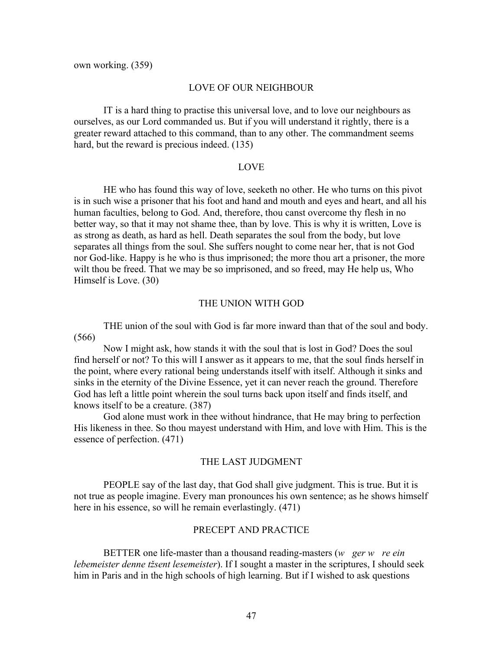own working. (359)

## LOVE OF OUR NEIGHBOUR

IT is a hard thing to practise this universal love, and to love our neighbours as ourselves, as our Lord commanded us. But if you will understand it rightly, there is a greater reward attached to this command, than to any other. The commandment seems hard, but the reward is precious indeed. (135)

# LOVE

HE who has found this way of love, seeketh no other. He who turns on this pivot is in such wise a prisoner that his foot and hand and mouth and eyes and heart, and all his human faculties, belong to God. And, therefore, thou canst overcome thy flesh in no better way, so that it may not shame thee, than by love. This is why it is written, Love is as strong as death, as hard as hell. Death separates the soul from the body, but love separates all things from the soul. She suffers nought to come near her, that is not God nor God-like. Happy is he who is thus imprisoned; the more thou art a prisoner, the more wilt thou be freed. That we may be so imprisoned, and so freed, may He help us, Who Himself is Love. (30)

# THE UNION WITH GOD

THE union of the soul with God is far more inward than that of the soul and body.  $(566)$ 

Now I might ask, how stands it with the soul that is lost in God? Does the soul find herself or not? To this will I answer as it appears to me, that the soul finds herself in the point, where every rational being understands itself with itself. Although it sinks and sinks in the eternity of the Divine Essence, yet it can never reach the ground. Therefore God has left a little point wherein the soul turns back upon itself and finds itself, and knows itself to be a creature. (387)

God alone must work in thee without hindrance, that He may bring to perfection His likeness in thee. So thou mayest understand with Him, and love with Him. This is the essence of perfection. (471)

## THE LAST JUDGMENT

PEOPLE say of the last day, that God shall give judgment. This is true. But it is not true as people imagine. Every man pronounces his own sentence; as he shows himself here in his essence, so will he remain everlastingly. (471)

# PRECEPT AND PRACTICE

BETTER one life-master than a thousand reading-masters (*w ger w re ein lebemeister denne tžsent lesemeister*). If I sought a master in the scriptures, I should seek him in Paris and in the high schools of high learning. But if I wished to ask questions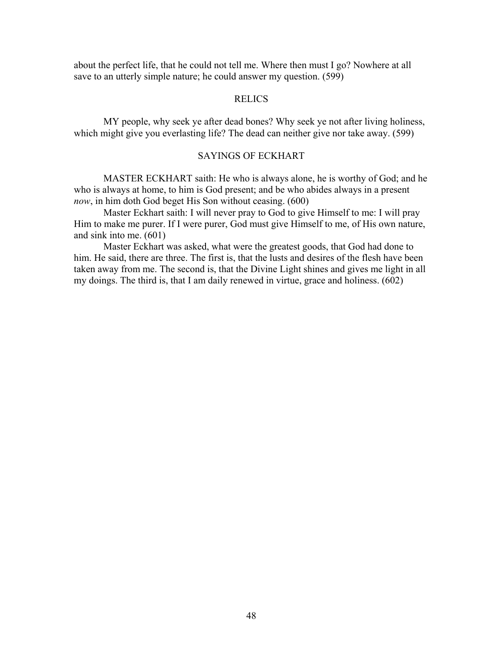about the perfect life, that he could not tell me. Where then must I go? Nowhere at all save to an utterly simple nature; he could answer my question. (599)

# RELICS

MY people, why seek ye after dead bones? Why seek ye not after living holiness, which might give you everlasting life? The dead can neither give nor take away. (599)

# SAYINGS OF ECKHART

MASTER ECKHART saith: He who is always alone, he is worthy of God; and he who is always at home, to him is God present; and be who abides always in a present *now*, in him doth God beget His Son without ceasing. (600)

Master Eckhart saith: I will never pray to God to give Himself to me: I will pray Him to make me purer. If I were purer, God must give Himself to me, of His own nature, and sink into me. (601)

Master Eckhart was asked, what were the greatest goods, that God had done to him. He said, there are three. The first is, that the lusts and desires of the flesh have been taken away from me. The second is, that the Divine Light shines and gives me light in all my doings. The third is, that I am daily renewed in virtue, grace and holiness. (602)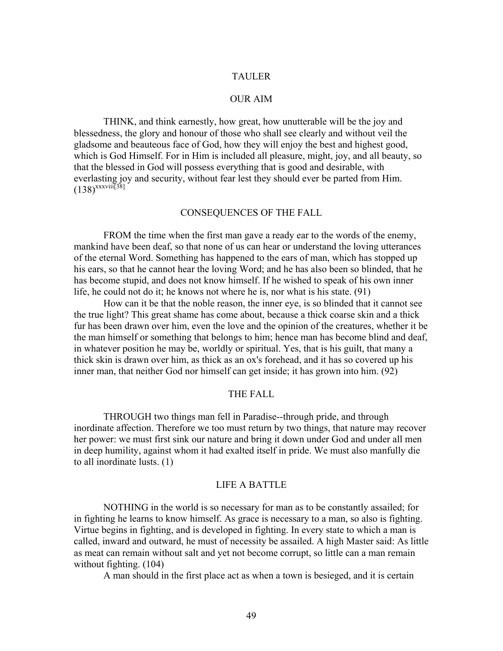## TAULER

## OUR AIM

THINK, and think earnestly, how great, how unutterable will be the joy and blessedness, the glory and honour of those who shall see clearly and without veil the gladsome and beauteous face of God, how they will enjoy the best and highest good, which is God Himself. For in Him is included all pleasure, might, joy, and all beauty, so that the blessed in God will possess everything that is good and desirable, with everlasting joy and security, without fear lest they should ever be parted from Him.  $(138)^{xxxviii[38]}$ 

# CONSEQUENCES OF THE FALL

FROM the time when the first man gave a ready ear to the words of the enemy, mankind have been deaf, so that none of us can hear or understand the loving utterances of the eternal Word. Something has happened to the ears of man, which has stopped up his ears, so that he cannot hear the loving Word; and he has also been so blinded, that he has become stupid, and does not know himself. If he wished to speak of his own inner life, he could not do it; he knows not where he is, nor what is his state. (91)

How can it be that the noble reason, the inner eye, is so blinded that it cannot see the true light? This great shame has come about, because a thick coarse skin and a thick fur has been drawn over him, even the love and the opinion of the creatures, whether it be the man himself or something that belongs to him; hence man has become blind and deaf, in whatever position he may be, worldly or spiritual. Yes, that is his guilt, that many a thick skin is drawn over him, as thick as an ox's forehead, and it has so covered up his inner man, that neither God nor himself can get inside; it has grown into him. (92)

# THE FALL

THROUGH two things man fell in Paradise--through pride, and through inordinate affection. Therefore we too must return by two things, that nature may recover her power: we must first sink our nature and bring it down under God and under all men in deep humility, against whom it had exalted itself in pride. We must also manfully die to all inordinate lusts. (1)

# LIFE A BATTLE

NOTHING in the world is so necessary for man as to be constantly assailed; for in fighting he learns to know himself. As grace is necessary to a man, so also is fighting. Virtue begins in fighting, and is developed in fighting. In every state to which a man is called, inward and outward, he must of necessity be assailed. A high Master said: As little as meat can remain without salt and yet not become corrupt, so little can a man remain without fighting. (104)

A man should in the first place act as when a town is besieged, and it is certain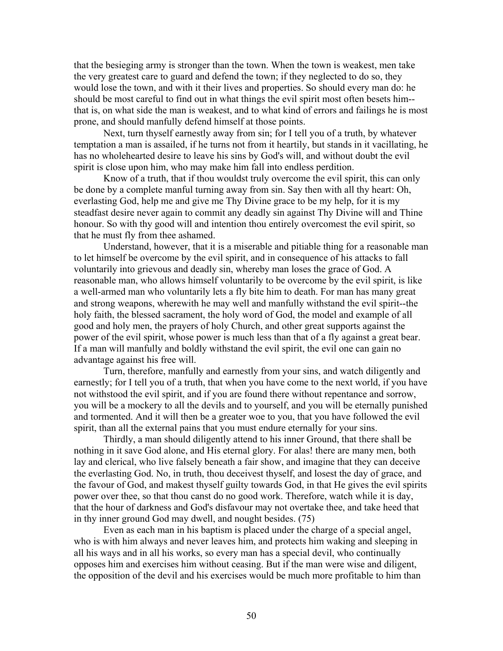that the besieging army is stronger than the town. When the town is weakest, men take the very greatest care to guard and defend the town; if they neglected to do so, they would lose the town, and with it their lives and properties. So should every man do: he should be most careful to find out in what things the evil spirit most often besets him- that is, on what side the man is weakest, and to what kind of errors and failings he is most prone, and should manfully defend himself at those points.

Next, turn thyself earnestly away from sin; for I tell you of a truth, by whatever temptation a man is assailed, if he turns not from it heartily, but stands in it vacillating, he has no wholehearted desire to leave his sins by God's will, and without doubt the evil spirit is close upon him, who may make him fall into endless perdition.

Know of a truth, that if thou wouldst truly overcome the evil spirit, this can only be done by a complete manful turning away from sin. Say then with all thy heart: Oh, everlasting God, help me and give me Thy Divine grace to be my help, for it is my steadfast desire never again to commit any deadly sin against Thy Divine will and Thine honour. So with thy good will and intention thou entirely overcomest the evil spirit, so that he must fly from thee ashamed.

Understand, however, that it is a miserable and pitiable thing for a reasonable man to let himself be overcome by the evil spirit, and in consequence of his attacks to fall voluntarily into grievous and deadly sin, whereby man loses the grace of God. A reasonable man, who allows himself voluntarily to be overcome by the evil spirit, is like a well-armed man who voluntarily lets a fly bite him to death. For man has many great and strong weapons, wherewith he may well and manfully withstand the evil spirit--the holy faith, the blessed sacrament, the holy word of God, the model and example of all good and holy men, the prayers of holy Church, and other great supports against the power of the evil spirit, whose power is much less than that of a fly against a great bear. If a man will manfully and boldly withstand the evil spirit, the evil one can gain no advantage against his free will.

Turn, therefore, manfully and earnestly from your sins, and watch diligently and earnestly; for I tell you of a truth, that when you have come to the next world, if you have not withstood the evil spirit, and if you are found there without repentance and sorrow, you will be a mockery to all the devils and to yourself, and you will be eternally punished and tormented. And it will then be a greater woe to you, that you have followed the evil spirit, than all the external pains that you must endure eternally for your sins.

Thirdly, a man should diligently attend to his inner Ground, that there shall be nothing in it save God alone, and His eternal glory. For alas! there are many men, both lay and clerical, who live falsely beneath a fair show, and imagine that they can deceive the everlasting God. No, in truth, thou deceivest thyself, and losest the day of grace, and the favour of God, and makest thyself guilty towards God, in that He gives the evil spirits power over thee, so that thou canst do no good work. Therefore, watch while it is day, that the hour of darkness and God's disfavour may not overtake thee, and take heed that in thy inner ground God may dwell, and nought besides. (75)

Even as each man in his baptism is placed under the charge of a special angel, who is with him always and never leaves him, and protects him waking and sleeping in all his ways and in all his works, so every man has a special devil, who continually opposes him and exercises him without ceasing. But if the man were wise and diligent, the opposition of the devil and his exercises would be much more profitable to him than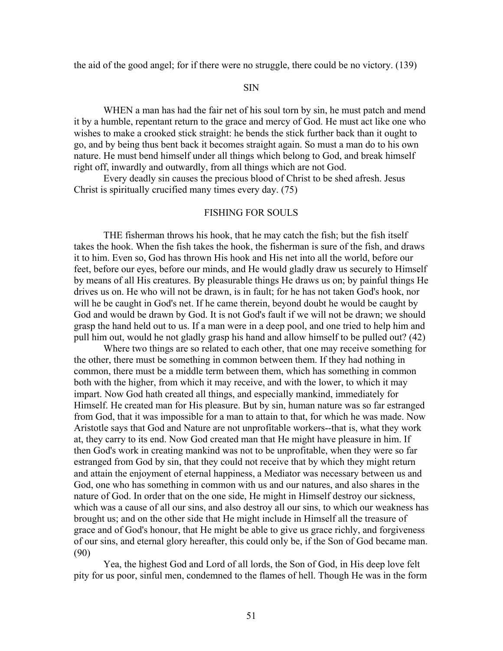the aid of the good angel; for if there were no struggle, there could be no victory. (139)

SIN

WHEN a man has had the fair net of his soul torn by sin, he must patch and mend it by a humble, repentant return to the grace and mercy of God. He must act like one who wishes to make a crooked stick straight: he bends the stick further back than it ought to go, and by being thus bent back it becomes straight again. So must a man do to his own nature. He must bend himself under all things which belong to God, and break himself right off, inwardly and outwardly, from all things which are not God.

Every deadly sin causes the precious blood of Christ to be shed afresh. Jesus Christ is spiritually crucified many times every day. (75)

## FISHING FOR SOULS

THE fisherman throws his hook, that he may catch the fish; but the fish itself takes the hook. When the fish takes the hook, the fisherman is sure of the fish, and draws it to him. Even so, God has thrown His hook and His net into all the world, before our feet, before our eyes, before our minds, and He would gladly draw us securely to Himself by means of all His creatures. By pleasurable things He draws us on; by painful things He drives us on. He who will not be drawn, is in fault; for he has not taken God's hook, nor will he be caught in God's net. If he came therein, beyond doubt he would be caught by God and would be drawn by God. It is not God's fault if we will not be drawn; we should grasp the hand held out to us. If a man were in a deep pool, and one tried to help him and pull him out, would he not gladly grasp his hand and allow himself to be pulled out? (42)

Where two things are so related to each other, that one may receive something for the other, there must be something in common between them. If they had nothing in common, there must be a middle term between them, which has something in common both with the higher, from which it may receive, and with the lower, to which it may impart. Now God hath created all things, and especially mankind, immediately for Himself. He created man for His pleasure. But by sin, human nature was so far estranged from God, that it was impossible for a man to attain to that, for which he was made. Now Aristotle says that God and Nature are not unprofitable workers--that is, what they work at, they carry to its end. Now God created man that He might have pleasure in him. If then God's work in creating mankind was not to be unprofitable, when they were so far estranged from God by sin, that they could not receive that by which they might return and attain the enjoyment of eternal happiness, a Mediator was necessary between us and God, one who has something in common with us and our natures, and also shares in the nature of God. In order that on the one side, He might in Himself destroy our sickness, which was a cause of all our sins, and also destroy all our sins, to which our weakness has brought us; and on the other side that He might include in Himself all the treasure of grace and of God's honour, that He might be able to give us grace richly, and forgiveness of our sins, and eternal glory hereafter, this could only be, if the Son of God became man. (90)

Yea, the highest God and Lord of all lords, the Son of God, in His deep love felt pity for us poor, sinful men, condemned to the flames of hell. Though He was in the form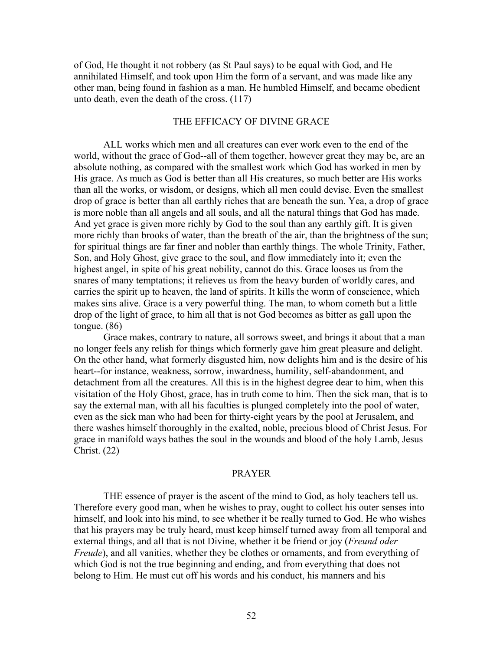of God, He thought it not robbery (as St Paul says) to be equal with God, and He annihilated Himself, and took upon Him the form of a servant, and was made like any other man, being found in fashion as a man. He humbled Himself, and became obedient unto death, even the death of the cross. (117)

# THE EFFICACY OF DIVINE GRACE

ALL works which men and all creatures can ever work even to the end of the world, without the grace of God--all of them together, however great they may be, are an absolute nothing, as compared with the smallest work which God has worked in men by His grace. As much as God is better than all His creatures, so much better are His works than all the works, or wisdom, or designs, which all men could devise. Even the smallest drop of grace is better than all earthly riches that are beneath the sun. Yea, a drop of grace is more noble than all angels and all souls, and all the natural things that God has made. And yet grace is given more richly by God to the soul than any earthly gift. It is given more richly than brooks of water, than the breath of the air, than the brightness of the sun; for spiritual things are far finer and nobler than earthly things. The whole Trinity, Father, Son, and Holy Ghost, give grace to the soul, and flow immediately into it; even the highest angel, in spite of his great nobility, cannot do this. Grace looses us from the snares of many temptations; it relieves us from the heavy burden of worldly cares, and carries the spirit up to heaven, the land of spirits. It kills the worm of conscience, which makes sins alive. Grace is a very powerful thing. The man, to whom cometh but a little drop of the light of grace, to him all that is not God becomes as bitter as gall upon the tongue. (86)

Grace makes, contrary to nature, all sorrows sweet, and brings it about that a man no longer feels any relish for things which formerly gave him great pleasure and delight. On the other hand, what formerly disgusted him, now delights him and is the desire of his heart--for instance, weakness, sorrow, inwardness, humility, self-abandonment, and detachment from all the creatures. All this is in the highest degree dear to him, when this visitation of the Holy Ghost, grace, has in truth come to him. Then the sick man, that is to say the external man, with all his faculties is plunged completely into the pool of water, even as the sick man who had been for thirty-eight years by the pool at Jerusalem, and there washes himself thoroughly in the exalted, noble, precious blood of Christ Jesus. For grace in manifold ways bathes the soul in the wounds and blood of the holy Lamb, Jesus Christ. (22)

#### PRAYER

THE essence of prayer is the ascent of the mind to God, as holy teachers tell us. Therefore every good man, when he wishes to pray, ought to collect his outer senses into himself, and look into his mind, to see whether it be really turned to God. He who wishes that his prayers may be truly heard, must keep himself turned away from all temporal and external things, and all that is not Divine, whether it be friend or joy (*Freund oder Freude*), and all vanities, whether they be clothes or ornaments, and from everything of which God is not the true beginning and ending, and from everything that does not belong to Him. He must cut off his words and his conduct, his manners and his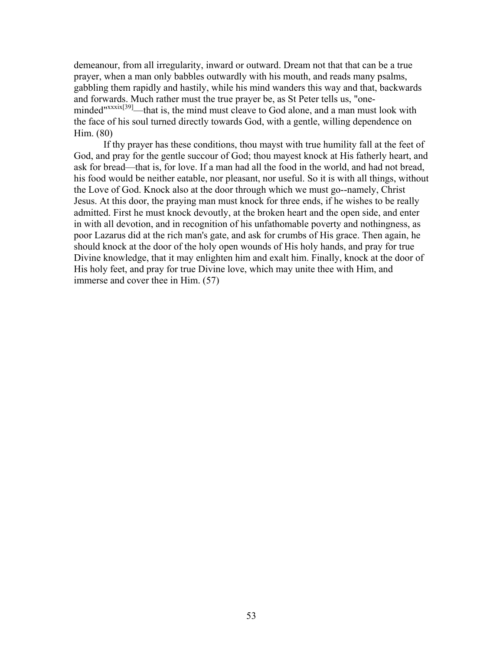demeanour, from all irregularity, inward or outward. Dream not that that can be a true prayer, when a man only babbles outwardly with his mouth, and reads many psalms, gabbling them rapidly and hastily, while his mind wanders this way and that, backwards and forwards. Much rather must the true prayer be, as St Peter tells us, "oneminded"<sup>[xxxix](#page-91-9)[39]</sup>—that is, the mind must cleave to God alone, and a man must look with the face of his soul turned directly towards God, with a gentle, willing dependence on Him. (80)

If thy prayer has these conditions, thou mayst with true humility fall at the feet of God, and pray for the gentle succour of God; thou mayest knock at His fatherly heart, and ask for bread—that is, for love. If a man had all the food in the world, and had not bread, his food would be neither eatable, nor pleasant, nor useful. So it is with all things, without the Love of God. Knock also at the door through which we must go--namely, Christ Jesus. At this door, the praying man must knock for three ends, if he wishes to be really admitted. First he must knock devoutly, at the broken heart and the open side, and enter in with all devotion, and in recognition of his unfathomable poverty and nothingness, as poor Lazarus did at the rich man's gate, and ask for crumbs of His grace. Then again, he should knock at the door of the holy open wounds of His holy hands, and pray for true Divine knowledge, that it may enlighten him and exalt him. Finally, knock at the door of His holy feet, and pray for true Divine love, which may unite thee with Him, and immerse and cover thee in Him. (57)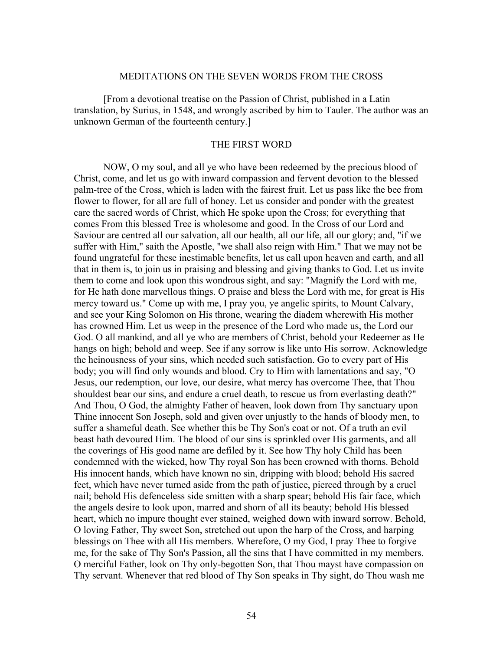## MEDITATIONS ON THE SEVEN WORDS FROM THE CROSS

[From a devotional treatise on the Passion of Christ, published in a Latin translation, by Surius, in 1548, and wrongly ascribed by him to Tauler. The author was an unknown German of the fourteenth century.]

# THE FIRST WORD

NOW, O my soul, and all ye who have been redeemed by the precious blood of Christ, come, and let us go with inward compassion and fervent devotion to the blessed palm-tree of the Cross, which is laden with the fairest fruit. Let us pass like the bee from flower to flower, for all are full of honey. Let us consider and ponder with the greatest care the sacred words of Christ, which He spoke upon the Cross; for everything that comes From this blessed Tree is wholesome and good. In the Cross of our Lord and Saviour are centred all our salvation, all our health, all our life, all our glory; and, "if we suffer with Him," saith the Apostle, "we shall also reign with Him." That we may not be found ungrateful for these inestimable benefits, let us call upon heaven and earth, and all that in them is, to join us in praising and blessing and giving thanks to God. Let us invite them to come and look upon this wondrous sight, and say: "Magnify the Lord with me, for He hath done marvellous things. O praise and bless the Lord with me, for great is His mercy toward us." Come up with me, I pray you, ye angelic spirits, to Mount Calvary, and see your King Solomon on His throne, wearing the diadem wherewith His mother has crowned Him. Let us weep in the presence of the Lord who made us, the Lord our God. O all mankind, and all ye who are members of Christ, behold your Redeemer as He hangs on high; behold and weep. See if any sorrow is like unto His sorrow. Acknowledge the heinousness of your sins, which needed such satisfaction. Go to every part of His body; you will find only wounds and blood. Cry to Him with lamentations and say, "O Jesus, our redemption, our love, our desire, what mercy has overcome Thee, that Thou shouldest bear our sins, and endure a cruel death, to rescue us from everlasting death?" And Thou, O God, the almighty Father of heaven, look down from Thy sanctuary upon Thine innocent Son Joseph, sold and given over unjustly to the hands of bloody men, to suffer a shameful death. See whether this be Thy Son's coat or not. Of a truth an evil beast hath devoured Him. The blood of our sins is sprinkled over His garments, and all the coverings of His good name are defiled by it. See how Thy holy Child has been condemned with the wicked, how Thy royal Son has been crowned with thorns. Behold His innocent hands, which have known no sin, dripping with blood; behold His sacred feet, which have never turned aside from the path of justice, pierced through by a cruel nail; behold His defenceless side smitten with a sharp spear; behold His fair face, which the angels desire to look upon, marred and shorn of all its beauty; behold His blessed heart, which no impure thought ever stained, weighed down with inward sorrow. Behold, O loving Father, Thy sweet Son, stretched out upon the harp of the Cross, and harping blessings on Thee with all His members. Wherefore, O my God, I pray Thee to forgive me, for the sake of Thy Son's Passion, all the sins that I have committed in my members. O merciful Father, look on Thy only-begotten Son, that Thou mayst have compassion on Thy servant. Whenever that red blood of Thy Son speaks in Thy sight, do Thou wash me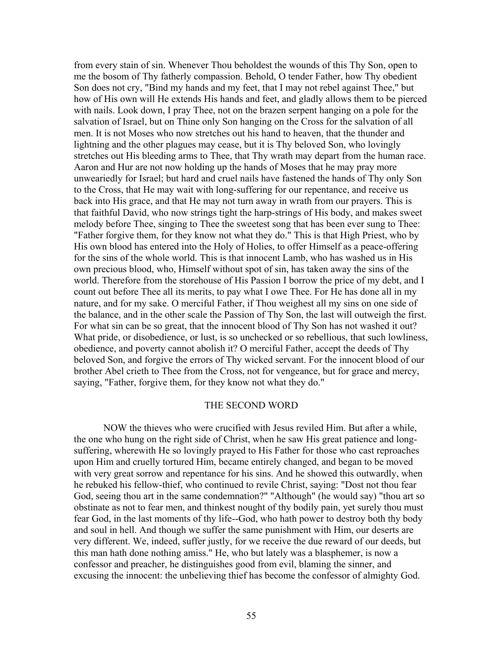from every stain of sin. Whenever Thou beholdest the wounds of this Thy Son, open to me the bosom of Thy fatherly compassion. Behold, O tender Father, how Thy obedient Son does not cry, "Bind my hands and my feet, that I may not rebel against Thee," but how of His own will He extends His hands and feet, and gladly allows them to be pierced with nails. Look down, I pray Thee, not on the brazen serpent hanging on a pole for the salvation of Israel, but on Thine only Son hanging on the Cross for the salvation of all men. It is not Moses who now stretches out his hand to heaven, that the thunder and lightning and the other plagues may cease, but it is Thy beloved Son, who lovingly stretches out His bleeding arms to Thee, that Thy wrath may depart from the human race. Aaron and Hur are not now holding up the hands of Moses that he may pray more unweariedly for Israel; but hard and cruel nails have fastened the hands of Thy only Son to the Cross, that He may wait with long-suffering for our repentance, and receive us back into His grace, and that He may not turn away in wrath from our prayers. This is that faithful David, who now strings tight the harp-strings of His body, and makes sweet melody before Thee, singing to Thee the sweetest song that has been ever sung to Thee: "Father forgive them, for they know not what they do." This is that High Priest, who by His own blood has entered into the Holy of Holies, to offer Himself as a peace-offering for the sins of the whole world. This is that innocent Lamb, who has washed us in His own precious blood, who, Himself without spot of sin, has taken away the sins of the world. Therefore from the storehouse of His Passion I borrow the price of my debt, and I count out before Thee all its merits, to pay what I owe Thee. For He has done all in my nature, and for my sake. O merciful Father, if Thou weighest all my sins on one side of the balance, and in the other scale the Passion of Thy Son, the last will outweigh the first. For what sin can be so great, that the innocent blood of Thy Son has not washed it out? What pride, or disobedience, or lust, is so unchecked or so rebellious, that such lowliness, obedience, and poverty cannot abolish it? O merciful Father, accept the deeds of Thy beloved Son, and forgive the errors of Thy wicked servant. For the innocent blood of our brother Abel crieth to Thee from the Cross, not for vengeance, but for grace and mercy, saying, "Father, forgive them, for they know not what they do."

#### THE SECOND WORD

NOW the thieves who were crucified with Jesus reviled Him. But after a while, the one who hung on the right side of Christ, when he saw His great patience and longsuffering, wherewith He so lovingly prayed to His Father for those who cast reproaches upon Him and cruelly tortured Him, became entirely changed, and began to be moved with very great sorrow and repentance for his sins. And he showed this outwardly, when he rebuked his fellow-thief, who continued to revile Christ, saying: "Dost not thou fear God, seeing thou art in the same condemnation?" "Although" (he would say) "thou art so obstinate as not to fear men, and thinkest nought of thy bodily pain, yet surely thou must fear God, in the last moments of thy life--God, who hath power to destroy both thy body and soul in hell. And though we suffer the same punishment with Him, our deserts are very different. We, indeed, suffer justly, for we receive the due reward of our deeds, but this man hath done nothing amiss." He, who but lately was a blasphemer, is now a confessor and preacher, he distinguishes good from evil, blaming the sinner, and excusing the innocent: the unbelieving thief has become the confessor of almighty God.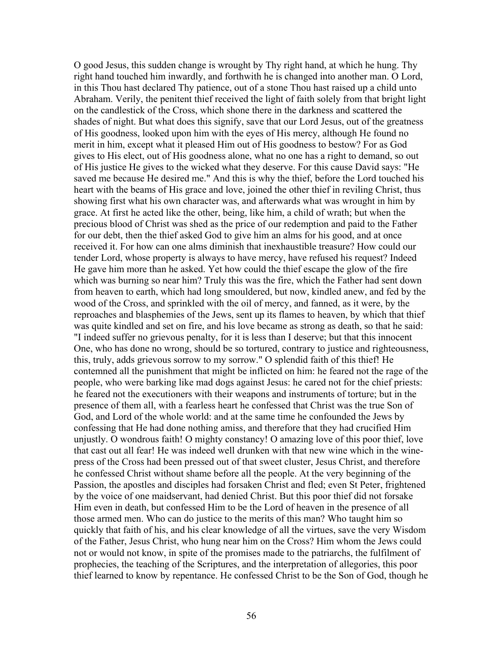O good Jesus, this sudden change is wrought by Thy right hand, at which he hung. Thy right hand touched him inwardly, and forthwith he is changed into another man. O Lord, in this Thou hast declared Thy patience, out of a stone Thou hast raised up a child unto Abraham. Verily, the penitent thief received the light of faith solely from that bright light on the candlestick of the Cross, which shone there in the darkness and scattered the shades of night. But what does this signify, save that our Lord Jesus, out of the greatness of His goodness, looked upon him with the eyes of His mercy, although He found no merit in him, except what it pleased Him out of His goodness to bestow? For as God gives to His elect, out of His goodness alone, what no one has a right to demand, so out of His justice He gives to the wicked what they deserve. For this cause David says: "He saved me because He desired me." And this is why the thief, before the Lord touched his heart with the beams of His grace and love, joined the other thief in reviling Christ, thus showing first what his own character was, and afterwards what was wrought in him by grace. At first he acted like the other, being, like him, a child of wrath; but when the precious blood of Christ was shed as the price of our redemption and paid to the Father for our debt, then the thief asked God to give him an alms for his good, and at once received it. For how can one alms diminish that inexhaustible treasure? How could our tender Lord, whose property is always to have mercy, have refused his request? Indeed He gave him more than he asked. Yet how could the thief escape the glow of the fire which was burning so near him? Truly this was the fire, which the Father had sent down from heaven to earth, which had long smouldered, but now, kindled anew, and fed by the wood of the Cross, and sprinkled with the oil of mercy, and fanned, as it were, by the reproaches and blasphemies of the Jews, sent up its flames to heaven, by which that thief was quite kindled and set on fire, and his love became as strong as death, so that he said: "I indeed suffer no grievous penalty, for it is less than I deserve; but that this innocent One, who has done no wrong, should be so tortured, contrary to justice and righteousness, this, truly, adds grievous sorrow to my sorrow." O splendid faith of this thief! He contemned all the punishment that might be inflicted on him: he feared not the rage of the people, who were barking like mad dogs against Jesus: he cared not for the chief priests: he feared not the executioners with their weapons and instruments of torture; but in the presence of them all, with a fearless heart he confessed that Christ was the true Son of God, and Lord of the whole world: and at the same time he confounded the Jews by confessing that He had done nothing amiss, and therefore that they had crucified Him unjustly. O wondrous faith! O mighty constancy! O amazing love of this poor thief, love that cast out all fear! He was indeed well drunken with that new wine which in the winepress of the Cross had been pressed out of that sweet cluster, Jesus Christ, and therefore he confessed Christ without shame before all the people. At the very beginning of the Passion, the apostles and disciples had forsaken Christ and fled; even St Peter, frightened by the voice of one maidservant, had denied Christ. But this poor thief did not forsake Him even in death, but confessed Him to be the Lord of heaven in the presence of all those armed men. Who can do justice to the merits of this man? Who taught him so quickly that faith of his, and his clear knowledge of all the virtues, save the very Wisdom of the Father, Jesus Christ, who hung near him on the Cross? Him whom the Jews could not or would not know, in spite of the promises made to the patriarchs, the fulfilment of prophecies, the teaching of the Scriptures, and the interpretation of allegories, this poor thief learned to know by repentance. He confessed Christ to be the Son of God, though he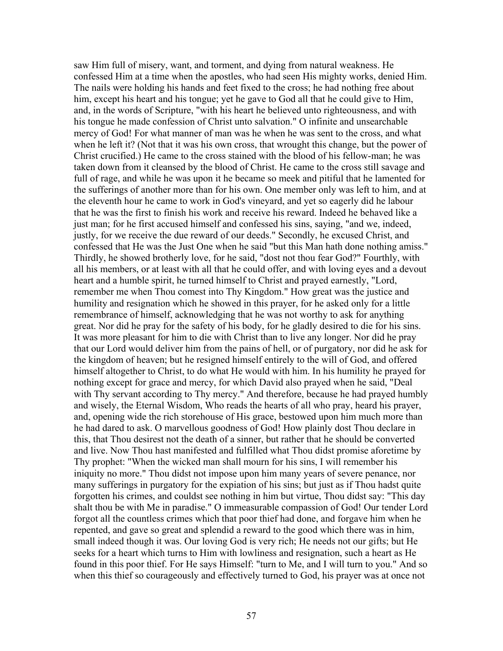saw Him full of misery, want, and torment, and dying from natural weakness. He confessed Him at a time when the apostles, who had seen His mighty works, denied Him. The nails were holding his hands and feet fixed to the cross; he had nothing free about him, except his heart and his tongue; yet he gave to God all that he could give to Him, and, in the words of Scripture, "with his heart he believed unto righteousness, and with his tongue he made confession of Christ unto salvation." O infinite and unsearchable mercy of God! For what manner of man was he when he was sent to the cross, and what when he left it? (Not that it was his own cross, that wrought this change, but the power of Christ crucified.) He came to the cross stained with the blood of his fellow-man; he was taken down from it cleansed by the blood of Christ. He came to the cross still savage and full of rage, and while he was upon it he became so meek and pitiful that he lamented for the sufferings of another more than for his own. One member only was left to him, and at the eleventh hour he came to work in God's vineyard, and yet so eagerly did he labour that he was the first to finish his work and receive his reward. Indeed he behaved like a just man; for he first accused himself and confessed his sins, saying, "and we, indeed, justly, for we receive the due reward of our deeds." Secondly, he excused Christ, and confessed that He was the Just One when he said "but this Man hath done nothing amiss." Thirdly, he showed brotherly love, for he said, "dost not thou fear God?" Fourthly, with all his members, or at least with all that he could offer, and with loving eyes and a devout heart and a humble spirit, he turned himself to Christ and prayed earnestly, "Lord, remember me when Thou comest into Thy Kingdom." How great was the justice and humility and resignation which he showed in this prayer, for he asked only for a little remembrance of himself, acknowledging that he was not worthy to ask for anything great. Nor did he pray for the safety of his body, for he gladly desired to die for his sins. It was more pleasant for him to die with Christ than to live any longer. Nor did he pray that our Lord would deliver him from the pains of hell, or of purgatory, nor did he ask for the kingdom of heaven; but he resigned himself entirely to the will of God, and offered himself altogether to Christ, to do what He would with him. In his humility he prayed for nothing except for grace and mercy, for which David also prayed when he said, "Deal with Thy servant according to Thy mercy." And therefore, because he had prayed humbly and wisely, the Eternal Wisdom, Who reads the hearts of all who pray, heard his prayer, and, opening wide the rich storehouse of His grace, bestowed upon him much more than he had dared to ask. O marvellous goodness of God! How plainly dost Thou declare in this, that Thou desirest not the death of a sinner, but rather that he should be converted and live. Now Thou hast manifested and fulfilled what Thou didst promise aforetime by Thy prophet: "When the wicked man shall mourn for his sins, I will remember his iniquity no more." Thou didst not impose upon him many years of severe penance, nor many sufferings in purgatory for the expiation of his sins; but just as if Thou hadst quite forgotten his crimes, and couldst see nothing in him but virtue, Thou didst say: "This day shalt thou be with Me in paradise." O immeasurable compassion of God! Our tender Lord forgot all the countless crimes which that poor thief had done, and forgave him when he repented, and gave so great and splendid a reward to the good which there was in him, small indeed though it was. Our loving God is very rich; He needs not our gifts; but He seeks for a heart which turns to Him with lowliness and resignation, such a heart as He found in this poor thief. For He says Himself: "turn to Me, and I will turn to you." And so when this thief so courageously and effectively turned to God, his prayer was at once not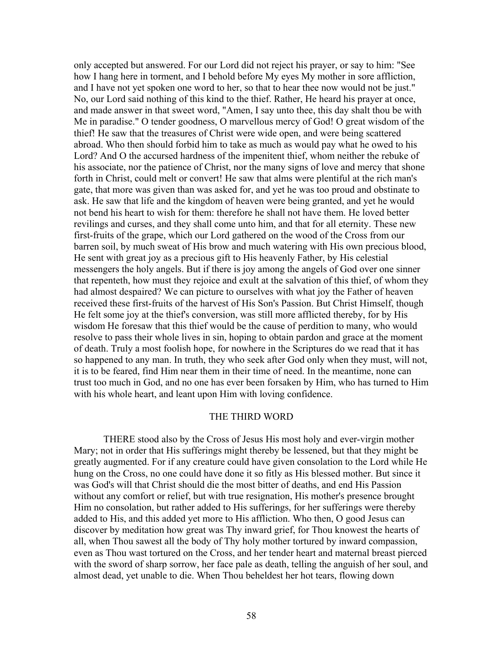only accepted but answered. For our Lord did not reject his prayer, or say to him: "See how I hang here in torment, and I behold before My eyes My mother in sore affliction, and I have not yet spoken one word to her, so that to hear thee now would not be just." No, our Lord said nothing of this kind to the thief. Rather, He heard his prayer at once, and made answer in that sweet word, "Amen, I say unto thee, this day shalt thou be with Me in paradise." O tender goodness, O marvellous mercy of God! O great wisdom of the thief! He saw that the treasures of Christ were wide open, and were being scattered abroad. Who then should forbid him to take as much as would pay what he owed to his Lord? And O the accursed hardness of the impenitent thief, whom neither the rebuke of his associate, nor the patience of Christ, nor the many signs of love and mercy that shone forth in Christ, could melt or convert! He saw that alms were plentiful at the rich man's gate, that more was given than was asked for, and yet he was too proud and obstinate to ask. He saw that life and the kingdom of heaven were being granted, and yet he would not bend his heart to wish for them: therefore he shall not have them. He loved better revilings and curses, and they shall come unto him, and that for all eternity. These new first-fruits of the grape, which our Lord gathered on the wood of the Cross from our barren soil, by much sweat of His brow and much watering with His own precious blood, He sent with great joy as a precious gift to His heavenly Father, by His celestial messengers the holy angels. But if there is joy among the angels of God over one sinner that repenteth, how must they rejoice and exult at the salvation of this thief, of whom they had almost despaired? We can picture to ourselves with what joy the Father of heaven received these first-fruits of the harvest of His Son's Passion. But Christ Himself, though He felt some joy at the thief's conversion, was still more afflicted thereby, for by His wisdom He foresaw that this thief would be the cause of perdition to many, who would resolve to pass their whole lives in sin, hoping to obtain pardon and grace at the moment of death. Truly a most foolish hope, for nowhere in the Scriptures do we read that it has so happened to any man. In truth, they who seek after God only when they must, will not, it is to be feared, find Him near them in their time of need. In the meantime, none can trust too much in God, and no one has ever been forsaken by Him, who has turned to Him with his whole heart, and leant upon Him with loving confidence.

#### THE THIRD WORD

THERE stood also by the Cross of Jesus His most holy and ever-virgin mother Mary; not in order that His sufferings might thereby be lessened, but that they might be greatly augmented. For if any creature could have given consolation to the Lord while He hung on the Cross, no one could have done it so fitly as His blessed mother. But since it was God's will that Christ should die the most bitter of deaths, and end His Passion without any comfort or relief, but with true resignation, His mother's presence brought Him no consolation, but rather added to His sufferings, for her sufferings were thereby added to His, and this added yet more to His affliction. Who then, O good Jesus can discover by meditation how great was Thy inward grief, for Thou knowest the hearts of all, when Thou sawest all the body of Thy holy mother tortured by inward compassion, even as Thou wast tortured on the Cross, and her tender heart and maternal breast pierced with the sword of sharp sorrow, her face pale as death, telling the anguish of her soul, and almost dead, yet unable to die. When Thou beheldest her hot tears, flowing down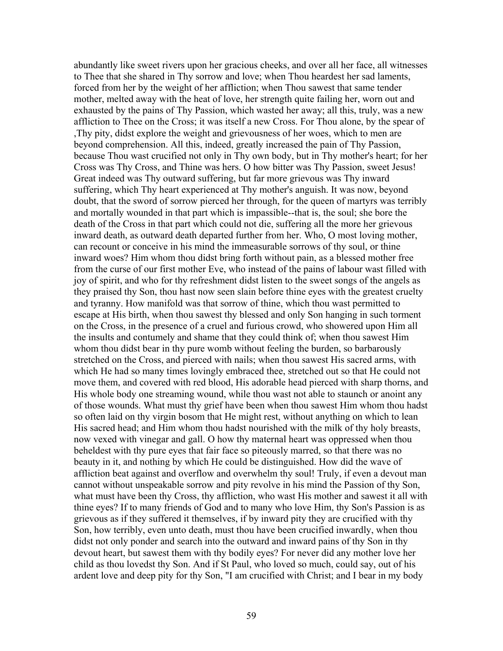abundantly like sweet rivers upon her gracious cheeks, and over all her face, all witnesses to Thee that she shared in Thy sorrow and love; when Thou heardest her sad laments, forced from her by the weight of her affliction; when Thou sawest that same tender mother, melted away with the heat of love, her strength quite failing her, worn out and exhausted by the pains of Thy Passion, which wasted her away; all this, truly, was a new affliction to Thee on the Cross; it was itself a new Cross. For Thou alone, by the spear of ,Thy pity, didst explore the weight and grievousness of her woes, which to men are beyond comprehension. All this, indeed, greatly increased the pain of Thy Passion, because Thou wast crucified not only in Thy own body, but in Thy mother's heart; for her Cross was Thy Cross, and Thine was hers. O how bitter was Thy Passion, sweet Jesus! Great indeed was Thy outward suffering, but far more grievous was Thy inward suffering, which Thy heart experienced at Thy mother's anguish. It was now, beyond doubt, that the sword of sorrow pierced her through, for the queen of martyrs was terribly and mortally wounded in that part which is impassible--that is, the soul; she bore the death of the Cross in that part which could not die, suffering all the more her grievous inward death, as outward death departed further from her. Who, O most loving mother, can recount or conceive in his mind the immeasurable sorrows of thy soul, or thine inward woes? Him whom thou didst bring forth without pain, as a blessed mother free from the curse of our first mother Eve, who instead of the pains of labour wast filled with joy of spirit, and who for thy refreshment didst listen to the sweet songs of the angels as they praised thy Son, thou hast now seen slain before thine eyes with the greatest cruelty and tyranny. How manifold was that sorrow of thine, which thou wast permitted to escape at His birth, when thou sawest thy blessed and only Son hanging in such torment on the Cross, in the presence of a cruel and furious crowd, who showered upon Him all the insults and contumely and shame that they could think of; when thou sawest Him whom thou didst bear in thy pure womb without feeling the burden, so barbarously stretched on the Cross, and pierced with nails; when thou sawest His sacred arms, with which He had so many times lovingly embraced thee, stretched out so that He could not move them, and covered with red blood, His adorable head pierced with sharp thorns, and His whole body one streaming wound, while thou wast not able to staunch or anoint any of those wounds. What must thy grief have been when thou sawest Him whom thou hadst so often laid on thy virgin bosom that He might rest, without anything on which to lean His sacred head; and Him whom thou hadst nourished with the milk of thy holy breasts, now vexed with vinegar and gall. O how thy maternal heart was oppressed when thou beheldest with thy pure eyes that fair face so piteously marred, so that there was no beauty in it, and nothing by which He could be distinguished. How did the wave of affliction beat against and overflow and overwhelm thy soul! Truly, if even a devout man cannot without unspeakable sorrow and pity revolve in his mind the Passion of thy Son, what must have been thy Cross, thy affliction, who wast His mother and sawest it all with thine eyes? If to many friends of God and to many who love Him, thy Son's Passion is as grievous as if they suffered it themselves, if by inward pity they are crucified with thy Son, how terribly, even unto death, must thou have been crucified inwardly, when thou didst not only ponder and search into the outward and inward pains of thy Son in thy devout heart, but sawest them with thy bodily eyes? For never did any mother love her child as thou lovedst thy Son. And if St Paul, who loved so much, could say, out of his ardent love and deep pity for thy Son, "I am crucified with Christ; and I bear in my body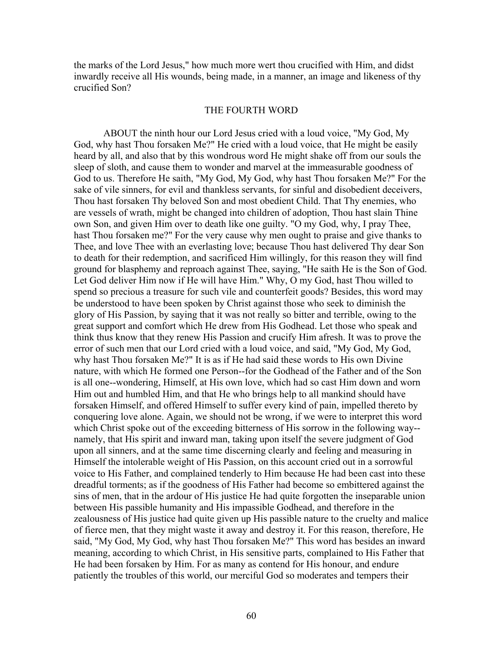the marks of the Lord Jesus," how much more wert thou crucified with Him, and didst inwardly receive all His wounds, being made, in a manner, an image and likeness of thy crucified Son?

# THE FOURTH WORD

ABOUT the ninth hour our Lord Jesus cried with a loud voice, "My God, My God, why hast Thou forsaken Me?" He cried with a loud voice, that He might be easily heard by all, and also that by this wondrous word He might shake off from our souls the sleep of sloth, and cause them to wonder and marvel at the immeasurable goodness of God to us. Therefore He saith, "My God, My God, why hast Thou forsaken Me?" For the sake of vile sinners, for evil and thankless servants, for sinful and disobedient deceivers, Thou hast forsaken Thy beloved Son and most obedient Child. That Thy enemies, who are vessels of wrath, might be changed into children of adoption, Thou hast slain Thine own Son, and given Him over to death like one guilty. "O my God, why, I pray Thee, hast Thou forsaken me?" For the very cause why men ought to praise and give thanks to Thee, and love Thee with an everlasting love; because Thou hast delivered Thy dear Son to death for their redemption, and sacrificed Him willingly, for this reason they will find ground for blasphemy and reproach against Thee, saying, "He saith He is the Son of God. Let God deliver Him now if He will have Him." Why, O my God, hast Thou willed to spend so precious a treasure for such vile and counterfeit goods? Besides, this word may be understood to have been spoken by Christ against those who seek to diminish the glory of His Passion, by saying that it was not really so bitter and terrible, owing to the great support and comfort which He drew from His Godhead. Let those who speak and think thus know that they renew His Passion and crucify Him afresh. It was to prove the error of such men that our Lord cried with a loud voice, and said, "My God, My God, why hast Thou forsaken Me?" It is as if He had said these words to His own Divine nature, with which He formed one Person--for the Godhead of the Father and of the Son is all one--wondering, Himself, at His own love, which had so cast Him down and worn Him out and humbled Him, and that He who brings help to all mankind should have forsaken Himself, and offered Himself to suffer every kind of pain, impelled thereto by conquering love alone. Again, we should not be wrong, if we were to interpret this word which Christ spoke out of the exceeding bitterness of His sorrow in the following way-namely, that His spirit and inward man, taking upon itself the severe judgment of God upon all sinners, and at the same time discerning clearly and feeling and measuring in Himself the intolerable weight of His Passion, on this account cried out in a sorrowful voice to His Father, and complained tenderly to Him because He had been cast into these dreadful torments; as if the goodness of His Father had become so embittered against the sins of men, that in the ardour of His justice He had quite forgotten the inseparable union between His passible humanity and His impassible Godhead, and therefore in the zealousness of His justice had quite given up His passible nature to the cruelty and malice of fierce men, that they might waste it away and destroy it. For this reason, therefore, He said, "My God, My God, why hast Thou forsaken Me?" This word has besides an inward meaning, according to which Christ, in His sensitive parts, complained to His Father that He had been forsaken by Him. For as many as contend for His honour, and endure patiently the troubles of this world, our merciful God so moderates and tempers their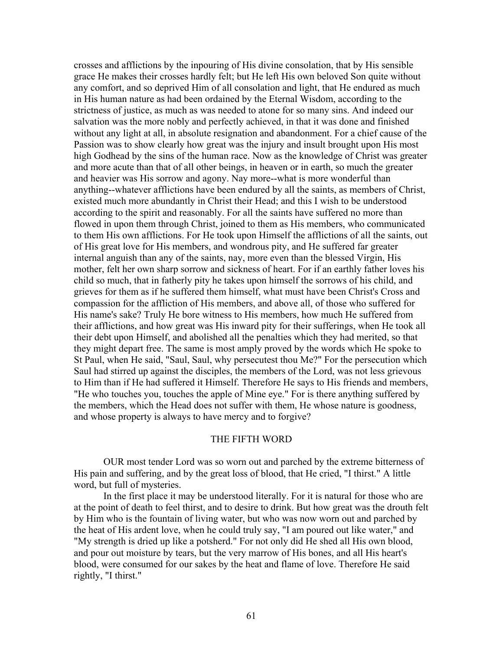crosses and afflictions by the inpouring of His divine consolation, that by His sensible grace He makes their crosses hardly felt; but He left His own beloved Son quite without any comfort, and so deprived Him of all consolation and light, that He endured as much in His human nature as had been ordained by the Eternal Wisdom, according to the strictness of justice, as much as was needed to atone for so many sins. And indeed our salvation was the more nobly and perfectly achieved, in that it was done and finished without any light at all, in absolute resignation and abandonment. For a chief cause of the Passion was to show clearly how great was the injury and insult brought upon His most high Godhead by the sins of the human race. Now as the knowledge of Christ was greater and more acute than that of all other beings, in heaven or in earth, so much the greater and heavier was His sorrow and agony. Nay more--what is more wonderful than anything--whatever afflictions have been endured by all the saints, as members of Christ, existed much more abundantly in Christ their Head; and this I wish to be understood according to the spirit and reasonably. For all the saints have suffered no more than flowed in upon them through Christ, joined to them as His members, who communicated to them His own afflictions. For He took upon Himself the afflictions of all the saints, out of His great love for His members, and wondrous pity, and He suffered far greater internal anguish than any of the saints, nay, more even than the blessed Virgin, His mother, felt her own sharp sorrow and sickness of heart. For if an earthly father loves his child so much, that in fatherly pity he takes upon himself the sorrows of his child, and grieves for them as if he suffered them himself, what must have been Christ's Cross and compassion for the affliction of His members, and above all, of those who suffered for His name's sake? Truly He bore witness to His members, how much He suffered from their afflictions, and how great was His inward pity for their sufferings, when He took all their debt upon Himself, and abolished all the penalties which they had merited, so that they might depart free. The same is most amply proved by the words which He spoke to St Paul, when He said, "Saul, Saul, why persecutest thou Me?" For the persecution which Saul had stirred up against the disciples, the members of the Lord, was not less grievous to Him than if He had suffered it Himself. Therefore He says to His friends and members, "He who touches you, touches the apple of Mine eye." For is there anything suffered by the members, which the Head does not suffer with them, He whose nature is goodness, and whose property is always to have mercy and to forgive?

## THE FIFTH WORD

OUR most tender Lord was so worn out and parched by the extreme bitterness of His pain and suffering, and by the great loss of blood, that He cried, "I thirst." A little word, but full of mysteries.

In the first place it may be understood literally. For it is natural for those who are at the point of death to feel thirst, and to desire to drink. But how great was the drouth felt by Him who is the fountain of living water, but who was now worn out and parched by the heat of His ardent love, when he could truly say, "I am poured out like water," and "My strength is dried up like a potsherd." For not only did He shed all His own blood, and pour out moisture by tears, but the very marrow of His bones, and all His heart's blood, were consumed for our sakes by the heat and flame of love. Therefore He said rightly, "I thirst."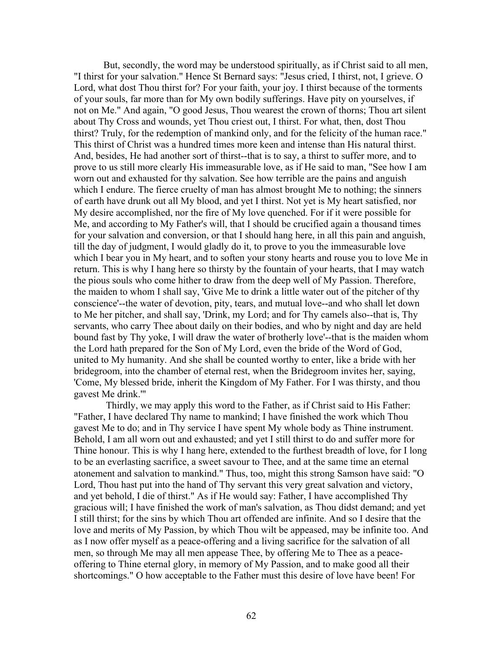But, secondly, the word may be understood spiritually, as if Christ said to all men, "I thirst for your salvation." Hence St Bernard says: "Jesus cried, I thirst, not, I grieve. O Lord, what dost Thou thirst for? For your faith, your joy. I thirst because of the torments of your souls, far more than for My own bodily sufferings. Have pity on yourselves, if not on Me." And again, "O good Jesus, Thou wearest the crown of thorns; Thou art silent about Thy Cross and wounds, yet Thou criest out, I thirst. For what, then, dost Thou thirst? Truly, for the redemption of mankind only, and for the felicity of the human race." This thirst of Christ was a hundred times more keen and intense than His natural thirst. And, besides, He had another sort of thirst--that is to say, a thirst to suffer more, and to prove to us still more clearly His immeasurable love, as if He said to man, "See how I am worn out and exhausted for thy salvation. See how terrible are the pains and anguish which I endure. The fierce cruelty of man has almost brought Me to nothing; the sinners of earth have drunk out all My blood, and yet I thirst. Not yet is My heart satisfied, nor My desire accomplished, nor the fire of My love quenched. For if it were possible for Me, and according to My Father's will, that I should be crucified again a thousand times for your salvation and conversion, or that I should hang here, in all this pain and anguish, till the day of judgment, I would gladly do it, to prove to you the immeasurable love which I bear you in My heart, and to soften your stony hearts and rouse you to love Me in return. This is why I hang here so thirsty by the fountain of your hearts, that I may watch the pious souls who come hither to draw from the deep well of My Passion. Therefore, the maiden to whom I shall say, 'Give Me to drink a little water out of the pitcher of thy conscience'--the water of devotion, pity, tears, and mutual love--and who shall let down to Me her pitcher, and shall say, 'Drink, my Lord; and for Thy camels also--that is, Thy servants, who carry Thee about daily on their bodies, and who by night and day are held bound fast by Thy yoke, I will draw the water of brotherly love'--that is the maiden whom the Lord hath prepared for the Son of My Lord, even the bride of the Word of God, united to My humanity. And she shall be counted worthy to enter, like a bride with her bridegroom, into the chamber of eternal rest, when the Bridegroom invites her, saying, 'Come, My blessed bride, inherit the Kingdom of My Father. For I was thirsty, and thou gavest Me drink.'"

 Thirdly, we may apply this word to the Father, as if Christ said to His Father: "Father, I have declared Thy name to mankind; I have finished the work which Thou gavest Me to do; and in Thy service I have spent My whole body as Thine instrument. Behold, I am all worn out and exhausted; and yet I still thirst to do and suffer more for Thine honour. This is why I hang here, extended to the furthest breadth of love, for I long to be an everlasting sacrifice, a sweet savour to Thee, and at the same time an eternal atonement and salvation to mankind." Thus, too, might this strong Samson have said: "O Lord, Thou hast put into the hand of Thy servant this very great salvation and victory, and yet behold, I die of thirst." As if He would say: Father, I have accomplished Thy gracious will; I have finished the work of man's salvation, as Thou didst demand; and yet I still thirst; for the sins by which Thou art offended are infinite. And so I desire that the love and merits of My Passion, by which Thou wilt be appeased, may be infinite too. And as I now offer myself as a peace-offering and a living sacrifice for the salvation of all men, so through Me may all men appease Thee, by offering Me to Thee as a peaceoffering to Thine eternal glory, in memory of My Passion, and to make good all their shortcomings." O how acceptable to the Father must this desire of love have been! For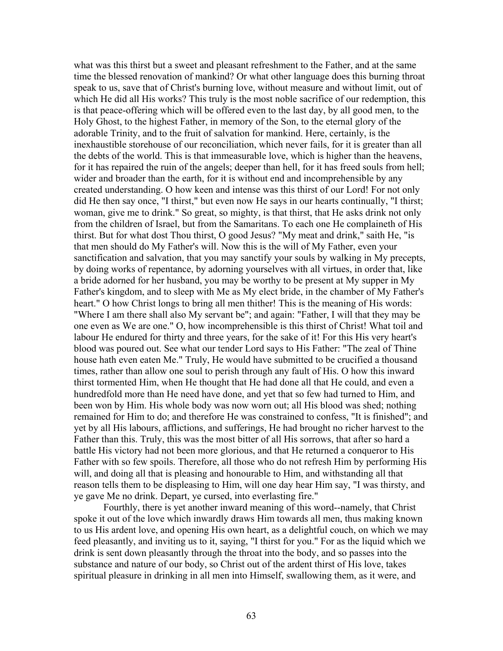what was this thirst but a sweet and pleasant refreshment to the Father, and at the same time the blessed renovation of mankind? Or what other language does this burning throat speak to us, save that of Christ's burning love, without measure and without limit, out of which He did all His works? This truly is the most noble sacrifice of our redemption, this is that peace-offering which will be offered even to the last day, by all good men, to the Holy Ghost, to the highest Father, in memory of the Son, to the eternal glory of the adorable Trinity, and to the fruit of salvation for mankind. Here, certainly, is the inexhaustible storehouse of our reconciliation, which never fails, for it is greater than all the debts of the world. This is that immeasurable love, which is higher than the heavens, for it has repaired the ruin of the angels; deeper than hell, for it has freed souls from hell; wider and broader than the earth, for it is without end and incomprehensible by any created understanding. O how keen and intense was this thirst of our Lord! For not only did He then say once, "I thirst," but even now He says in our hearts continually, "I thirst; woman, give me to drink." So great, so mighty, is that thirst, that He asks drink not only from the children of Israel, but from the Samaritans. To each one He complaineth of His thirst. But for what dost Thou thirst, O good Jesus? "My meat and drink," saith He, "is that men should do My Father's will. Now this is the will of My Father, even your sanctification and salvation, that you may sanctify your souls by walking in My precepts, by doing works of repentance, by adorning yourselves with all virtues, in order that, like a bride adorned for her husband, you may be worthy to be present at My supper in My Father's kingdom, and to sleep with Me as My elect bride, in the chamber of My Father's heart." O how Christ longs to bring all men thither! This is the meaning of His words: "Where I am there shall also My servant be"; and again: "Father, I will that they may be one even as We are one." O, how incomprehensible is this thirst of Christ! What toil and labour He endured for thirty and three years, for the sake of it! For this His very heart's blood was poured out. See what our tender Lord says to His Father: "The zeal of Thine house hath even eaten Me." Truly, He would have submitted to be crucified a thousand times, rather than allow one soul to perish through any fault of His. O how this inward thirst tormented Him, when He thought that He had done all that He could, and even a hundredfold more than He need have done, and yet that so few had turned to Him, and been won by Him. His whole body was now worn out; all His blood was shed; nothing remained for Him to do; and therefore He was constrained to confess, "It is finished"; and yet by all His labours, afflictions, and sufferings, He had brought no richer harvest to the Father than this. Truly, this was the most bitter of all His sorrows, that after so hard a battle His victory had not been more glorious, and that He returned a conqueror to His Father with so few spoils. Therefore, all those who do not refresh Him by performing His will, and doing all that is pleasing and honourable to Him, and withstanding all that reason tells them to be displeasing to Him, will one day hear Him say, "I was thirsty, and ye gave Me no drink. Depart, ye cursed, into everlasting fire."

Fourthly, there is yet another inward meaning of this word--namely, that Christ spoke it out of the love which inwardly draws Him towards all men, thus making known to us His ardent love, and opening His own heart, as a delightful couch, on which we may feed pleasantly, and inviting us to it, saying, "I thirst for you." For as the liquid which we drink is sent down pleasantly through the throat into the body, and so passes into the substance and nature of our body, so Christ out of the ardent thirst of His love, takes spiritual pleasure in drinking in all men into Himself, swallowing them, as it were, and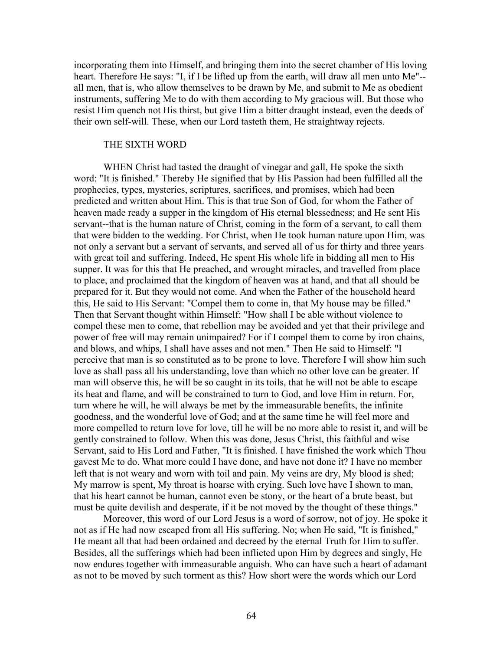incorporating them into Himself, and bringing them into the secret chamber of His loving heart. Therefore He says: "I, if I be lifted up from the earth, will draw all men unto Me"-all men, that is, who allow themselves to be drawn by Me, and submit to Me as obedient instruments, suffering Me to do with them according to My gracious will. But those who resist Him quench not His thirst, but give Him a bitter draught instead, even the deeds of their own self-will. These, when our Lord tasteth them, He straightway rejects.

# THE SIXTH WORD

WHEN Christ had tasted the draught of vinegar and gall, He spoke the sixth word: "It is finished." Thereby He signified that by His Passion had been fulfilled all the prophecies, types, mysteries, scriptures, sacrifices, and promises, which had been predicted and written about Him. This is that true Son of God, for whom the Father of heaven made ready a supper in the kingdom of His eternal blessedness; and He sent His servant--that is the human nature of Christ, coming in the form of a servant, to call them that were bidden to the wedding. For Christ, when He took human nature upon Him, was not only a servant but a servant of servants, and served all of us for thirty and three years with great toil and suffering. Indeed, He spent His whole life in bidding all men to His supper. It was for this that He preached, and wrought miracles, and travelled from place to place, and proclaimed that the kingdom of heaven was at hand, and that all should be prepared for it. But they would not come. And when the Father of the household heard this, He said to His Servant: "Compel them to come in, that My house may be filled." Then that Servant thought within Himself: "How shall I be able without violence to compel these men to come, that rebellion may be avoided and yet that their privilege and power of free will may remain unimpaired? For if I compel them to come by iron chains, and blows, and whips, I shall have asses and not men." Then He said to Himself: "I perceive that man is so constituted as to be prone to love. Therefore I will show him such love as shall pass all his understanding, love than which no other love can be greater. If man will observe this, he will be so caught in its toils, that he will not be able to escape its heat and flame, and will be constrained to turn to God, and love Him in return. For, turn where he will, he will always be met by the immeasurable benefits, the infinite goodness, and the wonderful love of God; and at the same time he will feel more and more compelled to return love for love, till he will be no more able to resist it, and will be gently constrained to follow. When this was done, Jesus Christ, this faithful and wise Servant, said to His Lord and Father, "It is finished. I have finished the work which Thou gavest Me to do. What more could I have done, and have not done it? I have no member left that is not weary and worn with toil and pain. My veins are dry, My blood is shed; My marrow is spent, My throat is hoarse with crying. Such love have I shown to man, that his heart cannot be human, cannot even be stony, or the heart of a brute beast, but must be quite devilish and desperate, if it be not moved by the thought of these things."

Moreover, this word of our Lord Jesus is a word of sorrow, not of joy. He spoke it not as if He had now escaped from all His suffering. No; when He said, "It is finished," He meant all that had been ordained and decreed by the eternal Truth for Him to suffer. Besides, all the sufferings which had been inflicted upon Him by degrees and singly, He now endures together with immeasurable anguish. Who can have such a heart of adamant as not to be moved by such torment as this? How short were the words which our Lord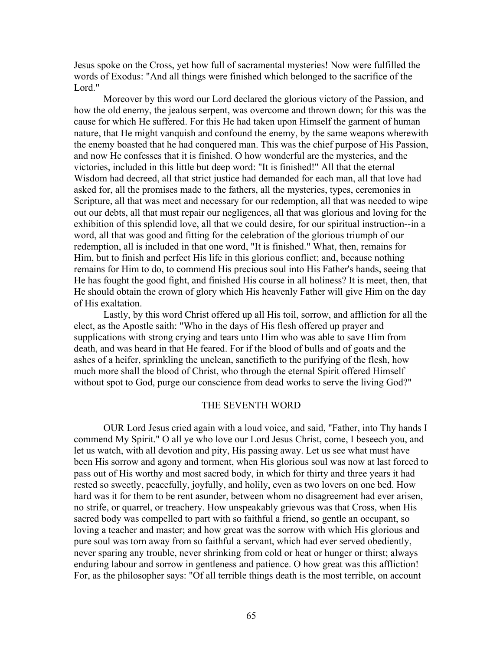Jesus spoke on the Cross, yet how full of sacramental mysteries! Now were fulfilled the words of Exodus: "And all things were finished which belonged to the sacrifice of the Lord."

Moreover by this word our Lord declared the glorious victory of the Passion, and how the old enemy, the jealous serpent, was overcome and thrown down; for this was the cause for which He suffered. For this He had taken upon Himself the garment of human nature, that He might vanquish and confound the enemy, by the same weapons wherewith the enemy boasted that he had conquered man. This was the chief purpose of His Passion, and now He confesses that it is finished. O how wonderful are the mysteries, and the victories, included in this little but deep word: "It is finished!" All that the eternal Wisdom had decreed, all that strict justice had demanded for each man, all that love had asked for, all the promises made to the fathers, all the mysteries, types, ceremonies in Scripture, all that was meet and necessary for our redemption, all that was needed to wipe out our debts, all that must repair our negligences, all that was glorious and loving for the exhibition of this splendid love, all that we could desire, for our spiritual instruction--in a word, all that was good and fitting for the celebration of the glorious triumph of our redemption, all is included in that one word, "It is finished." What, then, remains for Him, but to finish and perfect His life in this glorious conflict; and, because nothing remains for Him to do, to commend His precious soul into His Father's hands, seeing that He has fought the good fight, and finished His course in all holiness? It is meet, then, that He should obtain the crown of glory which His heavenly Father will give Him on the day of His exaltation.

Lastly, by this word Christ offered up all His toil, sorrow, and affliction for all the elect, as the Apostle saith: "Who in the days of His flesh offered up prayer and supplications with strong crying and tears unto Him who was able to save Him from death, and was heard in that He feared. For if the blood of bulls and of goats and the ashes of a heifer, sprinkling the unclean, sanctifieth to the purifying of the flesh, how much more shall the blood of Christ, who through the eternal Spirit offered Himself without spot to God, purge our conscience from dead works to serve the living God?"

#### THE SEVENTH WORD

OUR Lord Jesus cried again with a loud voice, and said, "Father, into Thy hands I commend My Spirit." O all ye who love our Lord Jesus Christ, come, I beseech you, and let us watch, with all devotion and pity, His passing away. Let us see what must have been His sorrow and agony and torment, when His glorious soul was now at last forced to pass out of His worthy and most sacred body, in which for thirty and three years it had rested so sweetly, peacefully, joyfully, and holily, even as two lovers on one bed. How hard was it for them to be rent asunder, between whom no disagreement had ever arisen, no strife, or quarrel, or treachery. How unspeakably grievous was that Cross, when His sacred body was compelled to part with so faithful a friend, so gentle an occupant, so loving a teacher and master; and how great was the sorrow with which His glorious and pure soul was torn away from so faithful a servant, which had ever served obediently, never sparing any trouble, never shrinking from cold or heat or hunger or thirst; always enduring labour and sorrow in gentleness and patience. O how great was this affliction! For, as the philosopher says: "Of all terrible things death is the most terrible, on account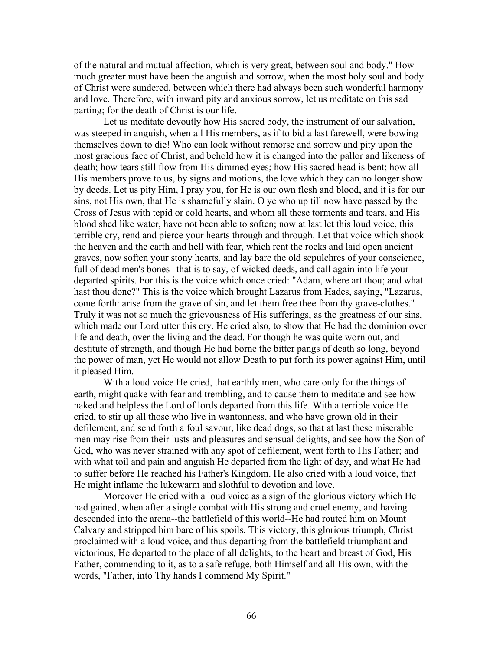of the natural and mutual affection, which is very great, between soul and body." How much greater must have been the anguish and sorrow, when the most holy soul and body of Christ were sundered, between which there had always been such wonderful harmony and love. Therefore, with inward pity and anxious sorrow, let us meditate on this sad parting; for the death of Christ is our life.

Let us meditate devoutly how His sacred body, the instrument of our salvation, was steeped in anguish, when all His members, as if to bid a last farewell, were bowing themselves down to die! Who can look without remorse and sorrow and pity upon the most gracious face of Christ, and behold how it is changed into the pallor and likeness of death; how tears still flow from His dimmed eyes; how His sacred head is bent; how all His members prove to us, by signs and motions, the love which they can no longer show by deeds. Let us pity Him, I pray you, for He is our own flesh and blood, and it is for our sins, not His own, that He is shamefully slain. O ye who up till now have passed by the Cross of Jesus with tepid or cold hearts, and whom all these torments and tears, and His blood shed like water, have not been able to soften; now at last let this loud voice, this terrible cry, rend and pierce your hearts through and through. Let that voice which shook the heaven and the earth and hell with fear, which rent the rocks and laid open ancient graves, now soften your stony hearts, and lay bare the old sepulchres of your conscience, full of dead men's bones--that is to say, of wicked deeds, and call again into life your departed spirits. For this is the voice which once cried: "Adam, where art thou; and what hast thou done?" This is the voice which brought Lazarus from Hades, saying, "Lazarus, come forth: arise from the grave of sin, and let them free thee from thy grave-clothes." Truly it was not so much the grievousness of His sufferings, as the greatness of our sins, which made our Lord utter this cry. He cried also, to show that He had the dominion over life and death, over the living and the dead. For though he was quite worn out, and destitute of strength, and though He had borne the bitter pangs of death so long, beyond the power of man, yet He would not allow Death to put forth its power against Him, until it pleased Him.

With a loud voice He cried, that earthly men, who care only for the things of earth, might quake with fear and trembling, and to cause them to meditate and see how naked and helpless the Lord of lords departed from this life. With a terrible voice He cried, to stir up all those who live in wantonness, and who have grown old in their defilement, and send forth a foul savour, like dead dogs, so that at last these miserable men may rise from their lusts and pleasures and sensual delights, and see how the Son of God, who was never strained with any spot of defilement, went forth to His Father; and with what toil and pain and anguish He departed from the light of day, and what He had to suffer before He reached his Father's Kingdom. He also cried with a loud voice, that He might inflame the lukewarm and slothful to devotion and love.

Moreover He cried with a loud voice as a sign of the glorious victory which He had gained, when after a single combat with His strong and cruel enemy, and having descended into the arena--the battlefield of this world--He had routed him on Mount Calvary and stripped him bare of his spoils. This victory, this glorious triumph, Christ proclaimed with a loud voice, and thus departing from the battlefield triumphant and victorious, He departed to the place of all delights, to the heart and breast of God, His Father, commending to it, as to a safe refuge, both Himself and all His own, with the words, "Father, into Thy hands I commend My Spirit."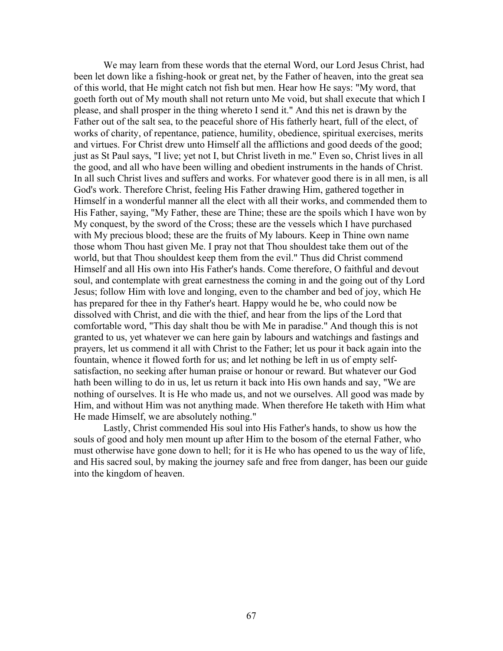We may learn from these words that the eternal Word, our Lord Jesus Christ, had been let down like a fishing-hook or great net, by the Father of heaven, into the great sea of this world, that He might catch not fish but men. Hear how He says: "My word, that goeth forth out of My mouth shall not return unto Me void, but shall execute that which I please, and shall prosper in the thing whereto I send it." And this net is drawn by the Father out of the salt sea, to the peaceful shore of His fatherly heart, full of the elect, of works of charity, of repentance, patience, humility, obedience, spiritual exercises, merits and virtues. For Christ drew unto Himself all the afflictions and good deeds of the good; just as St Paul says, "I live; yet not I, but Christ liveth in me." Even so, Christ lives in all the good, and all who have been willing and obedient instruments in the hands of Christ. In all such Christ lives and suffers and works. For whatever good there is in all men, is all God's work. Therefore Christ, feeling His Father drawing Him, gathered together in Himself in a wonderful manner all the elect with all their works, and commended them to His Father, saying, "My Father, these are Thine; these are the spoils which I have won by My conquest, by the sword of the Cross; these are the vessels which I have purchased with My precious blood; these are the fruits of My labours. Keep in Thine own name those whom Thou hast given Me. I pray not that Thou shouldest take them out of the world, but that Thou shouldest keep them from the evil." Thus did Christ commend Himself and all His own into His Father's hands. Come therefore, O faithful and devout soul, and contemplate with great earnestness the coming in and the going out of thy Lord Jesus; follow Him with love and longing, even to the chamber and bed of joy, which He has prepared for thee in thy Father's heart. Happy would he be, who could now be dissolved with Christ, and die with the thief, and hear from the lips of the Lord that comfortable word, "This day shalt thou be with Me in paradise." And though this is not granted to us, yet whatever we can here gain by labours and watchings and fastings and prayers, let us commend it all with Christ to the Father; let us pour it back again into the fountain, whence it flowed forth for us; and let nothing be left in us of empty selfsatisfaction, no seeking after human praise or honour or reward. But whatever our God hath been willing to do in us, let us return it back into His own hands and say, "We are nothing of ourselves. It is He who made us, and not we ourselves. All good was made by Him, and without Him was not anything made. When therefore He taketh with Him what He made Himself, we are absolutely nothing."

Lastly, Christ commended His soul into His Father's hands, to show us how the souls of good and holy men mount up after Him to the bosom of the eternal Father, who must otherwise have gone down to hell; for it is He who has opened to us the way of life, and His sacred soul, by making the journey safe and free from danger, has been our guide into the kingdom of heaven.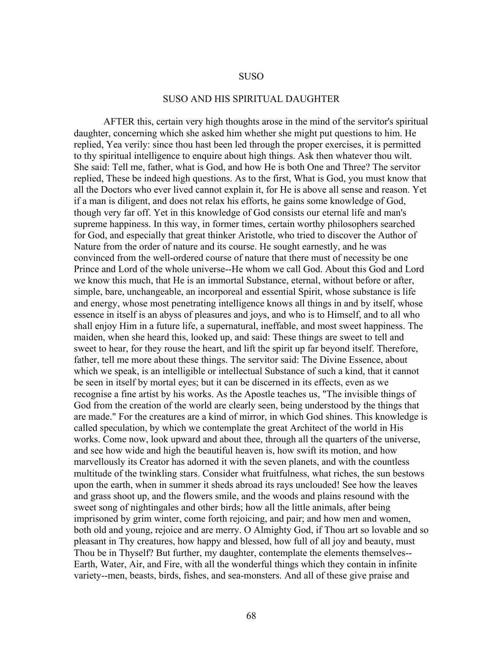## SUSO

## SUSO AND HIS SPIRITUAL DAUGHTER

AFTER this, certain very high thoughts arose in the mind of the servitor's spiritual daughter, concerning which she asked him whether she might put questions to him. He replied, Yea verily: since thou hast been led through the proper exercises, it is permitted to thy spiritual intelligence to enquire about high things. Ask then whatever thou wilt. She said: Tell me, father, what is God, and how He is both One and Three? The servitor replied, These be indeed high questions. As to the first, What is God, you must know that all the Doctors who ever lived cannot explain it, for He is above all sense and reason. Yet if a man is diligent, and does not relax his efforts, he gains some knowledge of God, though very far off. Yet in this knowledge of God consists our eternal life and man's supreme happiness. In this way, in former times, certain worthy philosophers searched for God, and especially that great thinker Aristotle, who tried to discover the Author of Nature from the order of nature and its course. He sought earnestly, and he was convinced from the well-ordered course of nature that there must of necessity be one Prince and Lord of the whole universe--He whom we call God. About this God and Lord we know this much, that He is an immortal Substance, eternal, without before or after, simple, bare, unchangeable, an incorporeal and essential Spirit, whose substance is life and energy, whose most penetrating intelligence knows all things in and by itself, whose essence in itself is an abyss of pleasures and joys, and who is to Himself, and to all who shall enjoy Him in a future life, a supernatural, ineffable, and most sweet happiness. The maiden, when she heard this, looked up, and said: These things are sweet to tell and sweet to hear, for they rouse the heart, and lift the spirit up far beyond itself. Therefore, father, tell me more about these things. The servitor said: The Divine Essence, about which we speak, is an intelligible or intellectual Substance of such a kind, that it cannot be seen in itself by mortal eyes; but it can be discerned in its effects, even as we recognise a fine artist by his works. As the Apostle teaches us, "The invisible things of God from the creation of the world are clearly seen, being understood by the things that are made." For the creatures are a kind of mirror, in which God shines. This knowledge is called speculation, by which we contemplate the great Architect of the world in His works. Come now, look upward and about thee, through all the quarters of the universe, and see how wide and high the beautiful heaven is, how swift its motion, and how marvellously its Creator has adorned it with the seven planets, and with the countless multitude of the twinkling stars. Consider what fruitfulness, what riches, the sun bestows upon the earth, when in summer it sheds abroad its rays unclouded! See how the leaves and grass shoot up, and the flowers smile, and the woods and plains resound with the sweet song of nightingales and other birds; how all the little animals, after being imprisoned by grim winter, come forth rejoicing, and pair; and how men and women, both old and young, rejoice and are merry. O Almighty God, if Thou art so lovable and so pleasant in Thy creatures, how happy and blessed, how full of all joy and beauty, must Thou be in Thyself? But further, my daughter, contemplate the elements themselves-- Earth, Water, Air, and Fire, with all the wonderful things which they contain in infinite variety--men, beasts, birds, fishes, and sea-monsters. And all of these give praise and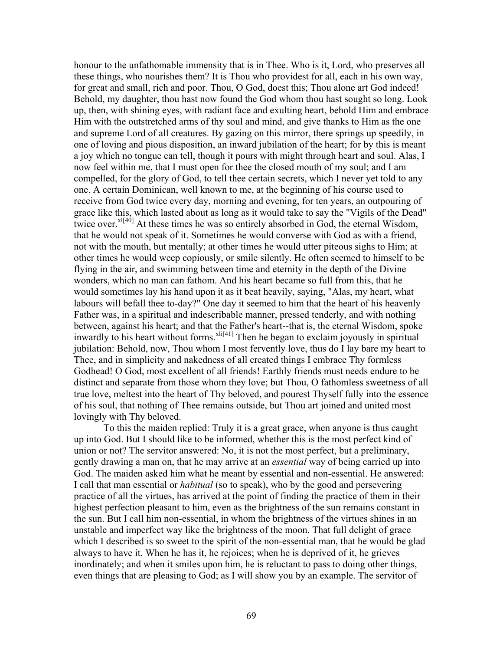honour to the unfathomable immensity that is in Thee. Who is it, Lord, who preserves all these things, who nourishes them? It is Thou who providest for all, each in his own way, for great and small, rich and poor. Thou, O God, doest this; Thou alone art God indeed! Behold, my daughter, thou hast now found the God whom thou hast sought so long. Look up, then, with shining eyes, with radiant face and exulting heart, behold Him and embrace Him with the outstretched arms of thy soul and mind, and give thanks to Him as the one and supreme Lord of all creatures. By gazing on this mirror, there springs up speedily, in one of loving and pious disposition, an inward jubilation of the heart; for by this is meant a joy which no tongue can tell, though it pours with might through heart and soul. Alas, I now feel within me, that I must open for thee the closed mouth of my soul; and I am compelled, for the glory of God, to tell thee certain secrets, which I never yet told to any one. A certain Dominican, well known to me, at the beginning of his course used to receive from God twice every day, morning and evening, for ten years, an outpouring of grace like this, which lasted about as long as it would take to say the "Vigils of the Dead" twice over. $x^{1[40]}$  At these times he was so entirely absorbed in God, the eternal Wisdom, that he would not speak of it. Sometimes he would converse with God as with a friend, not with the mouth, but mentally; at other times he would utter piteous sighs to Him; at other times he would weep copiously, or smile silently. He often seemed to himself to be flying in the air, and swimming between time and eternity in the depth of the Divine wonders, which no man can fathom. And his heart became so full from this, that he would sometimes lay his hand upon it as it beat heavily, saying, "Alas, my heart, what labours will befall thee to-day?" One day it seemed to him that the heart of his heavenly Father was, in a spiritual and indescribable manner, pressed tenderly, and with nothing between, against his heart; and that the Father's heart--that is, the eternal Wisdom, spoke inwardly to his heart without forms. $\frac{x^{\text{li}[41]}}{\text{Then}}$  Then he began to exclaim joyously in spiritual jubilation: Behold, now, Thou whom I most fervently love, thus do I lay bare my heart to Thee, and in simplicity and nakedness of all created things I embrace Thy formless Godhead! O God, most excellent of all friends! Earthly friends must needs endure to be distinct and separate from those whom they love; but Thou, O fathomless sweetness of all true love, meltest into the heart of Thy beloved, and pourest Thyself fully into the essence of his soul, that nothing of Thee remains outside, but Thou art joined and united most lovingly with Thy beloved.

To this the maiden replied: Truly it is a great grace, when anyone is thus caught up into God. But I should like to be informed, whether this is the most perfect kind of union or not? The servitor answered: No, it is not the most perfect, but a preliminary, gently drawing a man on, that he may arrive at an *essential* way of being carried up into God. The maiden asked him what he meant by essential and non-essential. He answered: I call that man essential or *habitual* (so to speak), who by the good and persevering practice of all the virtues, has arrived at the point of finding the practice of them in their highest perfection pleasant to him, even as the brightness of the sun remains constant in the sun. But I call him non-essential, in whom the brightness of the virtues shines in an unstable and imperfect way like the brightness of the moon. That full delight of grace which I described is so sweet to the spirit of the non-essential man, that he would be glad always to have it. When he has it, he rejoices; when he is deprived of it, he grieves inordinately; and when it smiles upon him, he is reluctant to pass to doing other things, even things that are pleasing to God; as I will show you by an example. The servitor of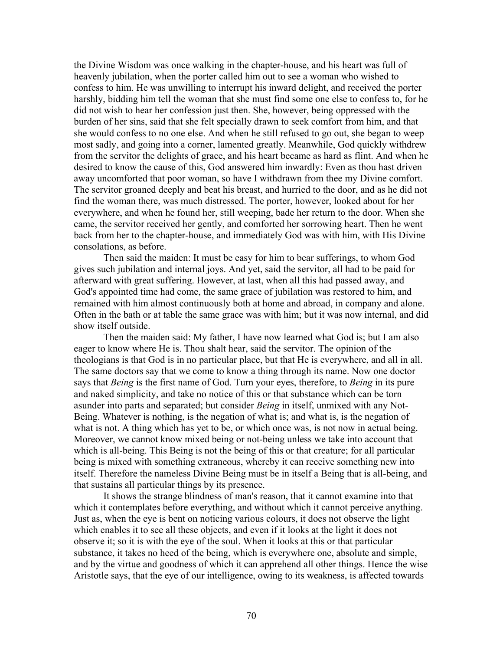the Divine Wisdom was once walking in the chapter-house, and his heart was full of heavenly jubilation, when the porter called him out to see a woman who wished to confess to him. He was unwilling to interrupt his inward delight, and received the porter harshly, bidding him tell the woman that she must find some one else to confess to, for he did not wish to hear her confession just then. She, however, being oppressed with the burden of her sins, said that she felt specially drawn to seek comfort from him, and that she would confess to no one else. And when he still refused to go out, she began to weep most sadly, and going into a corner, lamented greatly. Meanwhile, God quickly withdrew from the servitor the delights of grace, and his heart became as hard as flint. And when he desired to know the cause of this, God answered him inwardly: Even as thou hast driven away uncomforted that poor woman, so have I withdrawn from thee my Divine comfort. The servitor groaned deeply and beat his breast, and hurried to the door, and as he did not find the woman there, was much distressed. The porter, however, looked about for her everywhere, and when he found her, still weeping, bade her return to the door. When she came, the servitor received her gently, and comforted her sorrowing heart. Then he went back from her to the chapter-house, and immediately God was with him, with His Divine consolations, as before.

Then said the maiden: It must be easy for him to bear sufferings, to whom God gives such jubilation and internal joys. And yet, said the servitor, all had to be paid for afterward with great suffering. However, at last, when all this had passed away, and God's appointed time had come, the same grace of jubilation was restored to him, and remained with him almost continuously both at home and abroad, in company and alone. Often in the bath or at table the same grace was with him; but it was now internal, and did show itself outside.

Then the maiden said: My father, I have now learned what God is; but I am also eager to know where He is. Thou shalt hear, said the servitor. The opinion of the theologians is that God is in no particular place, but that He is everywhere, and all in all. The same doctors say that we come to know a thing through its name. Now one doctor says that *Being* is the first name of God. Turn your eyes, therefore, to *Being* in its pure and naked simplicity, and take no notice of this or that substance which can be torn asunder into parts and separated; but consider *Being* in itself, unmixed with any Not-Being. Whatever is nothing, is the negation of what is; and what is, is the negation of what is not. A thing which has yet to be, or which once was, is not now in actual being. Moreover, we cannot know mixed being or not-being unless we take into account that which is all-being. This Being is not the being of this or that creature; for all particular being is mixed with something extraneous, whereby it can receive something new into itself. Therefore the nameless Divine Being must be in itself a Being that is all-being, and that sustains all particular things by its presence.

It shows the strange blindness of man's reason, that it cannot examine into that which it contemplates before everything, and without which it cannot perceive anything. Just as, when the eye is bent on noticing various colours, it does not observe the light which enables it to see all these objects, and even if it looks at the light it does not observe it; so it is with the eye of the soul. When it looks at this or that particular substance, it takes no heed of the being, which is everywhere one, absolute and simple, and by the virtue and goodness of which it can apprehend all other things. Hence the wise Aristotle says, that the eye of our intelligence, owing to its weakness, is affected towards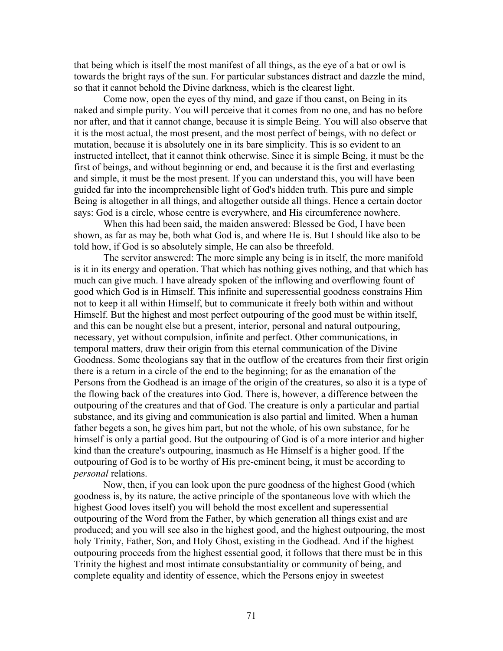that being which is itself the most manifest of all things, as the eye of a bat or owl is towards the bright rays of the sun. For particular substances distract and dazzle the mind, so that it cannot behold the Divine darkness, which is the clearest light.

Come now, open the eyes of thy mind, and gaze if thou canst, on Being in its naked and simple purity. You will perceive that it comes from no one, and has no before nor after, and that it cannot change, because it is simple Being. You will also observe that it is the most actual, the most present, and the most perfect of beings, with no defect or mutation, because it is absolutely one in its bare simplicity. This is so evident to an instructed intellect, that it cannot think otherwise. Since it is simple Being, it must be the first of beings, and without beginning or end, and because it is the first and everlasting and simple, it must be the most present. If you can understand this, you will have been guided far into the incomprehensible light of God's hidden truth. This pure and simple Being is altogether in all things, and altogether outside all things. Hence a certain doctor says: God is a circle, whose centre is everywhere, and His circumference nowhere.

When this had been said, the maiden answered: Blessed be God, I have been shown, as far as may be, both what God is, and where He is. But I should like also to be told how, if God is so absolutely simple, He can also be threefold.

The servitor answered: The more simple any being is in itself, the more manifold is it in its energy and operation. That which has nothing gives nothing, and that which has much can give much. I have already spoken of the inflowing and overflowing fount of good which God is in Himself. This infinite and superessential goodness constrains Him not to keep it all within Himself, but to communicate it freely both within and without Himself. But the highest and most perfect outpouring of the good must be within itself, and this can be nought else but a present, interior, personal and natural outpouring, necessary, yet without compulsion, infinite and perfect. Other communications, in temporal matters, draw their origin from this eternal communication of the Divine Goodness. Some theologians say that in the outflow of the creatures from their first origin there is a return in a circle of the end to the beginning; for as the emanation of the Persons from the Godhead is an image of the origin of the creatures, so also it is a type of the flowing back of the creatures into God. There is, however, a difference between the outpouring of the creatures and that of God. The creature is only a particular and partial substance, and its giving and communication is also partial and limited. When a human father begets a son, he gives him part, but not the whole, of his own substance, for he himself is only a partial good. But the outpouring of God is of a more interior and higher kind than the creature's outpouring, inasmuch as He Himself is a higher good. If the outpouring of God is to be worthy of His pre-eminent being, it must be according to *personal* relations.

Now, then, if you can look upon the pure goodness of the highest Good (which goodness is, by its nature, the active principle of the spontaneous love with which the highest Good loves itself) you will behold the most excellent and superessential outpouring of the Word from the Father, by which generation all things exist and are produced; and you will see also in the highest good, and the highest outpouring, the most holy Trinity, Father, Son, and Holy Ghost, existing in the Godhead. And if the highest outpouring proceeds from the highest essential good, it follows that there must be in this Trinity the highest and most intimate consubstantiality or community of being, and complete equality and identity of essence, which the Persons enjoy in sweetest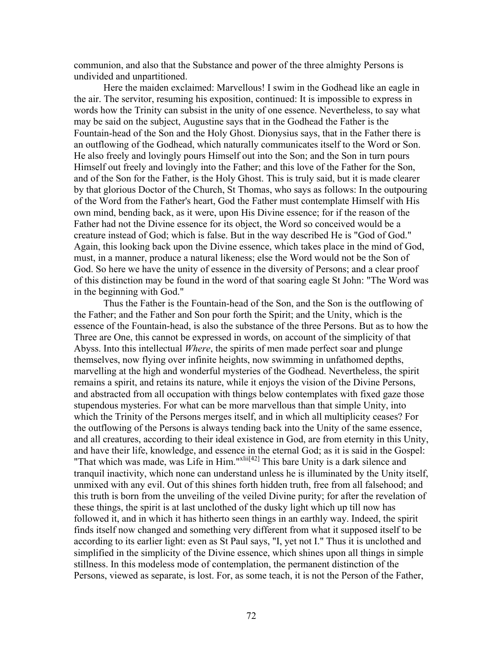communion, and also that the Substance and power of the three almighty Persons is undivided and unpartitioned.

Here the maiden exclaimed: Marvellous! I swim in the Godhead like an eagle in the air. The servitor, resuming his exposition, continued: It is impossible to express in words how the Trinity can subsist in the unity of one essence. Nevertheless, to say what may be said on the subject, Augustine says that in the Godhead the Father is the Fountain-head of the Son and the Holy Ghost. Dionysius says, that in the Father there is an outflowing of the Godhead, which naturally communicates itself to the Word or Son. He also freely and lovingly pours Himself out into the Son; and the Son in turn pours Himself out freely and lovingly into the Father; and this love of the Father for the Son, and of the Son for the Father, is the Holy Ghost. This is truly said, but it is made clearer by that glorious Doctor of the Church, St Thomas, who says as follows: In the outpouring of the Word from the Father's heart, God the Father must contemplate Himself with His own mind, bending back, as it were, upon His Divine essence; for if the reason of the Father had not the Divine essence for its object, the Word so conceived would be a creature instead of God; which is false. But in the way described He is "God of God." Again, this looking back upon the Divine essence, which takes place in the mind of God, must, in a manner, produce a natural likeness; else the Word would not be the Son of God. So here we have the unity of essence in the diversity of Persons; and a clear proof of this distinction may be found in the word of that soaring eagle St John: "The Word was in the beginning with God."

Thus the Father is the Fountain-head of the Son, and the Son is the outflowing of the Father; and the Father and Son pour forth the Spirit; and the Unity, which is the essence of the Fountain-head, is also the substance of the three Persons. But as to how the Three are One, this cannot be expressed in words, on account of the simplicity of that Abyss. Into this intellectual *Where*, the spirits of men made perfect soar and plunge themselves, now flying over infinite heights, now swimming in unfathomed depths, marvelling at the high and wonderful mysteries of the Godhead. Nevertheless, the spirit remains a spirit, and retains its nature, while it enjoys the vision of the Divine Persons, and abstracted from all occupation with things below contemplates with fixed gaze those stupendous mysteries. For what can be more marvellous than that simple Unity, into which the Trinity of the Persons merges itself, and in which all multiplicity ceases? For the outflowing of the Persons is always tending back into the Unity of the same essence, and all creatures, according to their ideal existence in God, are from eternity in this Unity, and have their life, knowledge, and essence in the eternal God; as it is said in the Gospel: "That which was made, was Life in Him."<sup>[xlii\[](#page-91-12)42]</sup> This bare Unity is a dark silence and tranquil inactivity, which none can understand unless he is illuminated by the Unity itself, unmixed with any evil. Out of this shines forth hidden truth, free from all falsehood; and this truth is born from the unveiling of the veiled Divine purity; for after the revelation of these things, the spirit is at last unclothed of the dusky light which up till now has followed it, and in which it has hitherto seen things in an earthly way. Indeed, the spirit finds itself now changed and something very different from what it supposed itself to be according to its earlier light: even as St Paul says, "I, yet not I." Thus it is unclothed and simplified in the simplicity of the Divine essence, which shines upon all things in simple stillness. In this modeless mode of contemplation, the permanent distinction of the Persons, viewed as separate, is lost. For, as some teach, it is not the Person of the Father,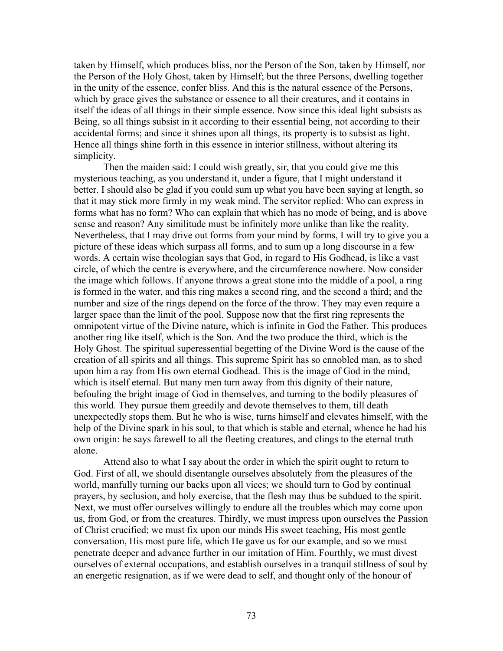taken by Himself, which produces bliss, nor the Person of the Son, taken by Himself, nor the Person of the Holy Ghost, taken by Himself; but the three Persons, dwelling together in the unity of the essence, confer bliss. And this is the natural essence of the Persons, which by grace gives the substance or essence to all their creatures, and it contains in itself the ideas of all things in their simple essence. Now since this ideal light subsists as Being, so all things subsist in it according to their essential being, not according to their accidental forms; and since it shines upon all things, its property is to subsist as light. Hence all things shine forth in this essence in interior stillness, without altering its simplicity.

Then the maiden said: I could wish greatly, sir, that you could give me this mysterious teaching, as you understand it, under a figure, that I might understand it better. I should also be glad if you could sum up what you have been saying at length, so that it may stick more firmly in my weak mind. The servitor replied: Who can express in forms what has no form? Who can explain that which has no mode of being, and is above sense and reason? Any similitude must be infinitely more unlike than like the reality. Nevertheless, that I may drive out forms from your mind by forms, I will try to give you a picture of these ideas which surpass all forms, and to sum up a long discourse in a few words. A certain wise theologian says that God, in regard to His Godhead, is like a vast circle, of which the centre is everywhere, and the circumference nowhere. Now consider the image which follows. If anyone throws a great stone into the middle of a pool, a ring is formed in the water, and this ring makes a second ring, and the second a third; and the number and size of the rings depend on the force of the throw. They may even require a larger space than the limit of the pool. Suppose now that the first ring represents the omnipotent virtue of the Divine nature, which is infinite in God the Father. This produces another ring like itself, which is the Son. And the two produce the third, which is the Holy Ghost. The spiritual superessential begetting of the Divine Word is the cause of the creation of all spirits and all things. This supreme Spirit has so ennobled man, as to shed upon him a ray from His own eternal Godhead. This is the image of God in the mind, which is itself eternal. But many men turn away from this dignity of their nature, befouling the bright image of God in themselves, and turning to the bodily pleasures of this world. They pursue them greedily and devote themselves to them, till death unexpectedly stops them. But he who is wise, turns himself and elevates himself, with the help of the Divine spark in his soul, to that which is stable and eternal, whence he had his own origin: he says farewell to all the fleeting creatures, and clings to the eternal truth alone.

Attend also to what I say about the order in which the spirit ought to return to God. First of all, we should disentangle ourselves absolutely from the pleasures of the world, manfully turning our backs upon all vices; we should turn to God by continual prayers, by seclusion, and holy exercise, that the flesh may thus be subdued to the spirit. Next, we must offer ourselves willingly to endure all the troubles which may come upon us, from God, or from the creatures. Thirdly, we must impress upon ourselves the Passion of Christ crucified; we must fix upon our minds His sweet teaching, His most gentle conversation, His most pure life, which He gave us for our example, and so we must penetrate deeper and advance further in our imitation of Him. Fourthly, we must divest ourselves of external occupations, and establish ourselves in a tranquil stillness of soul by an energetic resignation, as if we were dead to self, and thought only of the honour of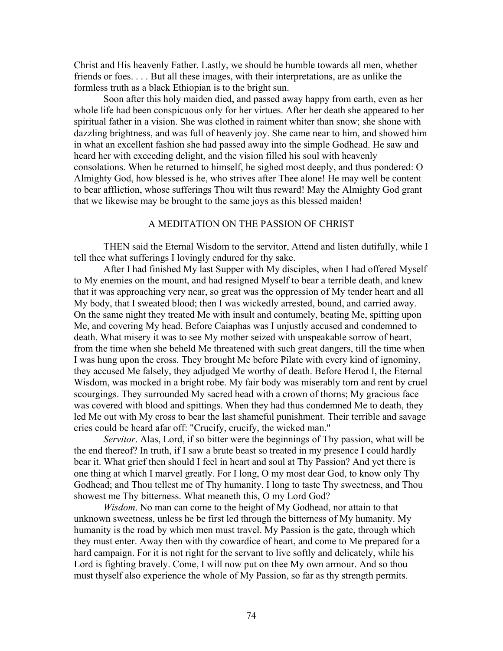Christ and His heavenly Father. Lastly, we should be humble towards all men, whether friends or foes. . . . But all these images, with their interpretations, are as unlike the formless truth as a black Ethiopian is to the bright sun.

Soon after this holy maiden died, and passed away happy from earth, even as her whole life had been conspicuous only for her virtues. After her death she appeared to her spiritual father in a vision. She was clothed in raiment whiter than snow; she shone with dazzling brightness, and was full of heavenly joy. She came near to him, and showed him in what an excellent fashion she had passed away into the simple Godhead. He saw and heard her with exceeding delight, and the vision filled his soul with heavenly consolations. When he returned to himself, he sighed most deeply, and thus pondered: O Almighty God, how blessed is he, who strives after Thee alone! He may well be content to bear affliction, whose sufferings Thou wilt thus reward! May the Almighty God grant that we likewise may be brought to the same joys as this blessed maiden!

## A MEDITATION ON THE PASSION OF CHRIST

THEN said the Eternal Wisdom to the servitor, Attend and listen dutifully, while I tell thee what sufferings I lovingly endured for thy sake.

After I had finished My last Supper with My disciples, when I had offered Myself to My enemies on the mount, and had resigned Myself to bear a terrible death, and knew that it was approaching very near, so great was the oppression of My tender heart and all My body, that I sweated blood; then I was wickedly arrested, bound, and carried away. On the same night they treated Me with insult and contumely, beating Me, spitting upon Me, and covering My head. Before Caiaphas was I unjustly accused and condemned to death. What misery it was to see My mother seized with unspeakable sorrow of heart, from the time when she beheld Me threatened with such great dangers, till the time when I was hung upon the cross. They brought Me before Pilate with every kind of ignominy, they accused Me falsely, they adjudged Me worthy of death. Before Herod I, the Eternal Wisdom, was mocked in a bright robe. My fair body was miserably torn and rent by cruel scourgings. They surrounded My sacred head with a crown of thorns; My gracious face was covered with blood and spittings. When they had thus condemned Me to death, they led Me out with My cross to bear the last shameful punishment. Their terrible and savage cries could be heard afar off: "Crucify, crucify, the wicked man."

*Servitor*. Alas, Lord, if so bitter were the beginnings of Thy passion, what will be the end thereof? In truth, if I saw a brute beast so treated in my presence I could hardly bear it. What grief then should I feel in heart and soul at Thy Passion? And yet there is one thing at which I marvel greatly. For I long, O my most dear God, to know only Thy Godhead; and Thou tellest me of Thy humanity. I long to taste Thy sweetness, and Thou showest me Thy bitterness. What meaneth this, O my Lord God?

*Wisdom*. No man can come to the height of My Godhead, nor attain to that unknown sweetness, unless he be first led through the bitterness of My humanity. My humanity is the road by which men must travel. My Passion is the gate, through which they must enter. Away then with thy cowardice of heart, and come to Me prepared for a hard campaign. For it is not right for the servant to live softly and delicately, while his Lord is fighting bravely. Come, I will now put on thee My own armour. And so thou must thyself also experience the whole of My Passion, so far as thy strength permits.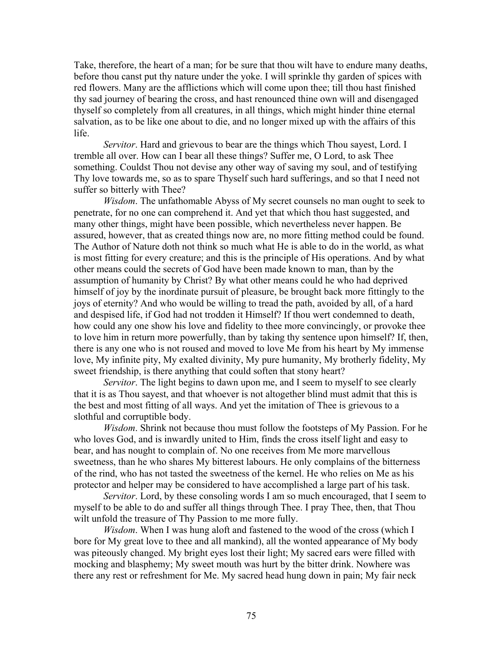Take, therefore, the heart of a man; for be sure that thou wilt have to endure many deaths, before thou canst put thy nature under the yoke. I will sprinkle thy garden of spices with red flowers. Many are the afflictions which will come upon thee; till thou hast finished thy sad journey of bearing the cross, and hast renounced thine own will and disengaged thyself so completely from all creatures, in all things, which might hinder thine eternal salvation, as to be like one about to die, and no longer mixed up with the affairs of this life.

*Servitor*. Hard and grievous to bear are the things which Thou sayest, Lord. I tremble all over. How can I bear all these things? Suffer me, O Lord, to ask Thee something. Couldst Thou not devise any other way of saving my soul, and of testifying Thy love towards me, so as to spare Thyself such hard sufferings, and so that I need not suffer so bitterly with Thee?

*Wisdom*. The unfathomable Abyss of My secret counsels no man ought to seek to penetrate, for no one can comprehend it. And yet that which thou hast suggested, and many other things, might have been possible, which nevertheless never happen. Be assured, however, that as created things now are, no more fitting method could be found. The Author of Nature doth not think so much what He is able to do in the world, as what is most fitting for every creature; and this is the principle of His operations. And by what other means could the secrets of God have been made known to man, than by the assumption of humanity by Christ? By what other means could he who had deprived himself of joy by the inordinate pursuit of pleasure, be brought back more fittingly to the joys of eternity? And who would be willing to tread the path, avoided by all, of a hard and despised life, if God had not trodden it Himself? If thou wert condemned to death, how could any one show his love and fidelity to thee more convincingly, or provoke thee to love him in return more powerfully, than by taking thy sentence upon himself? If, then, there is any one who is not roused and moved to love Me from his heart by My immense love, My infinite pity, My exalted divinity, My pure humanity, My brotherly fidelity, My sweet friendship, is there anything that could soften that stony heart?

*Servitor*. The light begins to dawn upon me, and I seem to myself to see clearly that it is as Thou sayest, and that whoever is not altogether blind must admit that this is the best and most fitting of all ways. And yet the imitation of Thee is grievous to a slothful and corruptible body.

*Wisdom*. Shrink not because thou must follow the footsteps of My Passion. For he who loves God, and is inwardly united to Him, finds the cross itself light and easy to bear, and has nought to complain of. No one receives from Me more marvellous sweetness, than he who shares My bitterest labours. He only complains of the bitterness of the rind, who has not tasted the sweetness of the kernel. He who relies on Me as his protector and helper may be considered to have accomplished a large part of his task.

*Servitor*. Lord, by these consoling words I am so much encouraged, that I seem to myself to be able to do and suffer all things through Thee. I pray Thee, then, that Thou wilt unfold the treasure of Thy Passion to me more fully.

*Wisdom*. When I was hung aloft and fastened to the wood of the cross (which I bore for My great love to thee and all mankind), all the wonted appearance of My body was piteously changed. My bright eyes lost their light; My sacred ears were filled with mocking and blasphemy; My sweet mouth was hurt by the bitter drink. Nowhere was there any rest or refreshment for Me. My sacred head hung down in pain; My fair neck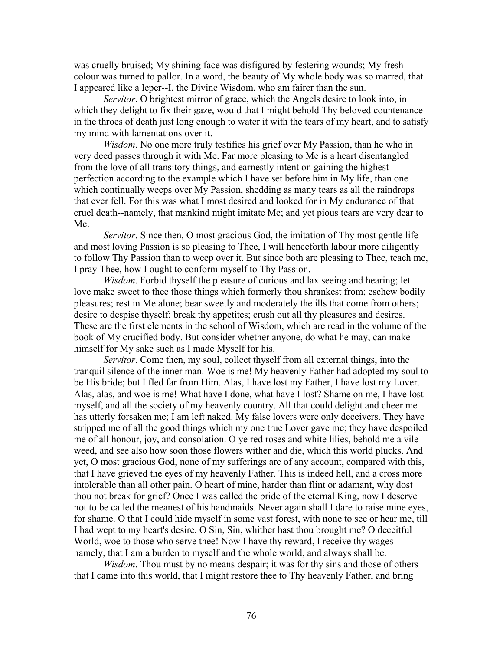was cruelly bruised; My shining face was disfigured by festering wounds; My fresh colour was turned to pallor. In a word, the beauty of My whole body was so marred, that I appeared like a leper--I, the Divine Wisdom, who am fairer than the sun.

*Servitor*. O brightest mirror of grace, which the Angels desire to look into, in which they delight to fix their gaze, would that I might behold Thy beloved countenance in the throes of death just long enough to water it with the tears of my heart, and to satisfy my mind with lamentations over it.

*Wisdom*. No one more truly testifies his grief over My Passion, than he who in very deed passes through it with Me. Far more pleasing to Me is a heart disentangled from the love of all transitory things, and earnestly intent on gaining the highest perfection according to the example which I have set before him in My life, than one which continually weeps over My Passion, shedding as many tears as all the raindrops that ever fell. For this was what I most desired and looked for in My endurance of that cruel death--namely, that mankind might imitate Me; and yet pious tears are very dear to Me.

*Servitor*. Since then, O most gracious God, the imitation of Thy most gentle life and most loving Passion is so pleasing to Thee, I will henceforth labour more diligently to follow Thy Passion than to weep over it. But since both are pleasing to Thee, teach me, I pray Thee, how I ought to conform myself to Thy Passion.

*Wisdom*. Forbid thyself the pleasure of curious and lax seeing and hearing; let love make sweet to thee those things which formerly thou shrankest from; eschew bodily pleasures; rest in Me alone; bear sweetly and moderately the ills that come from others; desire to despise thyself; break thy appetites; crush out all thy pleasures and desires. These are the first elements in the school of Wisdom, which are read in the volume of the book of My crucified body. But consider whether anyone, do what he may, can make himself for My sake such as I made Myself for his.

*Servitor*. Come then, my soul, collect thyself from all external things, into the tranquil silence of the inner man. Woe is me! My heavenly Father had adopted my soul to be His bride; but I fled far from Him. Alas, I have lost my Father, I have lost my Lover. Alas, alas, and woe is me! What have I done, what have I lost? Shame on me, I have lost myself, and all the society of my heavenly country. All that could delight and cheer me has utterly forsaken me; I am left naked. My false lovers were only deceivers. They have stripped me of all the good things which my one true Lover gave me; they have despoiled me of all honour, joy, and consolation. O ye red roses and white lilies, behold me a vile weed, and see also how soon those flowers wither and die, which this world plucks. And yet, O most gracious God, none of my sufferings are of any account, compared with this, that I have grieved the eyes of my heavenly Father. This is indeed hell, and a cross more intolerable than all other pain. O heart of mine, harder than flint or adamant, why dost thou not break for grief? Once I was called the bride of the eternal King, now I deserve not to be called the meanest of his handmaids. Never again shall I dare to raise mine eyes, for shame. O that I could hide myself in some vast forest, with none to see or hear me, till I had wept to my heart's desire. O Sin, Sin, whither hast thou brought me? O deceitful World, woe to those who serve thee! Now I have thy reward, I receive thy wages- namely, that I am a burden to myself and the whole world, and always shall be.

*Wisdom*. Thou must by no means despair; it was for thy sins and those of others that I came into this world, that I might restore thee to Thy heavenly Father, and bring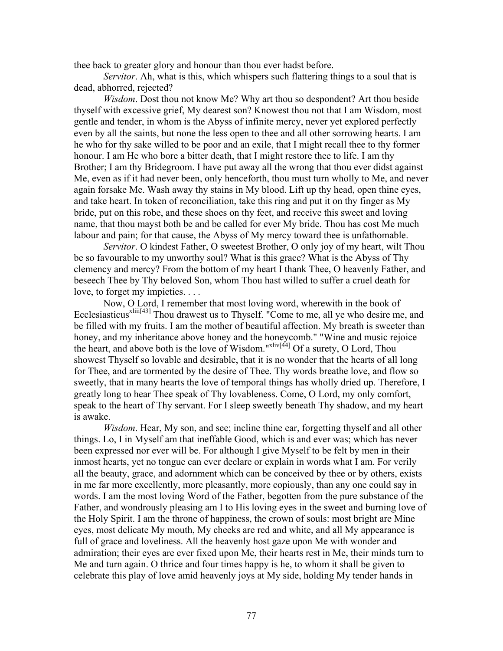thee back to greater glory and honour than thou ever hadst before.

*Servitor*. Ah, what is this, which whispers such flattering things to a soul that is dead, abhorred, rejected?

*Wisdom*. Dost thou not know Me? Why art thou so despondent? Art thou beside thyself with excessive grief, My dearest son? Knowest thou not that I am Wisdom, most gentle and tender, in whom is the Abyss of infinite mercy, never yet explored perfectly even by all the saints, but none the less open to thee and all other sorrowing hearts. I am he who for thy sake willed to be poor and an exile, that I might recall thee to thy former honour. I am He who bore a bitter death, that I might restore thee to life. I am thy Brother; I am thy Bridegroom. I have put away all the wrong that thou ever didst against Me, even as if it had never been, only henceforth, thou must turn wholly to Me, and never again forsake Me. Wash away thy stains in My blood. Lift up thy head, open thine eyes, and take heart. In token of reconciliation, take this ring and put it on thy finger as My bride, put on this robe, and these shoes on thy feet, and receive this sweet and loving name, that thou mayst both be and be called for ever My bride. Thou has cost Me much labour and pain; for that cause, the Abyss of My mercy toward thee is unfathomable.

*Servitor*. O kindest Father, O sweetest Brother, O only joy of my heart, wilt Thou be so favourable to my unworthy soul? What is this grace? What is the Abyss of Thy clemency and mercy? From the bottom of my heart I thank Thee, O heavenly Father, and beseech Thee by Thy beloved Son, whom Thou hast willed to suffer a cruel death for love, to forget my impieties. . . .

Now, O Lord, I remember that most loving word, wherewith in the book of Ecclesiasticus<sup>xliii[43]</sup> Thou drawest us to Thyself. "Come to me, all ye who desire me, and be filled with my fruits. I am the mother of beautiful affection. My breath is sweeter than honey, and my inheritance above honey and the honeycomb." "Wine and music rejoice the heart, and above both is the love of Wisdom."<sup>[xliv\[](#page-91-1)44]</sup> Of a surety, O Lord, Thou showest Thyself so lovable and desirable, that it is no wonder that the hearts of all long for Thee, and are tormented by the desire of Thee. Thy words breathe love, and flow so sweetly, that in many hearts the love of temporal things has wholly dried up. Therefore, I greatly long to hear Thee speak of Thy lovableness. Come, O Lord, my only comfort, speak to the heart of Thy servant. For I sleep sweetly beneath Thy shadow, and my heart is awake.

*Wisdom*. Hear, My son, and see; incline thine ear, forgetting thyself and all other things. Lo, I in Myself am that ineffable Good, which is and ever was; which has never been expressed nor ever will be. For although I give Myself to be felt by men in their inmost hearts, yet no tongue can ever declare or explain in words what I am. For verily all the beauty, grace, and adornment which can be conceived by thee or by others, exists in me far more excellently, more pleasantly, more copiously, than any one could say in words. I am the most loving Word of the Father, begotten from the pure substance of the Father, and wondrously pleasing am I to His loving eyes in the sweet and burning love of the Holy Spirit. I am the throne of happiness, the crown of souls: most bright are Mine eyes, most delicate My mouth, My cheeks are red and white, and all My appearance is full of grace and loveliness. All the heavenly host gaze upon Me with wonder and admiration; their eyes are ever fixed upon Me, their hearts rest in Me, their minds turn to Me and turn again. O thrice and four times happy is he, to whom it shall be given to celebrate this play of love amid heavenly joys at My side, holding My tender hands in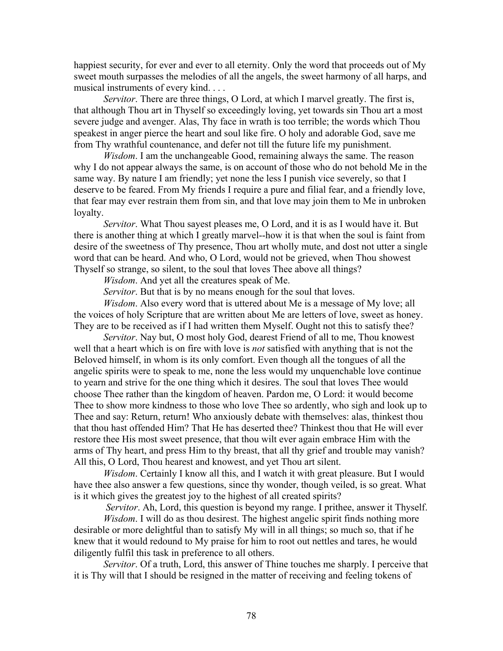happiest security, for ever and ever to all eternity. Only the word that proceeds out of My sweet mouth surpasses the melodies of all the angels, the sweet harmony of all harps, and musical instruments of every kind. . . .

*Servitor*. There are three things, O Lord, at which I marvel greatly. The first is, that although Thou art in Thyself so exceedingly loving, yet towards sin Thou art a most severe judge and avenger. Alas, Thy face in wrath is too terrible; the words which Thou speakest in anger pierce the heart and soul like fire. O holy and adorable God, save me from Thy wrathful countenance, and defer not till the future life my punishment.

*Wisdom*. I am the unchangeable Good, remaining always the same. The reason why I do not appear always the same, is on account of those who do not behold Me in the same way. By nature I am friendly; yet none the less I punish vice severely, so that I deserve to be feared. From My friends I require a pure and filial fear, and a friendly love, that fear may ever restrain them from sin, and that love may join them to Me in unbroken loyalty.

*Servitor*. What Thou sayest pleases me, O Lord, and it is as I would have it. But there is another thing at which I greatly marvel--how it is that when the soul is faint from desire of the sweetness of Thy presence, Thou art wholly mute, and dost not utter a single word that can be heard. And who, O Lord, would not be grieved, when Thou showest Thyself so strange, so silent, to the soul that loves Thee above all things?

*Wisdom*. And yet all the creatures speak of Me.

*Servitor*. But that is by no means enough for the soul that loves.

*Wisdom*. Also every word that is uttered about Me is a message of My love; all the voices of holy Scripture that are written about Me are letters of love, sweet as honey. They are to be received as if I had written them Myself. Ought not this to satisfy thee?

*Servitor*. Nay but, O most holy God, dearest Friend of all to me, Thou knowest well that a heart which is on fire with love is *not* satisfied with anything that is not the Beloved himself, in whom is its only comfort. Even though all the tongues of all the angelic spirits were to speak to me, none the less would my unquenchable love continue to yearn and strive for the one thing which it desires. The soul that loves Thee would choose Thee rather than the kingdom of heaven. Pardon me, O Lord: it would become Thee to show more kindness to those who love Thee so ardently, who sigh and look up to Thee and say: Return, return! Who anxiously debate with themselves: alas, thinkest thou that thou hast offended Him? That He has deserted thee? Thinkest thou that He will ever restore thee His most sweet presence, that thou wilt ever again embrace Him with the arms of Thy heart, and press Him to thy breast, that all thy grief and trouble may vanish? All this, O Lord, Thou hearest and knowest, and yet Thou art silent.

*Wisdom*. Certainly I know all this, and I watch it with great pleasure. But I would have thee also answer a few questions, since thy wonder, though veiled, is so great. What is it which gives the greatest joy to the highest of all created spirits?

*Servitor*. Ah, Lord, this question is beyond my range. I prithee, answer it Thyself.

*Wisdom*. I will do as thou desirest. The highest angelic spirit finds nothing more desirable or more delightful than to satisfy My will in all things; so much so, that if he knew that it would redound to My praise for him to root out nettles and tares, he would diligently fulfil this task in preference to all others.

*Servitor*. Of a truth, Lord, this answer of Thine touches me sharply. I perceive that it is Thy will that I should be resigned in the matter of receiving and feeling tokens of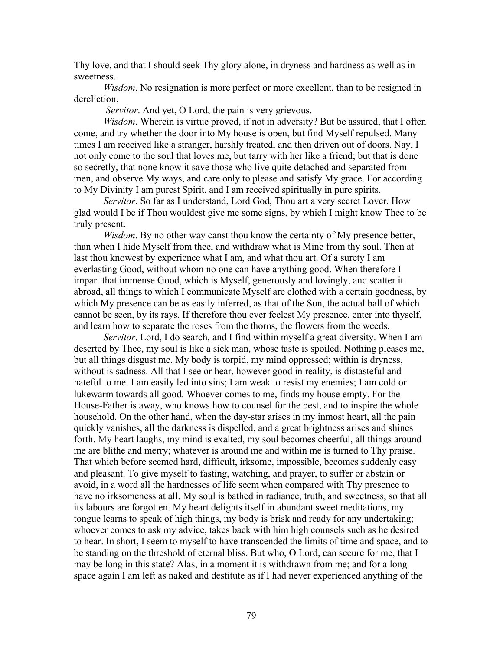Thy love, and that I should seek Thy glory alone, in dryness and hardness as well as in sweetness.

*Wisdom*. No resignation is more perfect or more excellent, than to be resigned in dereliction.

*Servitor*. And yet, O Lord, the pain is very grievous.

*Wisdom*. Wherein is virtue proved, if not in adversity? But be assured, that I often come, and try whether the door into My house is open, but find Myself repulsed. Many times I am received like a stranger, harshly treated, and then driven out of doors. Nay, I not only come to the soul that loves me, but tarry with her like a friend; but that is done so secretly, that none know it save those who live quite detached and separated from men, and observe My ways, and care only to please and satisfy My grace. For according to My Divinity I am purest Spirit, and I am received spiritually in pure spirits.

*Servitor*. So far as I understand, Lord God, Thou art a very secret Lover. How glad would I be if Thou wouldest give me some signs, by which I might know Thee to be truly present.

*Wisdom*. By no other way canst thou know the certainty of My presence better, than when I hide Myself from thee, and withdraw what is Mine from thy soul. Then at last thou knowest by experience what I am, and what thou art. Of a surety I am everlasting Good, without whom no one can have anything good. When therefore I impart that immense Good, which is Myself, generously and lovingly, and scatter it abroad, all things to which I communicate Myself are clothed with a certain goodness, by which My presence can be as easily inferred, as that of the Sun, the actual ball of which cannot be seen, by its rays. If therefore thou ever feelest My presence, enter into thyself, and learn how to separate the roses from the thorns, the flowers from the weeds.

*Servitor*. Lord, I do search, and I find within myself a great diversity. When I am deserted by Thee, my soul is like a sick man, whose taste is spoiled. Nothing pleases me, but all things disgust me. My body is torpid, my mind oppressed; within is dryness, without is sadness. All that I see or hear, however good in reality, is distasteful and hateful to me. I am easily led into sins; I am weak to resist my enemies; I am cold or lukewarm towards all good. Whoever comes to me, finds my house empty. For the House-Father is away, who knows how to counsel for the best, and to inspire the whole household. On the other hand, when the day-star arises in my inmost heart, all the pain quickly vanishes, all the darkness is dispelled, and a great brightness arises and shines forth. My heart laughs, my mind is exalted, my soul becomes cheerful, all things around me are blithe and merry; whatever is around me and within me is turned to Thy praise. That which before seemed hard, difficult, irksome, impossible, becomes suddenly easy and pleasant. To give myself to fasting, watching, and prayer, to suffer or abstain or avoid, in a word all the hardnesses of life seem when compared with Thy presence to have no irksomeness at all. My soul is bathed in radiance, truth, and sweetness, so that all its labours are forgotten. My heart delights itself in abundant sweet meditations, my tongue learns to speak of high things, my body is brisk and ready for any undertaking; whoever comes to ask my advice, takes back with him high counsels such as he desired to hear. In short, I seem to myself to have transcended the limits of time and space, and to be standing on the threshold of eternal bliss. But who, O Lord, can secure for me, that I may be long in this state? Alas, in a moment it is withdrawn from me; and for a long space again I am left as naked and destitute as if I had never experienced anything of the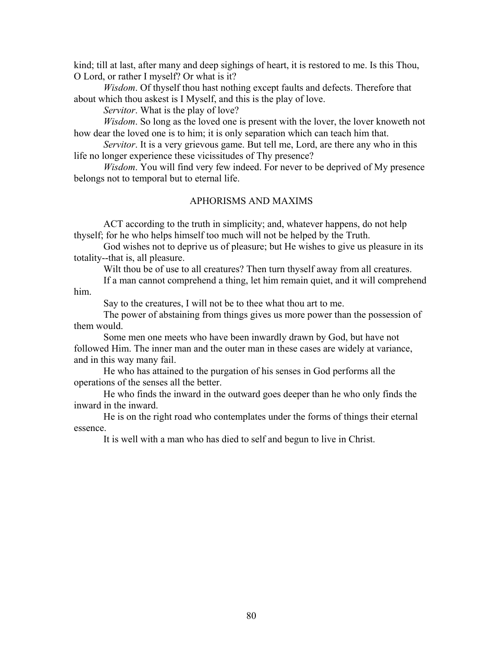kind; till at last, after many and deep sighings of heart, it is restored to me. Is this Thou, O Lord, or rather I myself? Or what is it?

*Wisdom*. Of thyself thou hast nothing except faults and defects. Therefore that about which thou askest is I Myself, and this is the play of love.

*Servitor*. What is the play of love?

*Wisdom*. So long as the loved one is present with the lover, the lover knoweth not how dear the loved one is to him; it is only separation which can teach him that.

*Servitor*. It is a very grievous game. But tell me, Lord, are there any who in this life no longer experience these vicissitudes of Thy presence?

*Wisdom*. You will find very few indeed. For never to be deprived of My presence belongs not to temporal but to eternal life.

# APHORISMS AND MAXIMS

ACT according to the truth in simplicity; and, whatever happens, do not help thyself; for he who helps himself too much will not be helped by the Truth.

God wishes not to deprive us of pleasure; but He wishes to give us pleasure in its totality--that is, all pleasure.

Wilt thou be of use to all creatures? Then turn thyself away from all creatures.

If a man cannot comprehend a thing, let him remain quiet, and it will comprehend him.

Say to the creatures, I will not be to thee what thou art to me.

The power of abstaining from things gives us more power than the possession of them would.

Some men one meets who have been inwardly drawn by God, but have not followed Him. The inner man and the outer man in these cases are widely at variance, and in this way many fail.

He who has attained to the purgation of his senses in God performs all the operations of the senses all the better.

He who finds the inward in the outward goes deeper than he who only finds the inward in the inward.

He is on the right road who contemplates under the forms of things their eternal essence.

It is well with a man who has died to self and begun to live in Christ.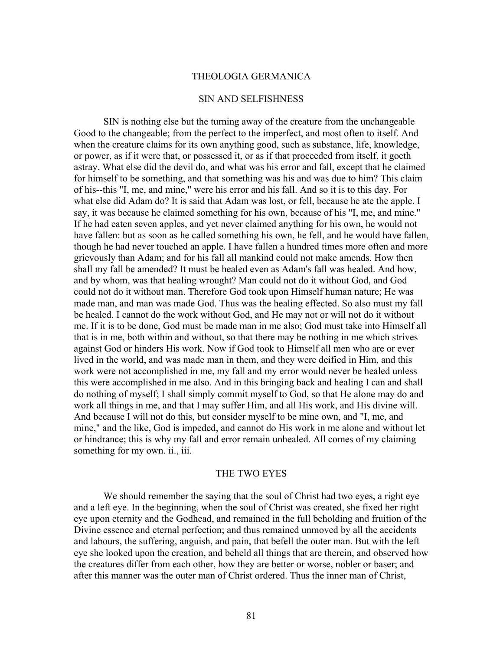### THEOLOGIA GERMANICA

### SIN AND SELFISHNESS

SIN is nothing else but the turning away of the creature from the unchangeable Good to the changeable; from the perfect to the imperfect, and most often to itself. And when the creature claims for its own anything good, such as substance, life, knowledge, or power, as if it were that, or possessed it, or as if that proceeded from itself, it goeth astray. What else did the devil do, and what was his error and fall, except that he claimed for himself to be something, and that something was his and was due to him? This claim of his--this "I, me, and mine," were his error and his fall. And so it is to this day. For what else did Adam do? It is said that Adam was lost, or fell, because he ate the apple. I say, it was because he claimed something for his own, because of his "I, me, and mine." If he had eaten seven apples, and yet never claimed anything for his own, he would not have fallen: but as soon as he called something his own, he fell, and he would have fallen, though he had never touched an apple. I have fallen a hundred times more often and more grievously than Adam; and for his fall all mankind could not make amends. How then shall my fall be amended? It must be healed even as Adam's fall was healed. And how, and by whom, was that healing wrought? Man could not do it without God, and God could not do it without man. Therefore God took upon Himself human nature; He was made man, and man was made God. Thus was the healing effected. So also must my fall be healed. I cannot do the work without God, and He may not or will not do it without me. If it is to be done, God must be made man in me also; God must take into Himself all that is in me, both within and without, so that there may be nothing in me which strives against God or hinders His work. Now if God took to Himself all men who are or ever lived in the world, and was made man in them, and they were deified in Him, and this work were not accomplished in me, my fall and my error would never be healed unless this were accomplished in me also. And in this bringing back and healing I can and shall do nothing of myself; I shall simply commit myself to God, so that He alone may do and work all things in me, and that I may suffer Him, and all His work, and His divine will. And because I will not do this, but consider myself to be mine own, and "I, me, and mine," and the like, God is impeded, and cannot do His work in me alone and without let or hindrance; this is why my fall and error remain unhealed. All comes of my claiming something for my own. ii., iii.

#### THE TWO EYES

We should remember the saying that the soul of Christ had two eyes, a right eye and a left eye. In the beginning, when the soul of Christ was created, she fixed her right eye upon eternity and the Godhead, and remained in the full beholding and fruition of the Divine essence and eternal perfection; and thus remained unmoved by all the accidents and labours, the suffering, anguish, and pain, that befell the outer man. But with the left eye she looked upon the creation, and beheld all things that are therein, and observed how the creatures differ from each other, how they are better or worse, nobler or baser; and after this manner was the outer man of Christ ordered. Thus the inner man of Christ,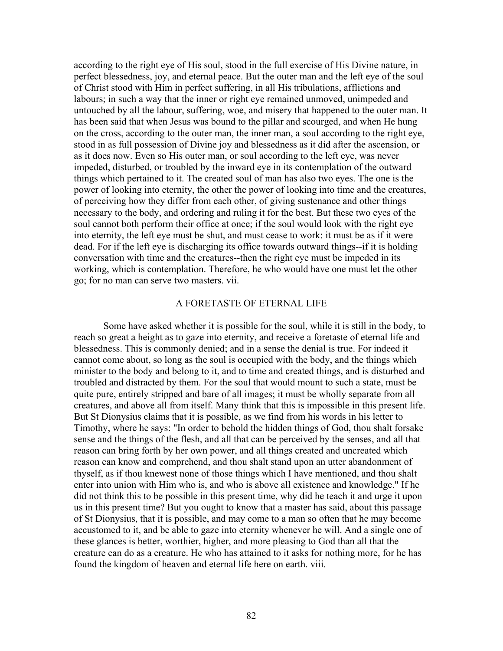according to the right eye of His soul, stood in the full exercise of His Divine nature, in perfect blessedness, joy, and eternal peace. But the outer man and the left eye of the soul of Christ stood with Him in perfect suffering, in all His tribulations, afflictions and labours; in such a way that the inner or right eye remained unmoved, unimpeded and untouched by all the labour, suffering, woe, and misery that happened to the outer man. It has been said that when Jesus was bound to the pillar and scourged, and when He hung on the cross, according to the outer man, the inner man, a soul according to the right eye, stood in as full possession of Divine joy and blessedness as it did after the ascension, or as it does now. Even so His outer man, or soul according to the left eye, was never impeded, disturbed, or troubled by the inward eye in its contemplation of the outward things which pertained to it. The created soul of man has also two eyes. The one is the power of looking into eternity, the other the power of looking into time and the creatures, of perceiving how they differ from each other, of giving sustenance and other things necessary to the body, and ordering and ruling it for the best. But these two eyes of the soul cannot both perform their office at once; if the soul would look with the right eye into eternity, the left eye must be shut, and must cease to work: it must be as if it were dead. For if the left eye is discharging its office towards outward things--if it is holding conversation with time and the creatures--then the right eye must be impeded in its working, which is contemplation. Therefore, he who would have one must let the other go; for no man can serve two masters. vii.

### A FORETASTE OF ETERNAL LIFE

Some have asked whether it is possible for the soul, while it is still in the body, to reach so great a height as to gaze into eternity, and receive a foretaste of eternal life and blessedness. This is commonly denied; and in a sense the denial is true. For indeed it cannot come about, so long as the soul is occupied with the body, and the things which minister to the body and belong to it, and to time and created things, and is disturbed and troubled and distracted by them. For the soul that would mount to such a state, must be quite pure, entirely stripped and bare of all images; it must be wholly separate from all creatures, and above all from itself. Many think that this is impossible in this present life. But St Dionysius claims that it is possible, as we find from his words in his letter to Timothy, where he says: "In order to behold the hidden things of God, thou shalt forsake sense and the things of the flesh, and all that can be perceived by the senses, and all that reason can bring forth by her own power, and all things created and uncreated which reason can know and comprehend, and thou shalt stand upon an utter abandonment of thyself, as if thou knewest none of those things which I have mentioned, and thou shalt enter into union with Him who is, and who is above all existence and knowledge." If he did not think this to be possible in this present time, why did he teach it and urge it upon us in this present time? But you ought to know that a master has said, about this passage of St Dionysius, that it is possible, and may come to a man so often that he may become accustomed to it, and be able to gaze into eternity whenever he will. And a single one of these glances is better, worthier, higher, and more pleasing to God than all that the creature can do as a creature. He who has attained to it asks for nothing more, for he has found the kingdom of heaven and eternal life here on earth. viii.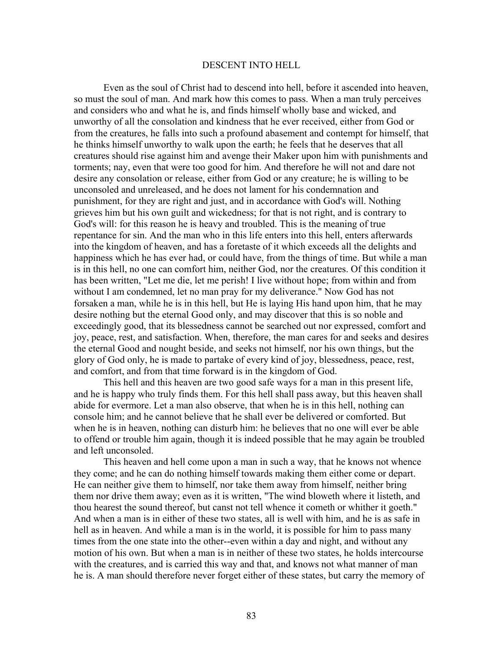### DESCENT INTO HELL

Even as the soul of Christ had to descend into hell, before it ascended into heaven, so must the soul of man. And mark how this comes to pass. When a man truly perceives and considers who and what he is, and finds himself wholly base and wicked, and unworthy of all the consolation and kindness that he ever received, either from God or from the creatures, he falls into such a profound abasement and contempt for himself, that he thinks himself unworthy to walk upon the earth; he feels that he deserves that all creatures should rise against him and avenge their Maker upon him with punishments and torments; nay, even that were too good for him. And therefore he will not and dare not desire any consolation or release, either from God or any creature; he is willing to be unconsoled and unreleased, and he does not lament for his condemnation and punishment, for they are right and just, and in accordance with God's will. Nothing grieves him but his own guilt and wickedness; for that is not right, and is contrary to God's will: for this reason he is heavy and troubled. This is the meaning of true repentance for sin. And the man who in this life enters into this hell, enters afterwards into the kingdom of heaven, and has a foretaste of it which exceeds all the delights and happiness which he has ever had, or could have, from the things of time. But while a man is in this hell, no one can comfort him, neither God, nor the creatures. Of this condition it has been written, "Let me die, let me perish! I live without hope; from within and from without I am condemned, let no man pray for my deliverance." Now God has not forsaken a man, while he is in this hell, but He is laying His hand upon him, that he may desire nothing but the eternal Good only, and may discover that this is so noble and exceedingly good, that its blessedness cannot be searched out nor expressed, comfort and joy, peace, rest, and satisfaction. When, therefore, the man cares for and seeks and desires the eternal Good and nought beside, and seeks not himself, nor his own things, but the glory of God only, he is made to partake of every kind of joy, blessedness, peace, rest, and comfort, and from that time forward is in the kingdom of God.

This hell and this heaven are two good safe ways for a man in this present life, and he is happy who truly finds them. For this hell shall pass away, but this heaven shall abide for evermore. Let a man also observe, that when he is in this hell, nothing can console him; and he cannot believe that he shall ever be delivered or comforted. But when he is in heaven, nothing can disturb him: he believes that no one will ever be able to offend or trouble him again, though it is indeed possible that he may again be troubled and left unconsoled.

This heaven and hell come upon a man in such a way, that he knows not whence they come; and he can do nothing himself towards making them either come or depart. He can neither give them to himself, nor take them away from himself, neither bring them nor drive them away; even as it is written, "The wind bloweth where it listeth, and thou hearest the sound thereof, but canst not tell whence it cometh or whither it goeth." And when a man is in either of these two states, all is well with him, and he is as safe in hell as in heaven. And while a man is in the world, it is possible for him to pass many times from the one state into the other--even within a day and night, and without any motion of his own. But when a man is in neither of these two states, he holds intercourse with the creatures, and is carried this way and that, and knows not what manner of man he is. A man should therefore never forget either of these states, but carry the memory of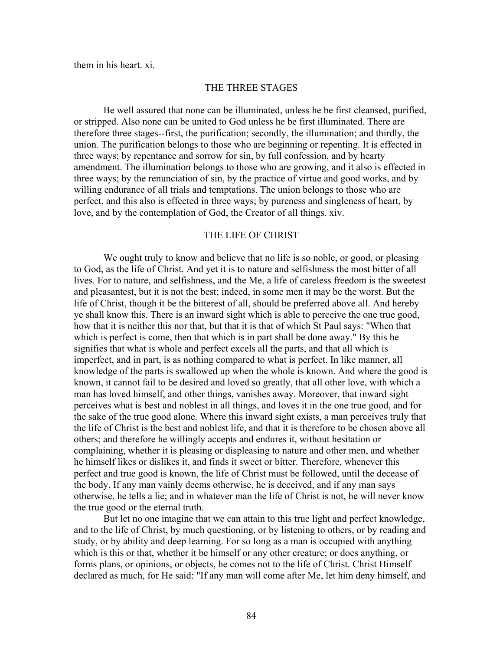them in his heart. xi.

#### THE THREE STAGES

Be well assured that none can be illuminated, unless he be first cleansed, purified, or stripped. Also none can be united to God unless he be first illuminated. There are therefore three stages--first, the purification; secondly, the illumination; and thirdly, the union. The purification belongs to those who are beginning or repenting. It is effected in three ways; by repentance and sorrow for sin, by full confession, and by hearty amendment. The illumination belongs to those who are growing, and it also is effected in three ways; by the renunciation of sin, by the practice of virtue and good works, and by willing endurance of all trials and temptations. The union belongs to those who are perfect, and this also is effected in three ways; by pureness and singleness of heart, by love, and by the contemplation of God, the Creator of all things. xiv.

### THE LIFE OF CHRIST

We ought truly to know and believe that no life is so noble, or good, or pleasing to God, as the life of Christ. And yet it is to nature and selfishness the most bitter of all lives. For to nature, and selfishness, and the Me, a life of careless freedom is the sweetest and pleasantest, but it is not the best; indeed, in some men it may be the worst. But the life of Christ, though it be the bitterest of all, should be preferred above all. And hereby ye shall know this. There is an inward sight which is able to perceive the one true good, how that it is neither this nor that, but that it is that of which St Paul says: "When that which is perfect is come, then that which is in part shall be done away." By this he signifies that what is whole and perfect excels all the parts, and that all which is imperfect, and in part, is as nothing compared to what is perfect. In like manner, all knowledge of the parts is swallowed up when the whole is known. And where the good is known, it cannot fail to be desired and loved so greatly, that all other love, with which a man has loved himself, and other things, vanishes away. Moreover, that inward sight perceives what is best and noblest in all things, and loves it in the one true good, and for the sake of the true good alone. Where this inward sight exists, a man perceives truly that the life of Christ is the best and noblest life, and that it is therefore to be chosen above all others; and therefore he willingly accepts and endures it, without hesitation or complaining, whether it is pleasing or displeasing to nature and other men, and whether he himself likes or dislikes it, and finds it sweet or bitter. Therefore, whenever this perfect and true good is known, the life of Christ must be followed, until the decease of the body. If any man vainly deems otherwise, he is deceived, and if any man says otherwise, he tells a lie; and in whatever man the life of Christ is not, he will never know the true good or the eternal truth.

But let no one imagine that we can attain to this true light and perfect knowledge, and to the life of Christ, by much questioning, or by listening to others, or by reading and study, or by ability and deep learning. For so long as a man is occupied with anything which is this or that, whether it be himself or any other creature; or does anything, or forms plans, or opinions, or objects, he comes not to the life of Christ. Christ Himself declared as much, for He said: "If any man will come after Me, let him deny himself, and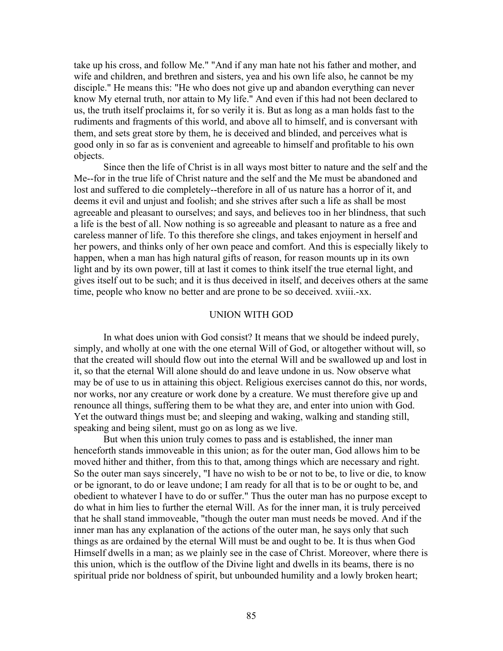take up his cross, and follow Me." "And if any man hate not his father and mother, and wife and children, and brethren and sisters, yea and his own life also, he cannot be my disciple." He means this: "He who does not give up and abandon everything can never know My eternal truth, nor attain to My life." And even if this had not been declared to us, the truth itself proclaims it, for so verily it is. But as long as a man holds fast to the rudiments and fragments of this world, and above all to himself, and is conversant with them, and sets great store by them, he is deceived and blinded, and perceives what is good only in so far as is convenient and agreeable to himself and profitable to his own objects.

Since then the life of Christ is in all ways most bitter to nature and the self and the Me--for in the true life of Christ nature and the self and the Me must be abandoned and lost and suffered to die completely--therefore in all of us nature has a horror of it, and deems it evil and unjust and foolish; and she strives after such a life as shall be most agreeable and pleasant to ourselves; and says, and believes too in her blindness, that such a life is the best of all. Now nothing is so agreeable and pleasant to nature as a free and careless manner of life. To this therefore she clings, and takes enjoyment in herself and her powers, and thinks only of her own peace and comfort. And this is especially likely to happen, when a man has high natural gifts of reason, for reason mounts up in its own light and by its own power, till at last it comes to think itself the true eternal light, and gives itself out to be such; and it is thus deceived in itself, and deceives others at the same time, people who know no better and are prone to be so deceived. xviii.-xx.

#### UNION WITH GOD

In what does union with God consist? It means that we should be indeed purely, simply, and wholly at one with the one eternal Will of God, or altogether without will, so that the created will should flow out into the eternal Will and be swallowed up and lost in it, so that the eternal Will alone should do and leave undone in us. Now observe what may be of use to us in attaining this object. Religious exercises cannot do this, nor words, nor works, nor any creature or work done by a creature. We must therefore give up and renounce all things, suffering them to be what they are, and enter into union with God. Yet the outward things must be; and sleeping and waking, walking and standing still, speaking and being silent, must go on as long as we live.

But when this union truly comes to pass and is established, the inner man henceforth stands immoveable in this union; as for the outer man, God allows him to be moved hither and thither, from this to that, among things which are necessary and right. So the outer man says sincerely, "I have no wish to be or not to be, to live or die, to know or be ignorant, to do or leave undone; I am ready for all that is to be or ought to be, and obedient to whatever I have to do or suffer." Thus the outer man has no purpose except to do what in him lies to further the eternal Will. As for the inner man, it is truly perceived that he shall stand immoveable, "though the outer man must needs be moved. And if the inner man has any explanation of the actions of the outer man, he says only that such things as are ordained by the eternal Will must be and ought to be. It is thus when God Himself dwells in a man; as we plainly see in the case of Christ. Moreover, where there is this union, which is the outflow of the Divine light and dwells in its beams, there is no spiritual pride nor boldness of spirit, but unbounded humility and a lowly broken heart;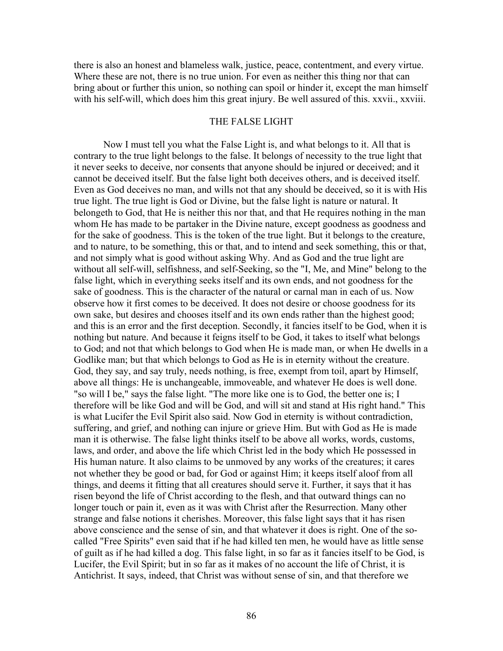there is also an honest and blameless walk, justice, peace, contentment, and every virtue. Where these are not, there is no true union. For even as neither this thing nor that can bring about or further this union, so nothing can spoil or hinder it, except the man himself with his self-will, which does him this great injury. Be well assured of this. xxvii., xxviii.

### THE FALSE LIGHT

Now I must tell you what the False Light is, and what belongs to it. All that is contrary to the true light belongs to the false. It belongs of necessity to the true light that it never seeks to deceive, nor consents that anyone should be injured or deceived; and it cannot be deceived itself. But the false light both deceives others, and is deceived itself. Even as God deceives no man, and wills not that any should be deceived, so it is with His true light. The true light is God or Divine, but the false light is nature or natural. It belongeth to God, that He is neither this nor that, and that He requires nothing in the man whom He has made to be partaker in the Divine nature, except goodness as goodness and for the sake of goodness. This is the token of the true light. But it belongs to the creature, and to nature, to be something, this or that, and to intend and seek something, this or that, and not simply what is good without asking Why. And as God and the true light are without all self-will, selfishness, and self-Seeking, so the "I, Me, and Mine" belong to the false light, which in everything seeks itself and its own ends, and not goodness for the sake of goodness. This is the character of the natural or carnal man in each of us. Now observe how it first comes to be deceived. It does not desire or choose goodness for its own sake, but desires and chooses itself and its own ends rather than the highest good; and this is an error and the first deception. Secondly, it fancies itself to be God, when it is nothing but nature. And because it feigns itself to be God, it takes to itself what belongs to God; and not that which belongs to God when He is made man, or when He dwells in a Godlike man; but that which belongs to God as He is in eternity without the creature. God, they say, and say truly, needs nothing, is free, exempt from toil, apart by Himself, above all things: He is unchangeable, immoveable, and whatever He does is well done. "so will I be," says the false light. "The more like one is to God, the better one is; I therefore will be like God and will be God, and will sit and stand at His right hand." This is what Lucifer the Evil Spirit also said. Now God in eternity is without contradiction, suffering, and grief, and nothing can injure or grieve Him. But with God as He is made man it is otherwise. The false light thinks itself to be above all works, words, customs, laws, and order, and above the life which Christ led in the body which He possessed in His human nature. It also claims to be unmoved by any works of the creatures; it cares not whether they be good or bad, for God or against Him; it keeps itself aloof from all things, and deems it fitting that all creatures should serve it. Further, it says that it has risen beyond the life of Christ according to the flesh, and that outward things can no longer touch or pain it, even as it was with Christ after the Resurrection. Many other strange and false notions it cherishes. Moreover, this false light says that it has risen above conscience and the sense of sin, and that whatever it does is right. One of the socalled "Free Spirits" even said that if he had killed ten men, he would have as little sense of guilt as if he had killed a dog. This false light, in so far as it fancies itself to be God, is Lucifer, the Evil Spirit; but in so far as it makes of no account the life of Christ, it is Antichrist. It says, indeed, that Christ was without sense of sin, and that therefore we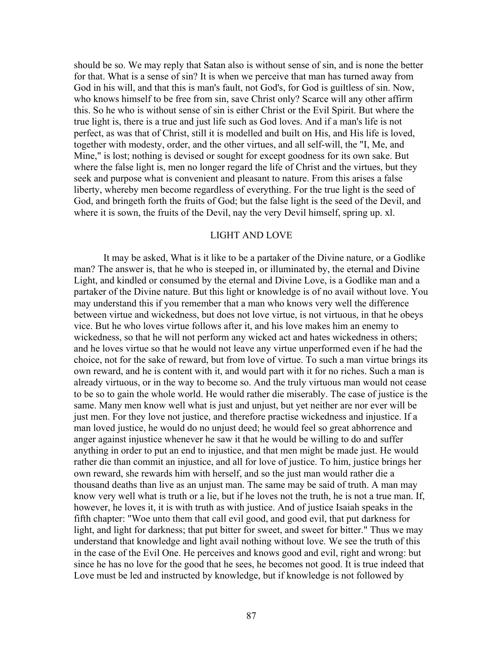should be so. We may reply that Satan also is without sense of sin, and is none the better for that. What is a sense of sin? It is when we perceive that man has turned away from God in his will, and that this is man's fault, not God's, for God is guiltless of sin. Now, who knows himself to be free from sin, save Christ only? Scarce will any other affirm this. So he who is without sense of sin is either Christ or the Evil Spirit. But where the true light is, there is a true and just life such as God loves. And if a man's life is not perfect, as was that of Christ, still it is modelled and built on His, and His life is loved, together with modesty, order, and the other virtues, and all self-will, the "I, Me, and Mine," is lost; nothing is devised or sought for except goodness for its own sake. But where the false light is, men no longer regard the life of Christ and the virtues, but they seek and purpose what is convenient and pleasant to nature. From this arises a false liberty, whereby men become regardless of everything. For the true light is the seed of God, and bringeth forth the fruits of God; but the false light is the seed of the Devil, and where it is sown, the fruits of the Devil, nay the very Devil himself, spring up. xl.

### LIGHT AND LOVE

It may be asked, What is it like to be a partaker of the Divine nature, or a Godlike man? The answer is, that he who is steeped in, or illuminated by, the eternal and Divine Light, and kindled or consumed by the eternal and Divine Love, is a Godlike man and a partaker of the Divine nature. But this light or knowledge is of no avail without love. You may understand this if you remember that a man who knows very well the difference between virtue and wickedness, but does not love virtue, is not virtuous, in that he obeys vice. But he who loves virtue follows after it, and his love makes him an enemy to wickedness, so that he will not perform any wicked act and hates wickedness in others; and he loves virtue so that he would not leave any virtue unperformed even if he had the choice, not for the sake of reward, but from love of virtue. To such a man virtue brings its own reward, and he is content with it, and would part with it for no riches. Such a man is already virtuous, or in the way to become so. And the truly virtuous man would not cease to be so to gain the whole world. He would rather die miserably. The case of justice is the same. Many men know well what is just and unjust, but yet neither are nor ever will be just men. For they love not justice, and therefore practise wickedness and injustice. If a man loved justice, he would do no unjust deed; he would feel so great abhorrence and anger against injustice whenever he saw it that he would be willing to do and suffer anything in order to put an end to injustice, and that men might be made just. He would rather die than commit an injustice, and all for love of justice. To him, justice brings her own reward, she rewards him with herself, and so the just man would rather die a thousand deaths than live as an unjust man. The same may be said of truth. A man may know very well what is truth or a lie, but if he loves not the truth, he is not a true man. If, however, he loves it, it is with truth as with justice. And of justice Isaiah speaks in the fifth chapter: "Woe unto them that call evil good, and good evil, that put darkness for light, and light for darkness; that put bitter for sweet, and sweet for bitter." Thus we may understand that knowledge and light avail nothing without love. We see the truth of this in the case of the Evil One. He perceives and knows good and evil, right and wrong: but since he has no love for the good that he sees, he becomes not good. It is true indeed that Love must be led and instructed by knowledge, but if knowledge is not followed by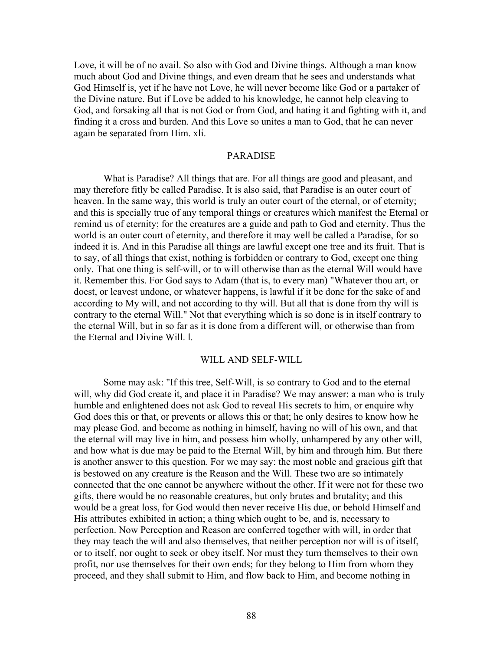Love, it will be of no avail. So also with God and Divine things. Although a man know much about God and Divine things, and even dream that he sees and understands what God Himself is, yet if he have not Love, he will never become like God or a partaker of the Divine nature. But if Love be added to his knowledge, he cannot help cleaving to God, and forsaking all that is not God or from God, and hating it and fighting with it, and finding it a cross and burden. And this Love so unites a man to God, that he can never again be separated from Him. xli.

### PARADISE

What is Paradise? All things that are. For all things are good and pleasant, and may therefore fitly be called Paradise. It is also said, that Paradise is an outer court of heaven. In the same way, this world is truly an outer court of the eternal, or of eternity; and this is specially true of any temporal things or creatures which manifest the Eternal or remind us of eternity; for the creatures are a guide and path to God and eternity. Thus the world is an outer court of eternity, and therefore it may well be called a Paradise, for so indeed it is. And in this Paradise all things are lawful except one tree and its fruit. That is to say, of all things that exist, nothing is forbidden or contrary to God, except one thing only. That one thing is self-will, or to will otherwise than as the eternal Will would have it. Remember this. For God says to Adam (that is, to every man) "Whatever thou art, or doest, or leavest undone, or whatever happens, is lawful if it be done for the sake of and according to My will, and not according to thy will. But all that is done from thy will is contrary to the eternal Will." Not that everything which is so done is in itself contrary to the eternal Will, but in so far as it is done from a different will, or otherwise than from the Eternal and Divine Will. l.

#### WILL AND SELF-WILL

Some may ask: "If this tree, Self-Will, is so contrary to God and to the eternal will, why did God create it, and place it in Paradise? We may answer: a man who is truly humble and enlightened does not ask God to reveal His secrets to him, or enquire why God does this or that, or prevents or allows this or that; he only desires to know how he may please God, and become as nothing in himself, having no will of his own, and that the eternal will may live in him, and possess him wholly, unhampered by any other will, and how what is due may be paid to the Eternal Will, by him and through him. But there is another answer to this question. For we may say: the most noble and gracious gift that is bestowed on any creature is the Reason and the Will. These two are so intimately connected that the one cannot be anywhere without the other. If it were not for these two gifts, there would be no reasonable creatures, but only brutes and brutality; and this would be a great loss, for God would then never receive His due, or behold Himself and His attributes exhibited in action; a thing which ought to be, and is, necessary to perfection. Now Perception and Reason are conferred together with will, in order that they may teach the will and also themselves, that neither perception nor will is of itself, or to itself, nor ought to seek or obey itself. Nor must they turn themselves to their own profit, nor use themselves for their own ends; for they belong to Him from whom they proceed, and they shall submit to Him, and flow back to Him, and become nothing in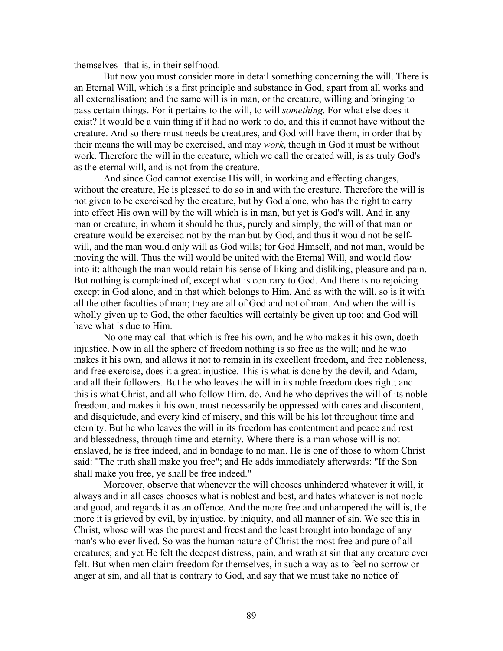themselves--that is, in their selfhood.

But now you must consider more in detail something concerning the will. There is an Eternal Will, which is a first principle and substance in God, apart from all works and all externalisation; and the same will is in man, or the creature, willing and bringing to pass certain things. For it pertains to the will, to will *something*. For what else does it exist? It would be a vain thing if it had no work to do, and this it cannot have without the creature. And so there must needs be creatures, and God will have them, in order that by their means the will may be exercised, and may *work*, though in God it must be without work. Therefore the will in the creature, which we call the created will, is as truly God's as the eternal will, and is not from the creature.

And since God cannot exercise His will, in working and effecting changes, without the creature, He is pleased to do so in and with the creature. Therefore the will is not given to be exercised by the creature, but by God alone, who has the right to carry into effect His own will by the will which is in man, but yet is God's will. And in any man or creature, in whom it should be thus, purely and simply, the will of that man or creature would be exercised not by the man but by God, and thus it would not be selfwill, and the man would only will as God wills; for God Himself, and not man, would be moving the will. Thus the will would be united with the Eternal Will, and would flow into it; although the man would retain his sense of liking and disliking, pleasure and pain. But nothing is complained of, except what is contrary to God. And there is no rejoicing except in God alone, and in that which belongs to Him. And as with the will, so is it with all the other faculties of man; they are all of God and not of man. And when the will is wholly given up to God, the other faculties will certainly be given up too; and God will have what is due to Him.

No one may call that which is free his own, and he who makes it his own, doeth injustice. Now in all the sphere of freedom nothing is so free as the will; and he who makes it his own, and allows it not to remain in its excellent freedom, and free nobleness, and free exercise, does it a great injustice. This is what is done by the devil, and Adam, and all their followers. But he who leaves the will in its noble freedom does right; and this is what Christ, and all who follow Him, do. And he who deprives the will of its noble freedom, and makes it his own, must necessarily be oppressed with cares and discontent, and disquietude, and every kind of misery, and this will be his lot throughout time and eternity. But he who leaves the will in its freedom has contentment and peace and rest and blessedness, through time and eternity. Where there is a man whose will is not enslaved, he is free indeed, and in bondage to no man. He is one of those to whom Christ said: "The truth shall make you free"; and He adds immediately afterwards: "If the Son shall make you free, ye shall be free indeed."

Moreover, observe that whenever the will chooses unhindered whatever it will, it always and in all cases chooses what is noblest and best, and hates whatever is not noble and good, and regards it as an offence. And the more free and unhampered the will is, the more it is grieved by evil, by injustice, by iniquity, and all manner of sin. We see this in Christ, whose will was the purest and freest and the least brought into bondage of any man's who ever lived. So was the human nature of Christ the most free and pure of all creatures; and yet He felt the deepest distress, pain, and wrath at sin that any creature ever felt. But when men claim freedom for themselves, in such a way as to feel no sorrow or anger at sin, and all that is contrary to God, and say that we must take no notice of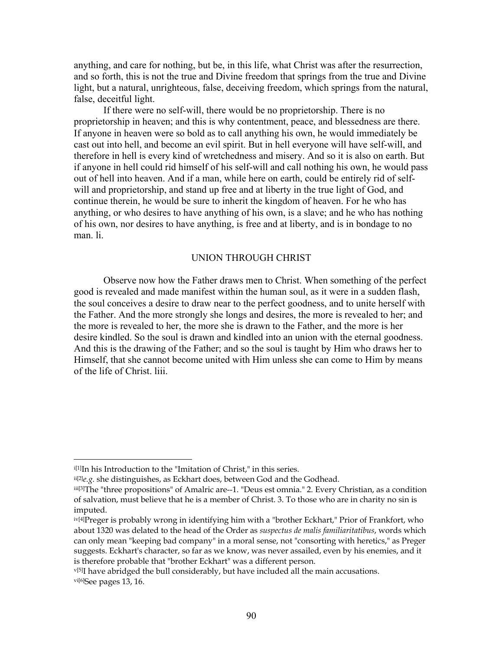anything, and care for nothing, but be, in this life, what Christ was after the resurrection, and so forth, this is not the true and Divine freedom that springs from the true and Divine light, but a natural, unrighteous, false, deceiving freedom, which springs from the natural, false, deceitful light.

If there were no self-will, there would be no proprietorship. There is no proprietorship in heaven; and this is why contentment, peace, and blessedness are there. If anyone in heaven were so bold as to call anything his own, he would immediately be cast out into hell, and become an evil spirit. But in hell everyone will have self-will, and therefore in hell is every kind of wretchedness and misery. And so it is also on earth. But if anyone in hell could rid himself of his self-will and call nothing his own, he would pass out of hell into heaven. And if a man, while here on earth, could be entirely rid of selfwill and proprietorship, and stand up free and at liberty in the true light of God, and continue therein, he would be sure to inherit the kingdom of heaven. For he who has anything, or who desires to have anything of his own, is a slave; and he who has nothing of his own, nor desires to have anything, is free and at liberty, and is in bondage to no man. li.

### UNION THROUGH CHRIST

Observe now how the Father draws men to Christ. When something of the perfect good is revealed and made manifest within the human soul, as it were in a sudden flash, the soul conceives a desire to draw near to the perfect goodness, and to unite herself with the Father. And the more strongly she longs and desires, the more is revealed to her; and the more is revealed to her, the more she is drawn to the Father, and the more is her desire kindled. So the soul is drawn and kindled into an union with the eternal goodness. And this is the drawing of the Father; and so the soul is taught by Him who draws her to Himself, that she cannot become united with Him unless she can come to Him by means of the life of Christ. liii.

 $\overline{a}$ 

i<sup>[2]</sup>e.g. she distinguishes, as Eckhart does, between God and the Godhead.

v[5]I have abridged the bull considerably, but have included all the main accusations. vi[6]See pages 13, 16.

i<sup>[1]</sup>In his Introduction to the "Imitation of Christ," in this series.

iii[3]The "three propositions" of Amalric are--1. "Deus est omnia." 2. Every Christian, as a condition of salvation, must believe that he is a member of Christ. 3. To those who are in charity no sin is imputed.

<sup>&</sup>lt;sup>iv[4]</sup>Preger is probably wrong in identifying him with a "brother Eckhart," Prior of Frankfort, who about 1320 was delated to the head of the Order as *suspectus de malis familiaritatibus*, words which can only mean "keeping bad company" in a moral sense, not "consorting with heretics," as Preger suggests. Eckhart's character, so far as we know, was never assailed, even by his enemies, and it is therefore probable that "brother Eckhart" was a different person.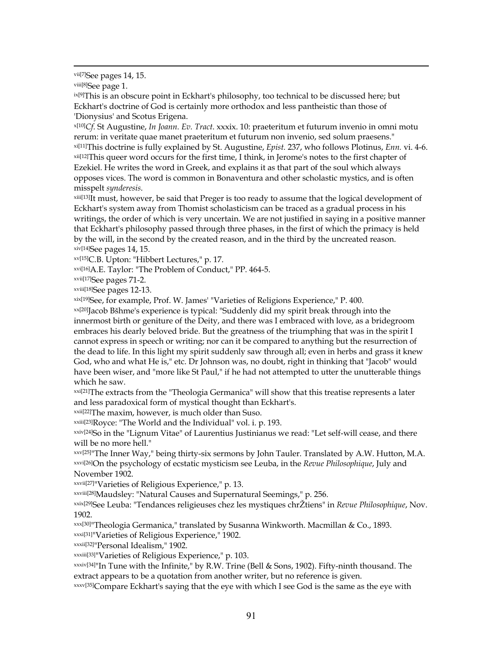vii[7]See pages 14, 15.

viii<sup>[8]</sup>See page 1.

 $\overline{a}$ 

ix[9]This is an obscure point in Eckhart's philosophy, too technical to be discussed here; but Eckhart's doctrine of God is certainly more orthodox and less pantheistic than those of 'Dionysius' and Scotus Erigena.

x[10]*Cf*. St Augustine, *In Joann. Ev. Tract*. xxxix. 10: praeteritum et futurum invenio in omni motu rerum: in veritate quae manet praeteritum et futurum non invenio, sed solum praesens." xi[11]This doctrine is fully explained by St. Augustine, *Epist.* 237, who follows Plotinus, *Enn.* vi. 4-6. xii[12]This queer word occurs for the first time, I think, in Jerome's notes to the first chapter of Ezekiel. He writes the word in Greek, and explains it as that part of the soul which always opposes vices. The word is common in Bonaventura and other scholastic mystics, and is often

misspelt *synderesis*.<br><sup>xiii[13]It must, however, be said that Preger is too ready to assume that the logical development of</sup> Eckhart's system away from Thomist scholasticism can be traced as a gradual process in his writings, the order of which is very uncertain. We are not justified in saying in a positive manner that Eckhart's philosophy passed through three phases, in the first of which the primacy is held by the will, in the second by the created reason, and in the third by the uncreated reason. xiv[14]See pages 14, 15.

xv[15]C.B. Upton: "Hibbert Lectures," p. 17.

xvi[16]A.E. Taylor: "The Problem of Conduct," PP. 464-5.

xvii[17]See pages 71-2.

xviii[18]See pages 12-13.

xix[19]See, for example, Prof. W. James' "Varieties of Religions Experience," P. 400.

xx[20]Jacob Bšhme's experience is typical: "Suddenly did my spirit break through into the innermost birth or geniture of the Deity, and there was I embraced with love, as a bridegroom embraces his dearly beloved bride. But the greatness of the triumphing that was in the spirit I cannot express in speech or writing; nor can it be compared to anything but the resurrection of the dead to life. In this light my spirit suddenly saw through all; even in herbs and grass it knew God, who and what He is," etc. Dr Johnson was, no doubt, right in thinking that "Jacob" would have been wiser, and "more like St Paul," if he had not attempted to utter the unutterable things which he saw.

xxi[21]The extracts from the "Theologia Germanica" will show that this treatise represents a later and less paradoxical form of mystical thought than Eckhart's.

xxii[22]The maxim, however, is much older than Suso.

xxiii[23]Royce: "The World and the Individual" vol. i. p. 193.

xxiv[24]So in the "Lignum Vitae" of Laurentius Justinianus we read: "Let self-will cease, and there will be no more hell."

xxv[25]"The Inner Way," being thirty-six sermons by John Tauler. Translated by A.W. Hutton, M.A. xxvi[26]On the psychology of ecstatic mysticism see Leuba, in the *Revue Philosophique*, July and November 1902.

xxvii[27]"Varieties of Religious Experience," p. 13.

xxviii[28]Maudsley: "Natural Causes and Supernatural Seemings," p. 256.

xxix[29]See Leuba: "Tendances religieuses chez les mystiques chrŽtiens" in *Revue Philosophique*, Nov. 1902.

xxx[30]"Theologia Germanica," translated by Susanna Winkworth. Macmillan & Co., 1893.

xxxi[31]"Varieties of Religious Experience," 1902.

xxxii[32]"Personal Idealism," 1902.

xxxiii[33]"Varieties of Religious Experience," p. 103.

xxxiv[34]"In Tune with the Infinite," by R.W. Trine (Bell & Sons, 1902). Fifty-ninth thousand. The extract appears to be a quotation from another writer, but no reference is given.

xxxv[35]Compare Eckhart's saying that the eye with which I see God is the same as the eye with